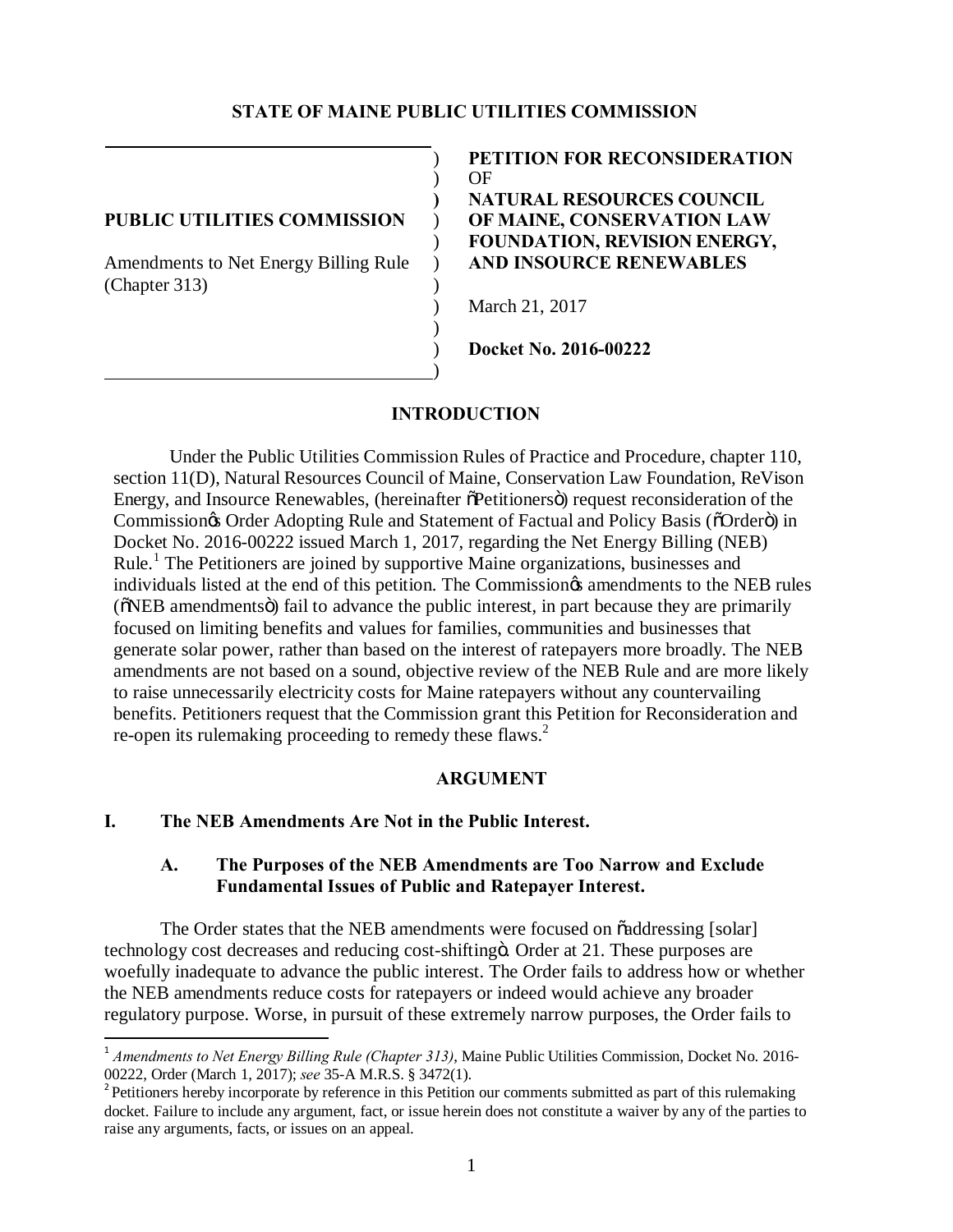#### **STATE OF MAINE PUBLIC UTILITIES COMMISSION**

Amendments to Net Energy Billing Rule ) **AND INSOURCE RENEWABLES** (Chapter 313) )

) **PETITION FOR RECONSIDERATION** ) OF **) NATURAL RESOURCES COUNCIL PUBLIC UTILITIES COMMISSION** ) **OF MAINE, CONSERVATION LAW** ) **FOUNDATION, REVISION ENERGY,**

) March 21, 2017

) **Docket No. 2016-00222**

#### **INTRODUCTION**

 $\lambda$ 

)

Under the Public Utilities Commission Rules of Practice and Procedure, chapter 110, section 11(D), Natural Resources Council of Maine, Conservation Law Foundation, ReVison Energy, and Insource Renewables, (hereinafter  $\delta$ Petitioners $\delta$ ) request reconsideration of the Commission $\infty$  Order Adopting Rule and Statement of Factual and Policy Basis ( $\delta$ Order $\ddot{\text{o}}$ ) in Docket No. 2016-00222 issued March 1, 2017, regarding the Net Energy Billing (NEB) Rule. <sup>1</sup> The Petitioners are joined by supportive Maine organizations, businesses and individuals listed at the end of this petition. The Commission<sub>of</sub> amendments to the NEB rules ( $\delta$ NEB amendments $\ddot{\text{o}}$ ) fail to advance the public interest, in part because they are primarily focused on limiting benefits and values for families, communities and businesses that generate solar power, rather than based on the interest of ratepayers more broadly. The NEB amendments are not based on a sound, objective review of the NEB Rule and are more likely to raise unnecessarily electricity costs for Maine ratepayers without any countervailing benefits. Petitioners request that the Commission grant this Petition for Reconsideration and re-open its rulemaking proceeding to remedy these flaws.<sup>2</sup>

#### **ARGUMENT**

#### **I. The NEB Amendments Are Not in the Public Interest.**

## **A. The Purposes of the NEB Amendments are Too Narrow and Exclude Fundamental Issues of Public and Ratepayer Interest.**

The Order states that the NEB amendments were focused on  $\ddot{o}$  addressing [solar] technology cost decreases and reducing cost-shifting o. Order at 21. These purposes are woefully inadequate to advance the public interest. The Order fails to address how or whether the NEB amendments reduce costs for ratepayers or indeed would achieve any broader regulatory purpose. Worse, in pursuit of these extremely narrow purposes, the Order fails to

<sup>&</sup>lt;sup>1</sup> Amendments to Net Energy Billing Rule (Chapter 313), Maine Public Utilities Commission, Docket No. 2016-00222, Order (March 1, 2017); *see* 35-A M.R.S. § 3472(1). <sup>2</sup>

<sup>&</sup>lt;sup>2</sup> Petitioners hereby incorporate by reference in this Petition our comments submitted as part of this rulemaking docket. Failure to include any argument, fact, or issue herein does not constitute a waiver by any of the parties to raise any arguments, facts, or issues on an appeal.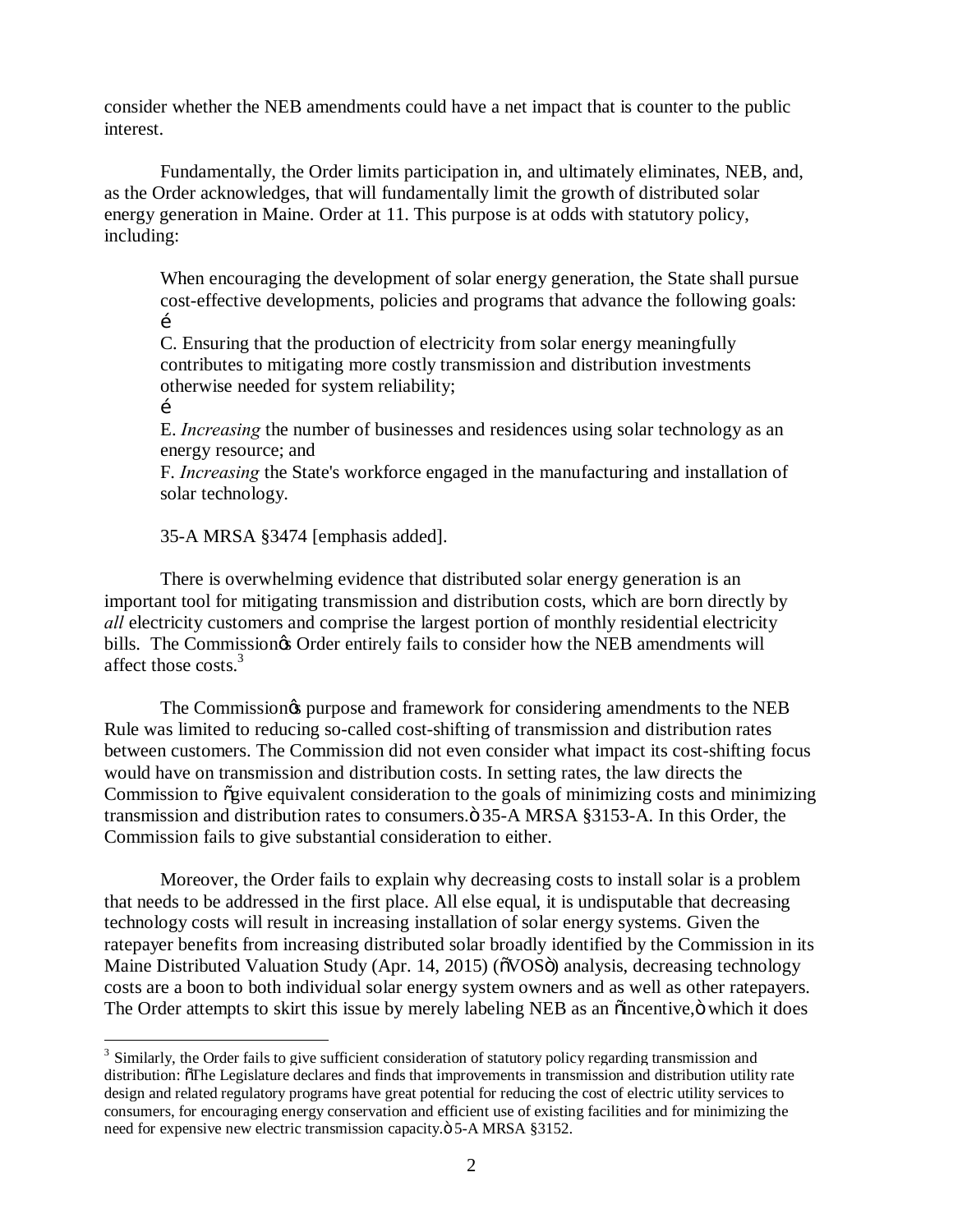consider whether the NEB amendments could have a net impact that is counter to the public interest.

Fundamentally, the Order limits participation in, and ultimately eliminates, NEB, and, as the Order acknowledges, that will fundamentally limit the growth of distributed solar energy generation in Maine. Order at 11. This purpose is at odds with statutory policy, including:

When encouraging the development of solar energy generation, the State shall pursue cost-effective developments, policies and programs that advance the following goals:  $\mathbf{r}$ 

C. Ensuring that the production of electricity from solar energy meaningfully contributes to mitigating more costly transmission and distribution investments otherwise needed for system reliability;

…

E. *Increasing* the number of businesses and residences using solar technology as an energy resource; and

F. *Increasing* the State's workforce engaged in the manufacturing and installation of solar technology.

35-A MRSA §3474 [emphasis added].

There is overwhelming evidence that distributed solar energy generation is an important tool for mitigating transmission and distribution costs, which are born directly by *all* electricity customers and comprise the largest portion of monthly residential electricity bills. The Commission& Order entirely fails to consider how the NEB amendments will affect those costs.<sup>3</sup>

The Commission<sub>®</sub> purpose and framework for considering amendments to the NEB Rule was limited to reducing so-called cost-shifting of transmission and distribution rates between customers. The Commission did not even consider what impact its cost-shifting focus would have on transmission and distribution costs. In setting rates, the law directs the Commission to  $\tilde{q}$  equivalent consideration to the goals of minimizing costs and minimizing transmission and distribution rates to consumers. $\ddot{\text{o}}$  35-A MRSA §3153-A. In this Order, the Commission fails to give substantial consideration to either.

Moreover, the Order fails to explain why decreasing costs to install solar is a problem that needs to be addressed in the first place. All else equal, it is undisputable that decreasing technology costs will result in increasing installation of solar energy systems. Given the ratepayer benefits from increasing distributed solar broadly identified by the Commission in its Maine Distributed Valuation Study (Apr. 14, 2015) ( $\delta VOS\ddot{o}$ ) analysis, decreasing technology costs are a boon to both individual solar energy system owners and as well as other ratepayers. The Order attempts to skirt this issue by merely labeling NEB as an  $\ddot{o}$  incentive, $\ddot{o}$  which it does

<sup>&</sup>lt;sup>3</sup> Similarly, the Order fails to give sufficient consideration of statutory policy regarding transmission and distribution:  $\delta$ The Legislature declares and finds that improvements in transmission and distribution utility rate design and related regulatory programs have great potential for reducing the cost of electric utility services to consumers, for encouraging energy conservation and efficient use of existing facilities and for minimizing the need for expensive new electric transmission capacity. $\ddot{\text{o}}$  5-A MRSA §3152.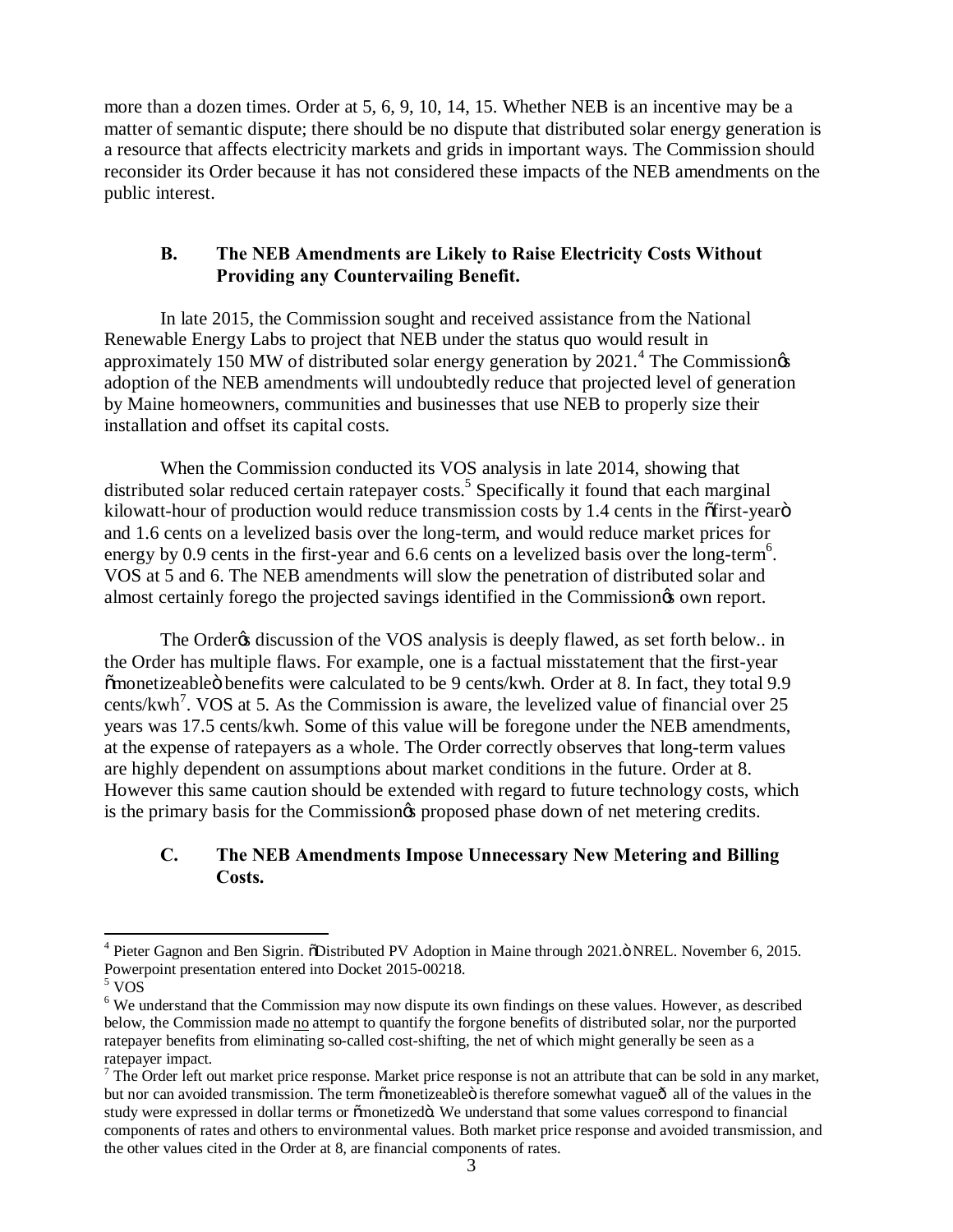more than a dozen times. Order at 5, 6, 9, 10, 14, 15. Whether NEB is an incentive may be a matter of semantic dispute; there should be no dispute that distributed solar energy generation is a resource that affects electricity markets and grids in important ways. The Commission should reconsider its Order because it has not considered these impacts of the NEB amendments on the public interest.

# **B. The NEB Amendments are Likely to Raise Electricity Costs Without Providing any Countervailing Benefit.**

In late 2015, the Commission sought and received assistance from the National Renewable Energy Labs to project that NEB under the status quo would result in approximately 150 MW of distributed solar energy generation by 2021.<sup>4</sup> The Commission $\alpha$ adoption of the NEB amendments will undoubtedly reduce that projected level of generation by Maine homeowners, communities and businesses that use NEB to properly size their installation and offset its capital costs.

When the Commission conducted its VOS analysis in late 2014, showing that distributed solar reduced certain ratepayer costs.<sup>5</sup> Specifically it found that each marginal kilowatt-hour of production would reduce transmission costs by  $1.4$  cents in the  $\delta$ first-year $\ddot{\sigma}$ and 1.6 cents on a levelized basis over the long-term, and would reduce market prices for energy by 0.9 cents in the first-year and 6.6 cents on a levelized basis over the long-term<sup>6</sup>. VOS at 5 and 6. The NEB amendments will slow the penetration of distributed solar and almost certainly forego the projected savings identified in the Commission $\alpha$  own report.

The Order<sub>&</sub> discussion of the VOS analysis is deeply flawed, as set forth below.. in the Order has multiple flaws. For example, one is a factual misstatement that the first-year  $\tilde{m}$  monetizeable  $\ddot{o}$  benefits were calculated to be 9 cents/kwh. Order at 8. In fact, they total 9.9 cents/kwh<sup>7</sup>. VOS at 5. As the Commission is aware, the levelized value of financial over 25 years was 17.5 cents/kwh. Some of this value will be foregone under the NEB amendments, at the expense of ratepayers as a whole. The Order correctly observes that long-term values are highly dependent on assumptions about market conditions in the future. Order at 8. However this same caution should be extended with regard to future technology costs, which is the primary basis for the Commission<sub>®</sub> proposed phase down of net metering credits.

# **C. The NEB Amendments Impose Unnecessary New Metering and Billing Costs.**

 $4$  Pieter Gagnon and Ben Sigrin.  $\delta$ Distributed PV Adoption in Maine through 2021. $\delta$  NREL. November 6, 2015. Powerpoint presentation entered into Docket 2015-00218. <sup>5</sup> VOS

<sup>&</sup>lt;sup>6</sup> We understand that the Commission may now dispute its own findings on these values. However, as described below, the Commission made no attempt to quantify the forgone benefits of distributed solar, nor the purported ratepayer benefits from eliminating so-called cost-shifting, the net of which might generally be seen as a ratepayer impact.

 $<sup>7</sup>$  The Order left out market price response. Market price response is not an attribute that can be sold in any market,</sup> but nor can avoided transmission. The term omnetizeable is therefore somewhat vague all of the values in the study were expressed in dollar terms or õmonetizedö. We understand that some values correspond to financial components of rates and others to environmental values. Both market price response and avoided transmission, and the other values cited in the Order at 8, are financial components of rates.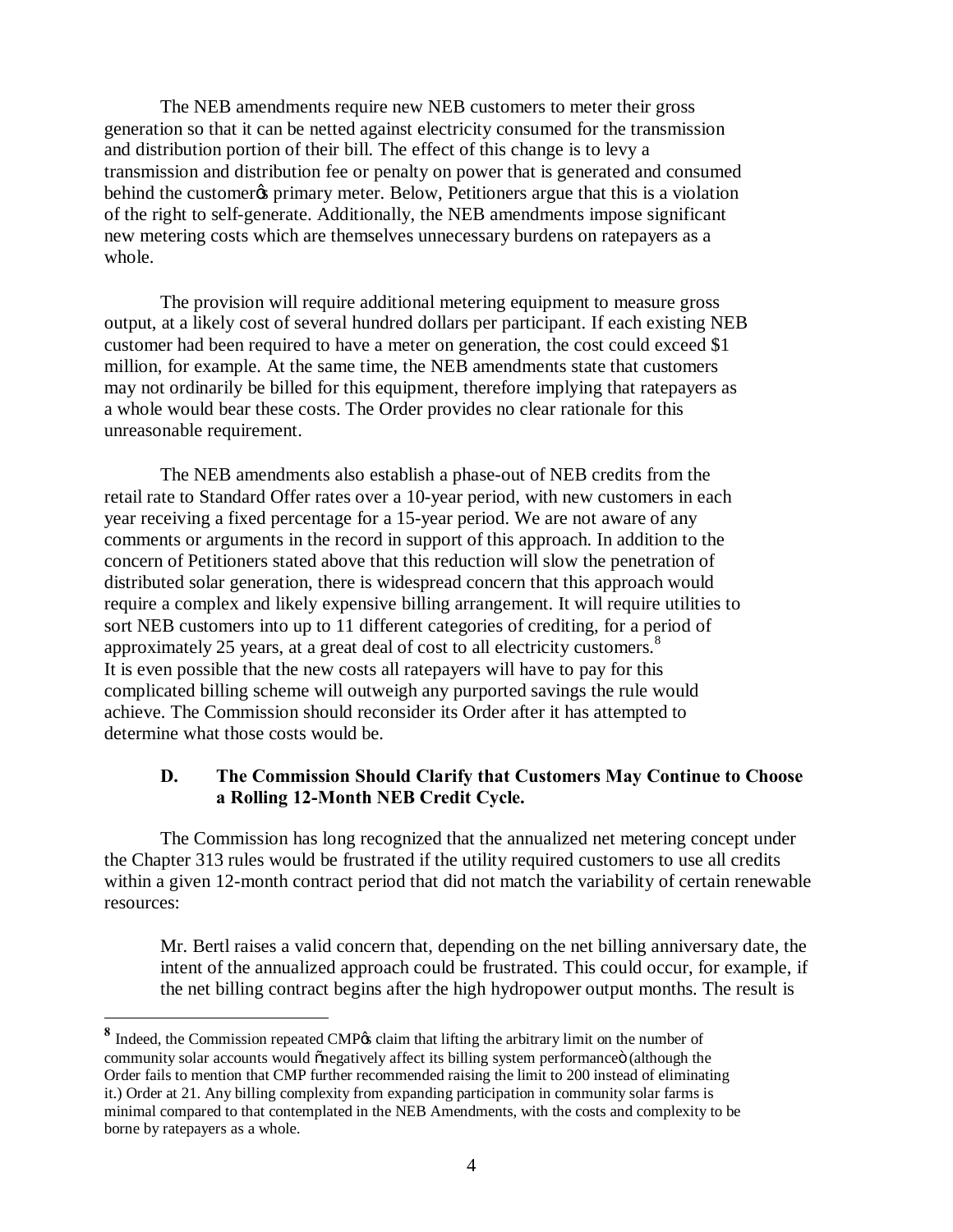The NEB amendments require new NEB customers to meter their gross generation so that it can be netted against electricity consumed for the transmission and distribution portion of their bill. The effect of this change is to levy a transmission and distribution fee or penalty on power that is generated and consumed behind the customer to primary meter. Below, Petitioners argue that this is a violation of the right to self-generate. Additionally, the NEB amendments impose significant new metering costs which are themselves unnecessary burdens on ratepayers as a whole.

The provision will require additional metering equipment to measure gross output, at a likely cost of several hundred dollars per participant. If each existing NEB customer had been required to have a meter on generation, the cost could exceed \$1 million, for example. At the same time, the NEB amendments state that customers may not ordinarily be billed for this equipment, therefore implying that ratepayers as a whole would bear these costs. The Order provides no clear rationale for this unreasonable requirement.

The NEB amendments also establish a phase-out of NEB credits from the retail rate to Standard Offer rates over a 10-year period, with new customers in each year receiving a fixed percentage for a 15-year period. We are not aware of any comments or arguments in the record in support of this approach. In addition to the concern of Petitioners stated above that this reduction will slow the penetration of distributed solar generation, there is widespread concern that this approach would require a complex and likely expensive billing arrangement. It will require utilities to sort NEB customers into up to 11 different categories of crediting, for a period of approximately 25 years, at a great deal of cost to all electricity customers.<sup>8</sup> It is even possible that the new costs all ratepayers will have to pay for this complicated billing scheme will outweigh any purported savings the rule would achieve. The Commission should reconsider its Order after it has attempted to determine what those costs would be.

### **D. The Commission Should Clarify that Customers May Continue to Choose a Rolling 12-Month NEB Credit Cycle.**

The Commission has long recognized that the annualized net metering concept under the Chapter 313 rules would be frustrated if the utility required customers to use all credits within a given 12-month contract period that did not match the variability of certain renewable resources:

Mr. Bertl raises a valid concern that, depending on the net billing anniversary date, the intent of the annualized approach could be frustrated. This could occur, for example, if the net billing contract begins after the high hydropower output months. The result is

1

<sup>8</sup> Indeed, the Commission repeated CMP<sub>®</sub> claim that lifting the arbitrary limit on the number of community solar accounts would  $\tilde{\theta}$  onegatively affect its billing system performance  $\ddot{\theta}$  (although the Order fails to mention that CMP further recommended raising the limit to 200 instead of eliminating it.) Order at 21. Any billing complexity from expanding participation in community solar farms is minimal compared to that contemplated in the NEB Amendments, with the costs and complexity to be borne by ratepayers as a whole.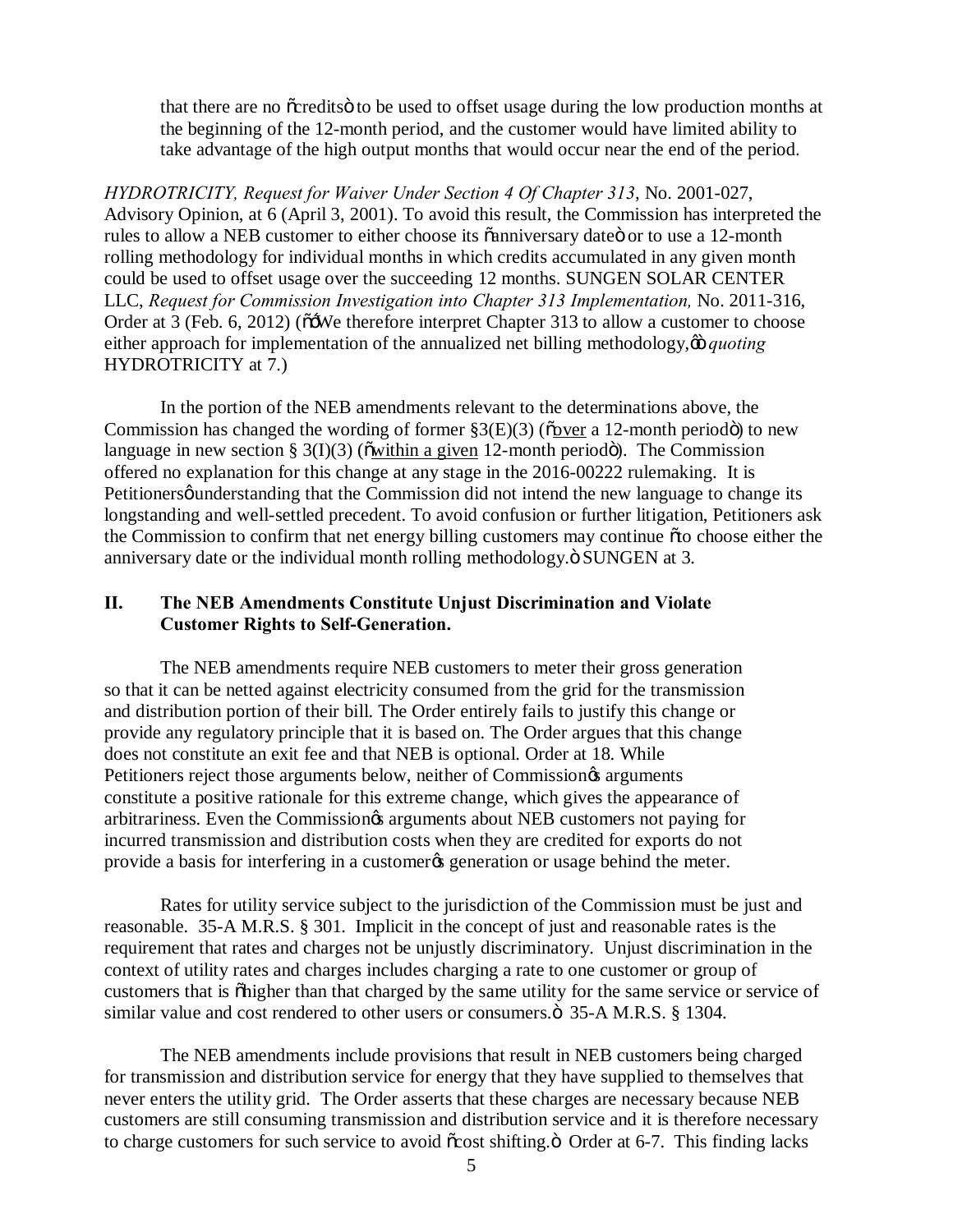that there are no ocredits to be used to offset usage during the low production months at the beginning of the 12-month period, and the customer would have limited ability to take advantage of the high output months that would occur near the end of the period.

*HYDROTRICITY, Request for Waiver Under Section 4 Of Chapter 313*, No. 2001-027, Advisory Opinion, at 6 (April 3, 2001). To avoid this result, the Commission has interpreted the rules to allow a NEB customer to either choose its  $\ddot{\text{o}}$ anniversary date $\ddot{\text{o}}$  or to use a 12-month rolling methodology for individual months in which credits accumulated in any given month could be used to offset usage over the succeeding 12 months. SUNGEN SOLAR CENTER LLC, *Request for Commission Investigation into Chapter 313 Implementation,* No. 2011-316, Order at  $3$  (Feb. 6, 2012) ( $\tilde{o}$ : We therefore interpret Chapter 313 to allow a customer to choose either approach for implementation of the annualized net billing methodology,  $\ddot{\omega}$  *quoting* HYDROTRICITY at 7.)

In the portion of the NEB amendments relevant to the determinations above, the Commission has changed the wording of former  $\S3(E)(3)$  ( $\tilde{\text{o}}$  over a 12-month period $\ddot{\text{o}}$ ) to new language in new section §  $3(I)(3)$  ( $\ddot{\text{ow}}$ ) in a given 12-month period $\ddot{\text{o}}$ ). The Commission offered no explanation for this change at any stage in the 2016-00222 rulemaking. It is Petitionersø understanding that the Commission did not intend the new language to change its longstanding and well-settled precedent. To avoid confusion or further litigation, Petitioners ask the Commission to confirm that net energy billing customers may continue oto choose either the anniversary date or the individual month rolling methodology. $\ddot{o}$  SUNGEN at 3.

## **II. The NEB Amendments Constitute Unjust Discrimination and Violate Customer Rights to Self-Generation.**

The NEB amendments require NEB customers to meter their gross generation so that it can be netted against electricity consumed from the grid for the transmission and distribution portion of their bill. The Order entirely fails to justify this change or provide any regulatory principle that it is based on. The Order argues that this change does not constitute an exit fee and that NEB is optional. Order at 18. While Petitioners reject those arguments below, neither of Commission $\alpha$  arguments constitute a positive rationale for this extreme change, which gives the appearance of arbitrariness. Even the Commission $\alpha$  arguments about NEB customers not paying for incurred transmission and distribution costs when they are credited for exports do not provide a basis for interfering in a customer to generation or usage behind the meter.

Rates for utility service subject to the jurisdiction of the Commission must be just and reasonable. 35-A M.R.S. § 301. Implicit in the concept of just and reasonable rates is the requirement that rates and charges not be unjustly discriminatory. Unjust discrimination in the context of utility rates and charges includes charging a rate to one customer or group of customers that is öhigher than that charged by the same utility for the same service or service of similar value and cost rendered to other users or consumers. $\ddot{\text{o}}$  35-A M.R.S. § 1304.

The NEB amendments include provisions that result in NEB customers being charged for transmission and distribution service for energy that they have supplied to themselves that never enters the utility grid. The Order asserts that these charges are necessary because NEB customers are still consuming transmission and distribution service and it is therefore necessary to charge customers for such service to avoid  $\tilde{\text{c}}$  cost shifting.  $\ddot{\text{o}}$  Order at 6-7. This finding lacks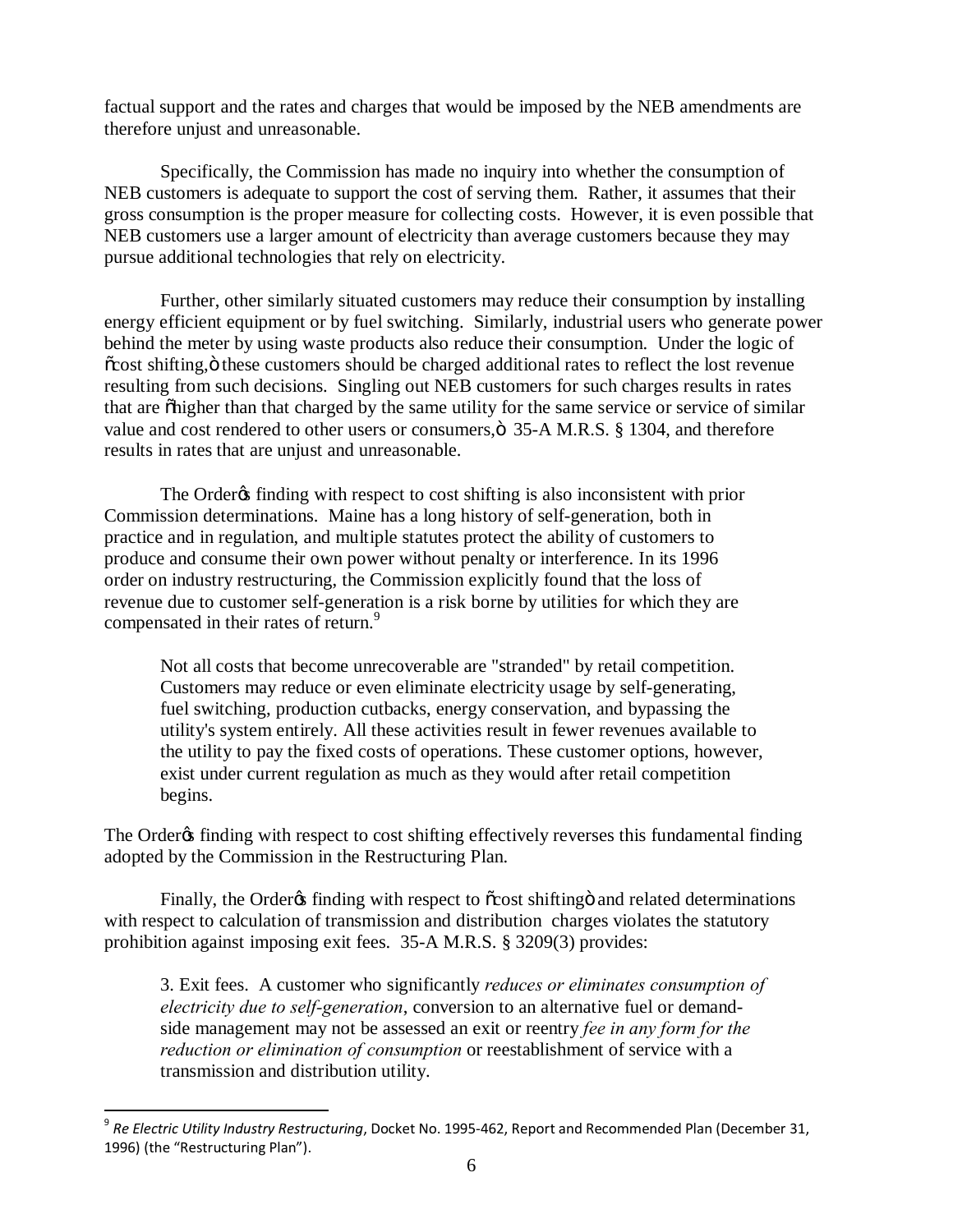factual support and the rates and charges that would be imposed by the NEB amendments are therefore unjust and unreasonable.

Specifically, the Commission has made no inquiry into whether the consumption of NEB customers is adequate to support the cost of serving them. Rather, it assumes that their gross consumption is the proper measure for collecting costs. However, it is even possible that NEB customers use a larger amount of electricity than average customers because they may pursue additional technologies that rely on electricity.

Further, other similarly situated customers may reduce their consumption by installing energy efficient equipment or by fuel switching. Similarly, industrial users who generate power behind the meter by using waste products also reduce their consumption. Under the logic of  $\tilde{\text{c}}$  cost shifting,  $\ddot{\text{o}}$  these customers should be charged additional rates to reflect the lost revenue resulting from such decisions. Singling out NEB customers for such charges results in rates that are  $\delta$  higher than that charged by the same utility for the same service or service of similar value and cost rendered to other users or consumers,  $\ddot{\text{o}}$  35-A M.R.S. § 1304, and therefore results in rates that are unjust and unreasonable.

The Order $\alpha$  finding with respect to cost shifting is also inconsistent with prior Commission determinations. Maine has a long history of self-generation, both in practice and in regulation, and multiple statutes protect the ability of customers to produce and consume their own power without penalty or interference. In its 1996 order on industry restructuring, the Commission explicitly found that the loss of revenue due to customer self-generation is a risk borne by utilities for which they are compensated in their rates of return.<sup>9</sup>

Not all costs that become unrecoverable are "stranded" by retail competition. Customers may reduce or even eliminate electricity usage by self-generating, fuel switching, production cutbacks, energy conservation, and bypassing the utility's system entirely. All these activities result in fewer revenues available to the utility to pay the fixed costs of operations. These customer options, however, exist under current regulation as much as they would after retail competition begins.

The Order<sub>®</sub> finding with respect to cost shifting effectively reverses this fundamental finding adopted by the Commission in the Restructuring Plan.

Finally, the Order<sub>of</sub> finding with respect to  $\tilde{\alpha}$  cost shifting and related determinations with respect to calculation of transmission and distribution charges violates the statutory prohibition against imposing exit fees. 35-A M.R.S. § 3209(3) provides:

3. Exit fees. A customer who significantly *reduces or eliminates consumption of electricity due to self-generation*, conversion to an alternative fuel or demandside management may not be assessed an exit or reentry *fee in any form for the reduction or elimination of consumption* or reestablishment of service with a transmission and distribution utility.

 <sup>9</sup> *Re Electric Utility Industry Restructuring*, Docket No. 1995-462, Report and Recommended Plan (December 31, 1996) (the "Restructuring Plan").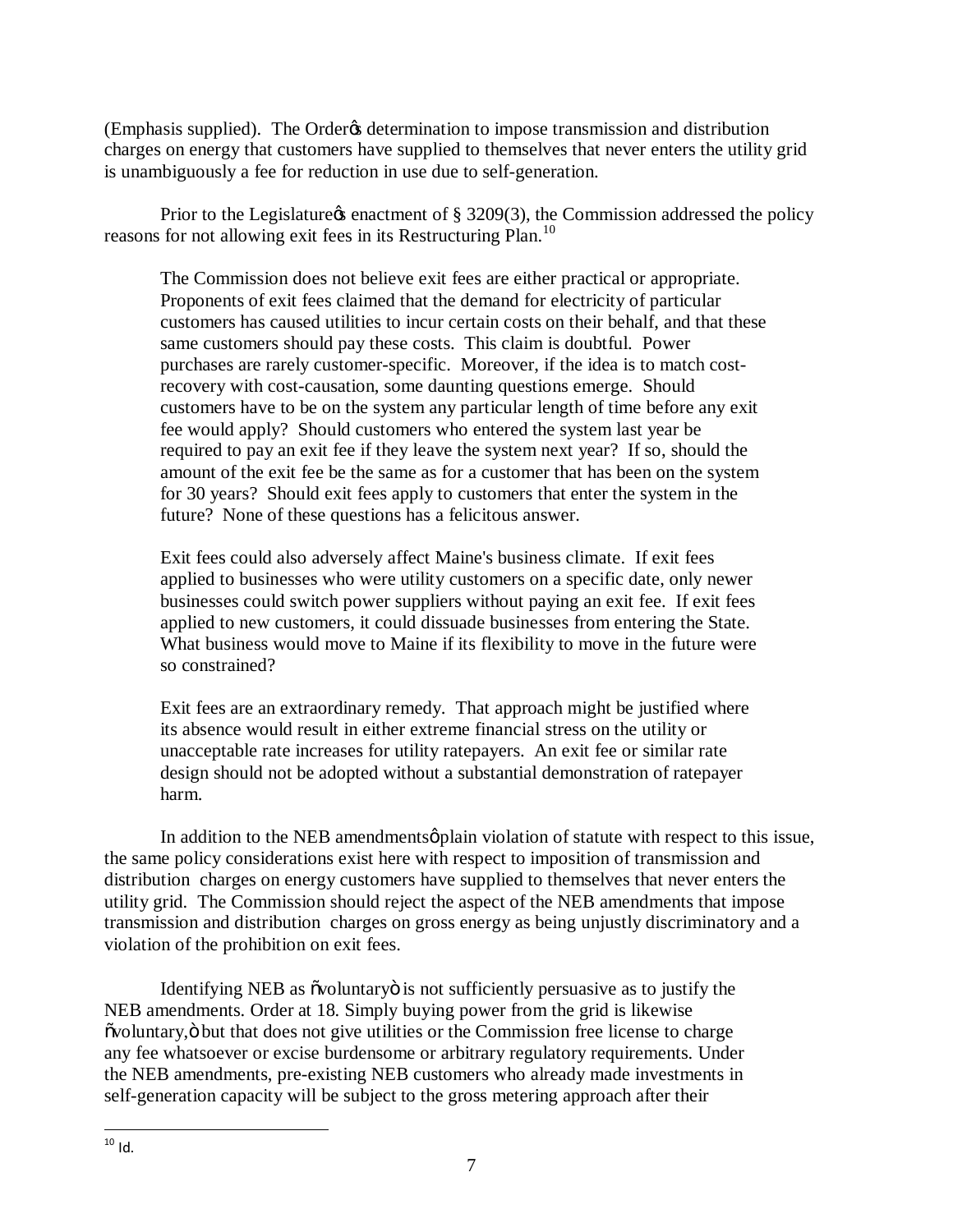(Emphasis supplied). The Order's determination to impose transmission and distribution charges on energy that customers have supplied to themselves that never enters the utility grid is unambiguously a fee for reduction in use due to self-generation.

Prior to the Legislature  $\alpha$  enactment of § 3209(3), the Commission addressed the policy reasons for not allowing exit fees in its Restructuring Plan.<sup>10</sup>

The Commission does not believe exit fees are either practical or appropriate. Proponents of exit fees claimed that the demand for electricity of particular customers has caused utilities to incur certain costs on their behalf, and that these same customers should pay these costs. This claim is doubtful. Power purchases are rarely customer-specific. Moreover, if the idea is to match costrecovery with cost-causation, some daunting questions emerge. Should customers have to be on the system any particular length of time before any exit fee would apply? Should customers who entered the system last year be required to pay an exit fee if they leave the system next year? If so, should the amount of the exit fee be the same as for a customer that has been on the system for 30 years? Should exit fees apply to customers that enter the system in the future? None of these questions has a felicitous answer.

Exit fees could also adversely affect Maine's business climate. If exit fees applied to businesses who were utility customers on a specific date, only newer businesses could switch power suppliers without paying an exit fee. If exit fees applied to new customers, it could dissuade businesses from entering the State. What business would move to Maine if its flexibility to move in the future were so constrained?

Exit fees are an extraordinary remedy. That approach might be justified where its absence would result in either extreme financial stress on the utility or unacceptable rate increases for utility ratepayers. An exit fee or similar rate design should not be adopted without a substantial demonstration of ratepayer harm.

In addition to the NEB amendments  $\varphi$  plain violation of statute with respect to this issue, the same policy considerations exist here with respect to imposition of transmission and distribution charges on energy customers have supplied to themselves that never enters the utility grid. The Commission should reject the aspect of the NEB amendments that impose transmission and distribution charges on gross energy as being unjustly discriminatory and a violation of the prohibition on exit fees.

Identifying NEB as  $\ddot{\text{o}}$  voluntary $\ddot{\text{o}}$  is not sufficiently persuasive as to justify the NEB amendments. Order at 18. Simply buying power from the grid is likewise  $\tilde{\text{ov}}$  but that does not give utilities or the Commission free license to charge any fee whatsoever or excise burdensome or arbitrary regulatory requirements. Under the NEB amendments, pre-existing NEB customers who already made investments in self-generation capacity will be subject to the gross metering approach after their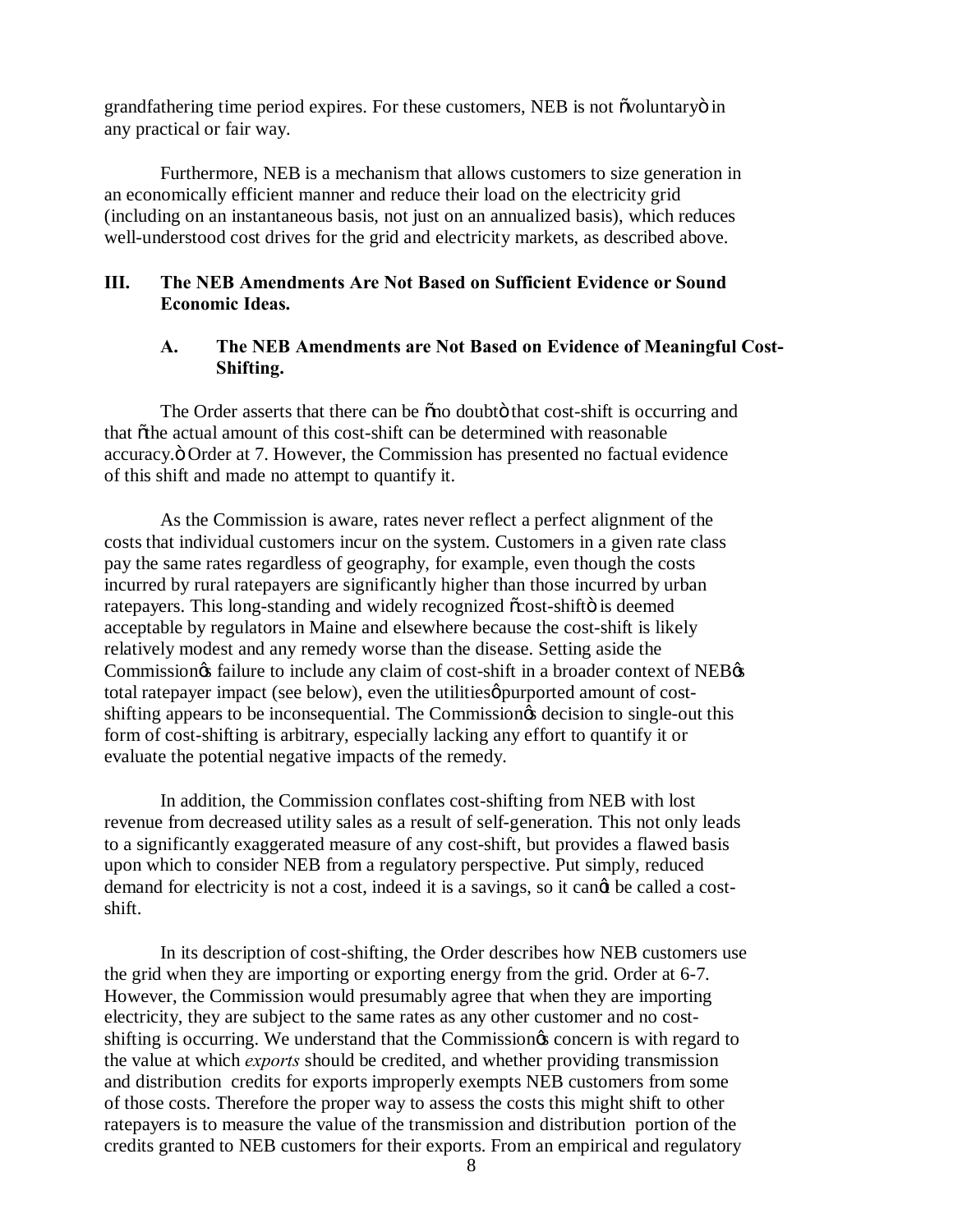grandfathering time period expires. For these customers, NEB is not õvoluntaryö in any practical or fair way.

Furthermore, NEB is a mechanism that allows customers to size generation in an economically efficient manner and reduce their load on the electricity grid (including on an instantaneous basis, not just on an annualized basis), which reduces well-understood cost drives for the grid and electricity markets, as described above.

# **III. The NEB Amendments Are Not Based on Sufficient Evidence or Sound Economic Ideas.**

### **A. The NEB Amendments are Not Based on Evidence of Meaningful Cost-Shifting.**

The Order asserts that there can be  $\delta$  no doubto that cost-shift is occurring and that  $\tilde{\sigma}$ the actual amount of this cost-shift can be determined with reasonable accuracy." Order at 7. However, the Commission has presented no factual evidence of this shift and made no attempt to quantify it.

As the Commission is aware, rates never reflect a perfect alignment of the costs that individual customers incur on the system. Customers in a given rate class pay the same rates regardless of geography, for example, even though the costs incurred by rural ratepayers are significantly higher than those incurred by urban ratepayers. This long-standing and widely recognized  $\tilde{\text{cos}}$  -shift  $\ddot{\text{o}}$  is deemed acceptable by regulators in Maine and elsewhere because the cost-shift is likely relatively modest and any remedy worse than the disease. Setting aside the Commission of failure to include any claim of cost-shift in a broader context of NEB  $\alpha$ total ratepayer impact (see below), even the utilities purported amount of costshifting appears to be inconsequential. The Commission to single-out this shifting appears to be inconsequential. The Commission of decision to single-out this form of cost-shifting is arbitrary, especially lacking any effort to quantify it or evaluate the potential negative impacts of the remedy.

In addition, the Commission conflates cost-shifting from NEB with lost revenue from decreased utility sales as a result of self-generation. This not only leads to a significantly exaggerated measure of any cost-shift, but provides a flawed basis upon which to consider NEB from a regulatory perspective. Put simply, reduced demand for electricity is not a cost, indeed it is a savings, so it cand be called a costshift.

In its description of cost-shifting, the Order describes how NEB customers use the grid when they are importing or exporting energy from the grid. Order at 6-7. However, the Commission would presumably agree that when they are importing electricity, they are subject to the same rates as any other customer and no costshifting is occurring. We understand that the Commission<sub>of</sub> concern is with regard to the value at which *exports* should be credited, and whether providing transmission and distribution credits for exports improperly exempts NEB customers from some of those costs. Therefore the proper way to assess the costs this might shift to other ratepayers is to measure the value of the transmission and distribution portion of the credits granted to NEB customers for their exports. From an empirical and regulatory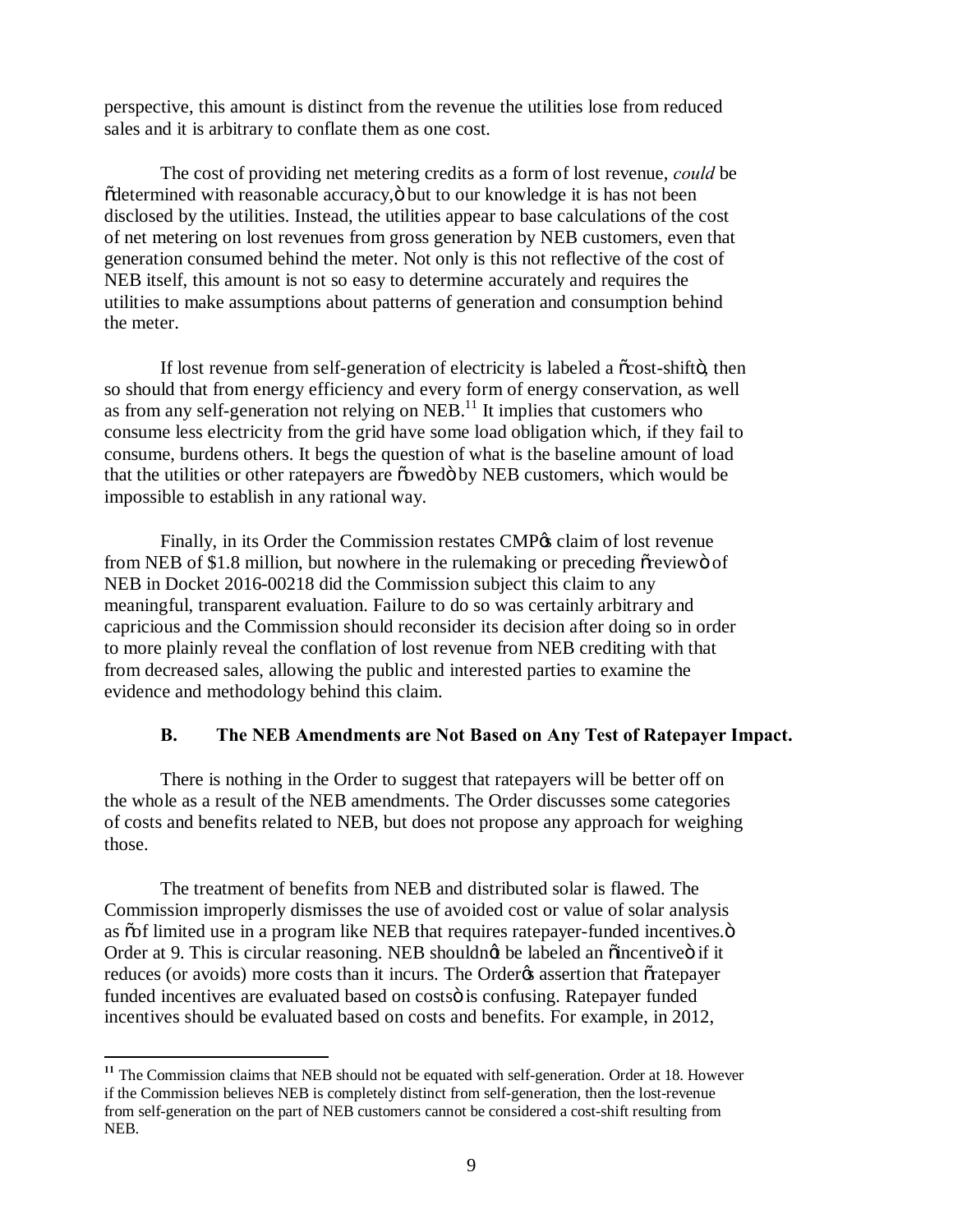perspective, this amount is distinct from the revenue the utilities lose from reduced sales and it is arbitrary to conflate them as one cost.

The cost of providing net metering credits as a form of lost revenue, *could* be  $ödetermined with reasonable accuracy,  $ö$  but to our knowledge it is has not been$ disclosed by the utilities. Instead, the utilities appear to base calculations of the cost of net metering on lost revenues from gross generation by NEB customers, even that generation consumed behind the meter. Not only is this not reflective of the cost of NEB itself, this amount is not so easy to determine accurately and requires the utilities to make assumptions about patterns of generation and consumption behind the meter.

If lost revenue from self-generation of electricity is labeled a  $\tilde{\text{c} \text{cost}}$ -shift $\tilde{\text{d}}$ , then so should that from energy efficiency and every form of energy conservation, as well as from any self-generation not relying on  $NEB$ <sup>11</sup>. It implies that customers who consume less electricity from the grid have some load obligation which, if they fail to consume, burdens others. It begs the question of what is the baseline amount of load that the utilities or other ratepayers are  $\ddot{\text{o}}$  owed by NEB customers, which would be impossible to establish in any rational way.

Finally, in its Order the Commission restates CMP $\alpha$  claim of lost revenue from NEB of \$1.8 million, but nowhere in the rulemaking or preceding over view of NEB in Docket 2016-00218 did the Commission subject this claim to any meaningful, transparent evaluation. Failure to do so was certainly arbitrary and capricious and the Commission should reconsider its decision after doing so in order to more plainly reveal the conflation of lost revenue from NEB crediting with that from decreased sales, allowing the public and interested parties to examine the evidence and methodology behind this claim.

### **B. The NEB Amendments are Not Based on Any Test of Ratepayer Impact.**

There is nothing in the Order to suggest that ratepayers will be better off on the whole as a result of the NEB amendments. The Order discusses some categories of costs and benefits related to NEB, but does not propose any approach for weighing those.

The treatment of benefits from NEB and distributed solar is flawed. The Commission improperly dismisses the use of avoided cost or value of solar analysis as  $\tilde{\text{co}}$ f limited use in a program like NEB that requires ratepayer-funded incentives. $\ddot{\text{o}}$ Order at 9. This is circular reasoning. NEB shouldng be labeled an  $\ddot{o}$  incentive $\ddot{o}$  if it reduces (or avoids) more costs than it incurs. The Order & assertion that  $\tilde{o}$ ratepayer funded incentives are evaluated based on costsö is confusing. Ratepayer funded incentives should be evaluated based on costs and benefits. For example, in 2012,

<sup>&</sup>lt;sup>11</sup> The Commission claims that NEB should not be equated with self-generation. Order at 18. However if the Commission believes NEB is completely distinct from self-generation, then the lost-revenue from self-generation on the part of NEB customers cannot be considered a cost-shift resulting from NEB.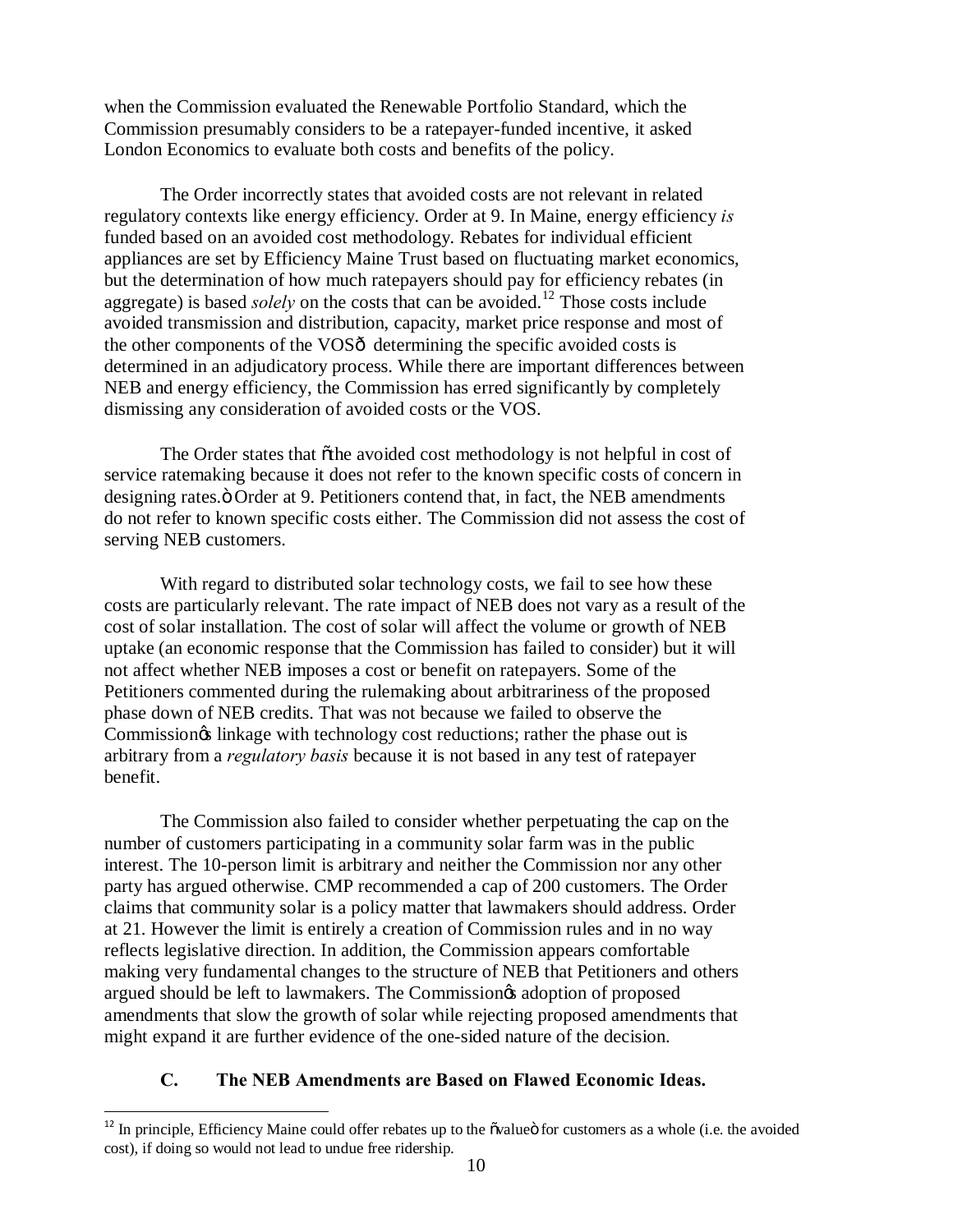when the Commission evaluated the Renewable Portfolio Standard, which the Commission presumably considers to be a ratepayer-funded incentive, it asked London Economics to evaluate both costs and benefits of the policy.

The Order incorrectly states that avoided costs are not relevant in related regulatory contexts like energy efficiency. Order at 9. In Maine, energy efficiency *is* funded based on an avoided cost methodology. Rebates for individual efficient appliances are set by Efficiency Maine Trust based on fluctuating market economics, but the determination of how much ratepayers should pay for efficiency rebates (in aggregate) is based *solely* on the costs that can be avoided.<sup>12</sup> Those costs include avoided transmission and distribution, capacity, market price response and most of the other components of the VOSô determining the specific avoided costs is determined in an adjudicatory process. While there are important differences between NEB and energy efficiency, the Commission has erred significantly by completely dismissing any consideration of avoided costs or the VOS.

The Order states that õthe avoided cost methodology is not helpful in cost of service ratemaking because it does not refer to the known specific costs of concern in designing rates. $\ddot{o}$  Order at 9. Petitioners contend that, in fact, the NEB amendments do not refer to known specific costs either. The Commission did not assess the cost of serving NEB customers.

With regard to distributed solar technology costs, we fail to see how these costs are particularly relevant. The rate impact of NEB does not vary as a result of the cost of solar installation. The cost of solar will affect the volume or growth of NEB uptake (an economic response that the Commission has failed to consider) but it will not affect whether NEB imposes a cost or benefit on ratepayers. Some of the Petitioners commented during the rulemaking about arbitrariness of the proposed phase down of NEB credits. That was not because we failed to observe the Commission $\alpha$  linkage with technology cost reductions; rather the phase out is arbitrary from a *regulatory basis* because it is not based in any test of ratepayer benefit.

The Commission also failed to consider whether perpetuating the cap on the number of customers participating in a community solar farm was in the public interest. The 10-person limit is arbitrary and neither the Commission nor any other party has argued otherwise. CMP recommended a cap of 200 customers. The Order claims that community solar is a policy matter that lawmakers should address. Order at 21. However the limit is entirely a creation of Commission rules and in no way reflects legislative direction. In addition, the Commission appears comfortable making very fundamental changes to the structure of NEB that Petitioners and others argued should be left to lawmakers. The Commission $\alpha$  adoption of proposed amendments that slow the growth of solar while rejecting proposed amendments that might expand it are further evidence of the one-sided nature of the decision.

### **C. The NEB Amendments are Based on Flawed Economic Ideas.**

 $12$  In principle, Efficiency Maine could offer rebates up to the  $\ddot{\text{o}}$  value  $\ddot{\text{o}}$  for customers as a whole (i.e. the avoided cost), if doing so would not lead to undue free ridership.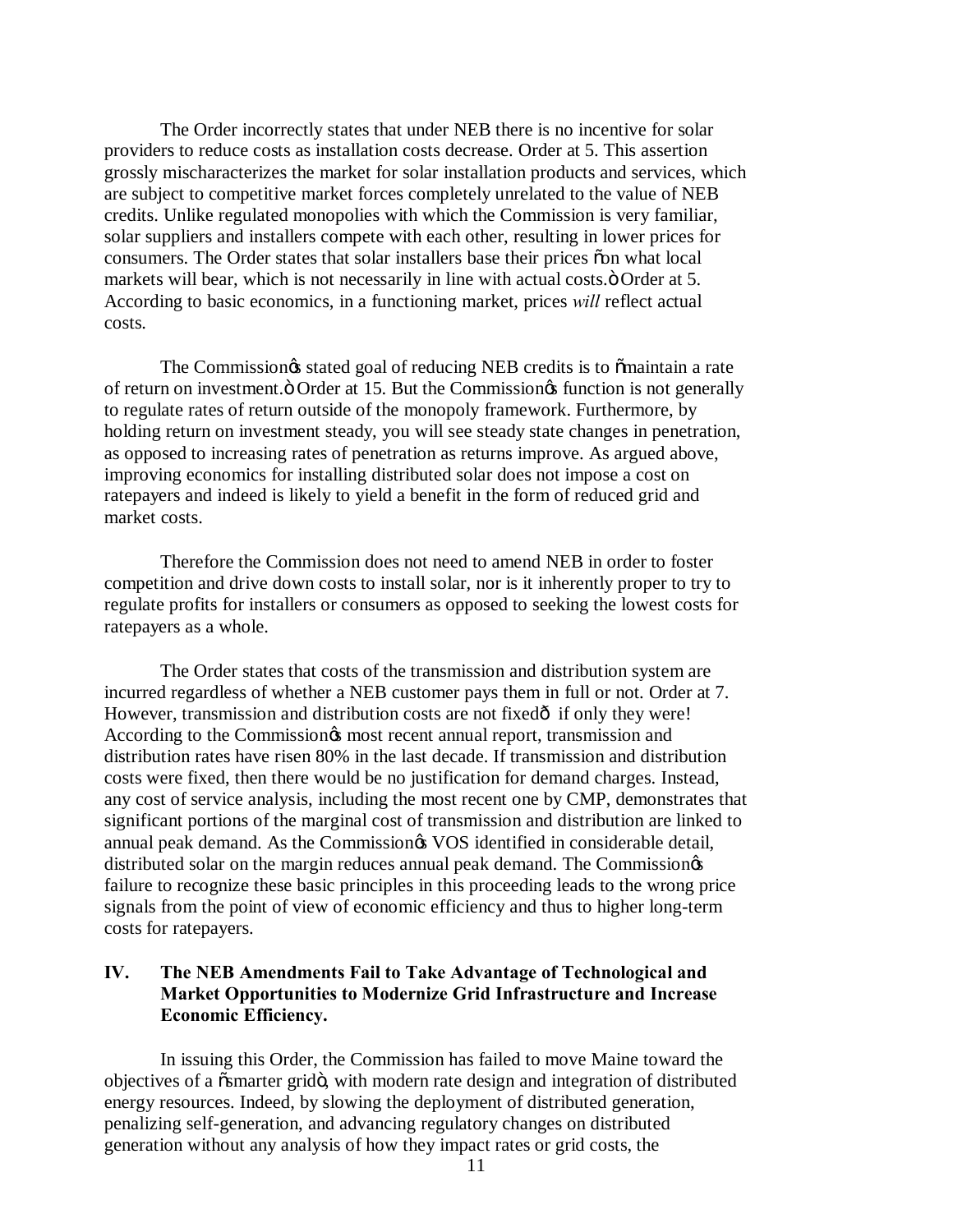The Order incorrectly states that under NEB there is no incentive for solar providers to reduce costs as installation costs decrease. Order at 5. This assertion grossly mischaracterizes the market for solar installation products and services, which are subject to competitive market forces completely unrelated to the value of NEB credits. Unlike regulated monopolies with which the Commission is very familiar, solar suppliers and installers compete with each other, resulting in lower prices for consumers. The Order states that solar installers base their prices "on what local markets will bear, which is not necessarily in line with actual costs. $\ddot{o}$  Order at 5. According to basic economics, in a functioning market, prices *will* reflect actual costs.

The Commission $\alpha$  stated goal of reducing NEB credits is to õmaintain a rate of return on investment. Ö Order at 15. But the Commission is function is not generally to regulate rates of return outside of the monopoly framework. Furthermore, by holding return on investment steady, you will see steady state changes in penetration, as opposed to increasing rates of penetration as returns improve. As argued above, improving economics for installing distributed solar does not impose a cost on ratepayers and indeed is likely to yield a benefit in the form of reduced grid and market costs.

Therefore the Commission does not need to amend NEB in order to foster competition and drive down costs to install solar, nor is it inherently proper to try to regulate profits for installers or consumers as opposed to seeking the lowest costs for ratepayers as a whole.

The Order states that costs of the transmission and distribution system are incurred regardless of whether a NEB customer pays them in full or not. Order at 7. However, transmission and distribution costs are not fixed $\delta$  if only they were! According to the Commission $\alpha$  most recent annual report, transmission and distribution rates have risen 80% in the last decade. If transmission and distribution costs were fixed, then there would be no justification for demand charges. Instead, any cost of service analysis, including the most recent one by CMP, demonstrates that significant portions of the marginal cost of transmission and distribution are linked to annual peak demand. As the Commission $\alpha$  VOS identified in considerable detail, distributed solar on the margin reduces annual peak demand. The Commission $\circ$ s failure to recognize these basic principles in this proceeding leads to the wrong price signals from the point of view of economic efficiency and thus to higher long-term costs for ratepayers.

### **IV. The NEB Amendments Fail to Take Advantage of Technological and Market Opportunities to Modernize Grid Infrastructure and Increase Economic Efficiency.**

In issuing this Order, the Commission has failed to move Maine toward the objectives of a  $\tilde{\text{o}}$ smarter gridö, with modern rate design and integration of distributed energy resources. Indeed, by slowing the deployment of distributed generation, penalizing self-generation, and advancing regulatory changes on distributed generation without any analysis of how they impact rates or grid costs, the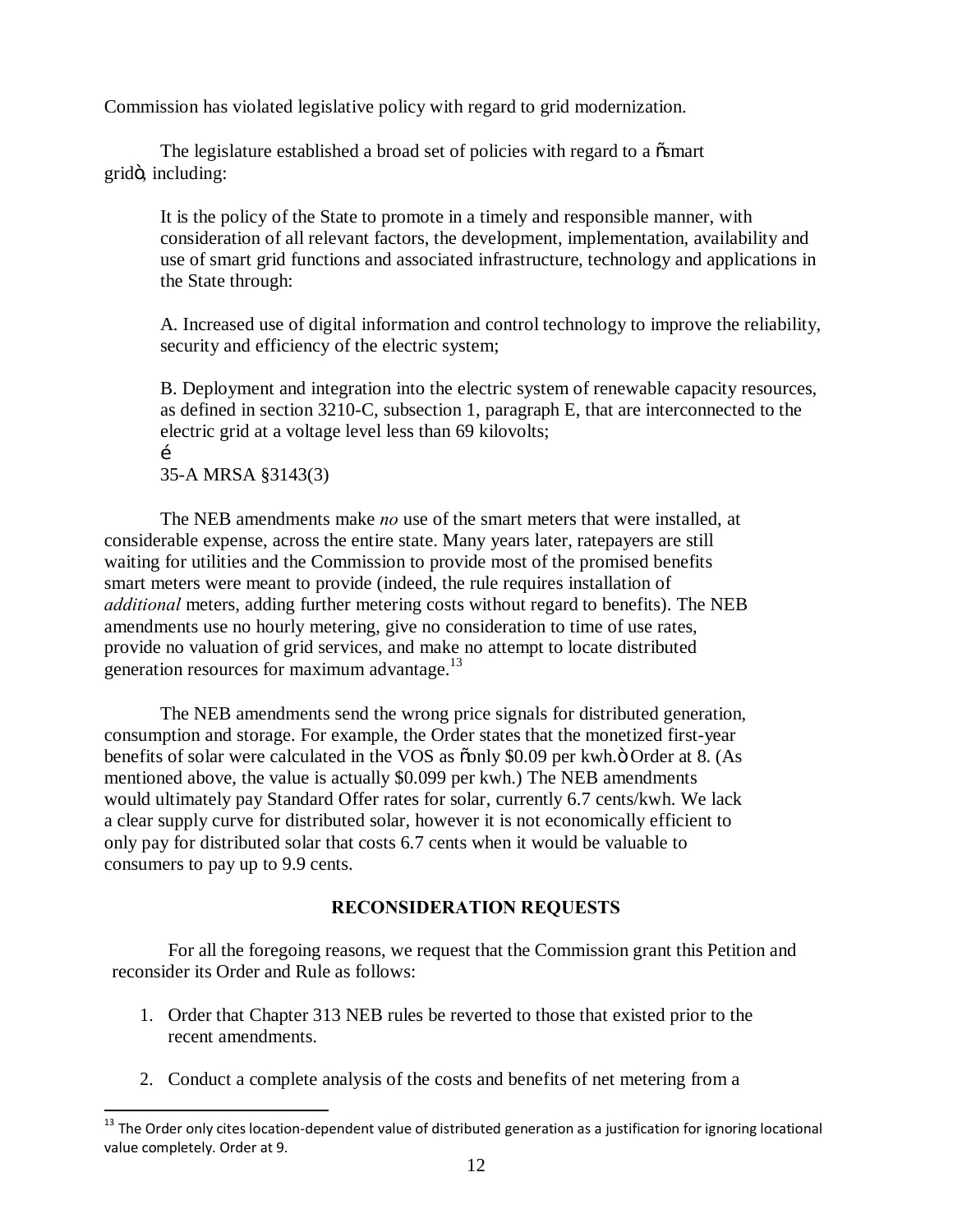Commission has violated legislative policy with regard to grid modernization.

The legislature established a broad set of policies with regard to a  $\ddot{\text{o}}$  a mart gridö, including:

It is the policy of the State to promote in a timely and responsible manner, with consideration of all relevant factors, the development, implementation, availability and use of smart grid functions and associated infrastructure, technology and applications in the State through:

A. Increased use of digital information and control technology to improve the reliability, security and efficiency of the electric system;

B. Deployment and integration into the electric system of renewable capacity resources, as defined in section 3210-C, subsection 1, paragraph E, that are interconnected to the electric grid at a voltage level less than 69 kilovolts;  $\mathbf{r}$ 

35-A MRSA §3143(3)

The NEB amendments make *no* use of the smart meters that were installed, at considerable expense, across the entire state. Many years later, ratepayers are still waiting for utilities and the Commission to provide most of the promised benefits smart meters were meant to provide (indeed, the rule requires installation of *additional* meters, adding further metering costs without regard to benefits). The NEB amendments use no hourly metering, give no consideration to time of use rates, provide no valuation of grid services, and make no attempt to locate distributed generation resources for maximum advantage.<sup>13</sup>

The NEB amendments send the wrong price signals for distributed generation, consumption and storage. For example, the Order states that the monetized first-year benefits of solar were calculated in the VOS as  $\ddot{\text{o}}$ only \$0.09 per kwh. $\ddot{\text{o}}$  Order at 8. (As mentioned above, the value is actually \$0.099 per kwh.) The NEB amendments would ultimately pay Standard Offer rates for solar, currently 6.7 cents/kwh. We lack a clear supply curve for distributed solar, however it is not economically efficient to only pay for distributed solar that costs 6.7 cents when it would be valuable to consumers to pay up to 9.9 cents.

# **RECONSIDERATION REQUESTS**

For all the foregoing reasons, we request that the Commission grant this Petition and reconsider its Order and Rule as follows:

- 1. Order that Chapter 313 NEB rules be reverted to those that existed prior to the recent amendments.
- 2. Conduct a complete analysis of the costs and benefits of net metering from a

 $13$  The Order only cites location-dependent value of distributed generation as a justification for ignoring locational value completely. Order at 9.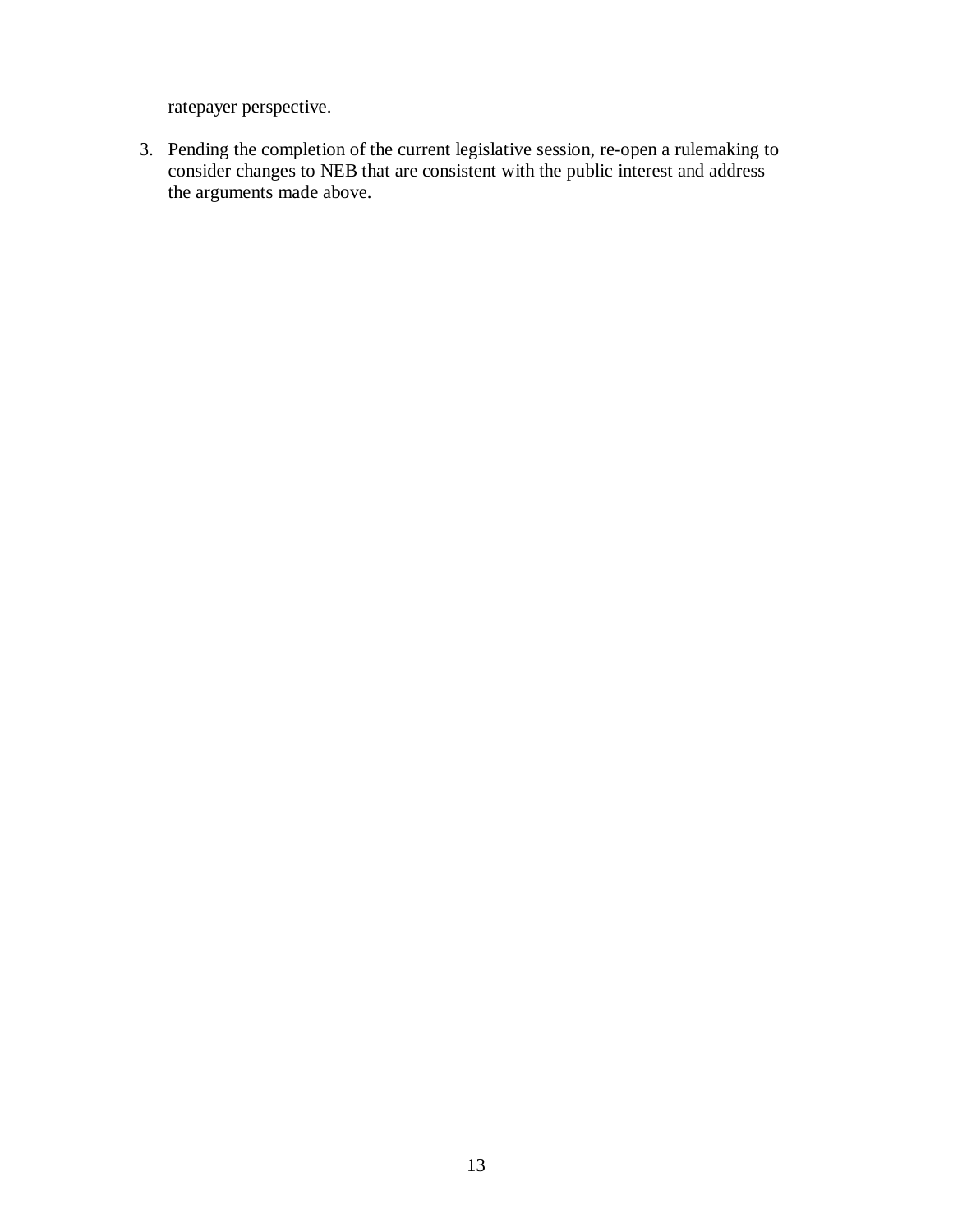ratepayer perspective.

3. Pending the completion of the current legislative session, re-open a rulemaking to consider changes to NEB that are consistent with the public interest and address the arguments made above.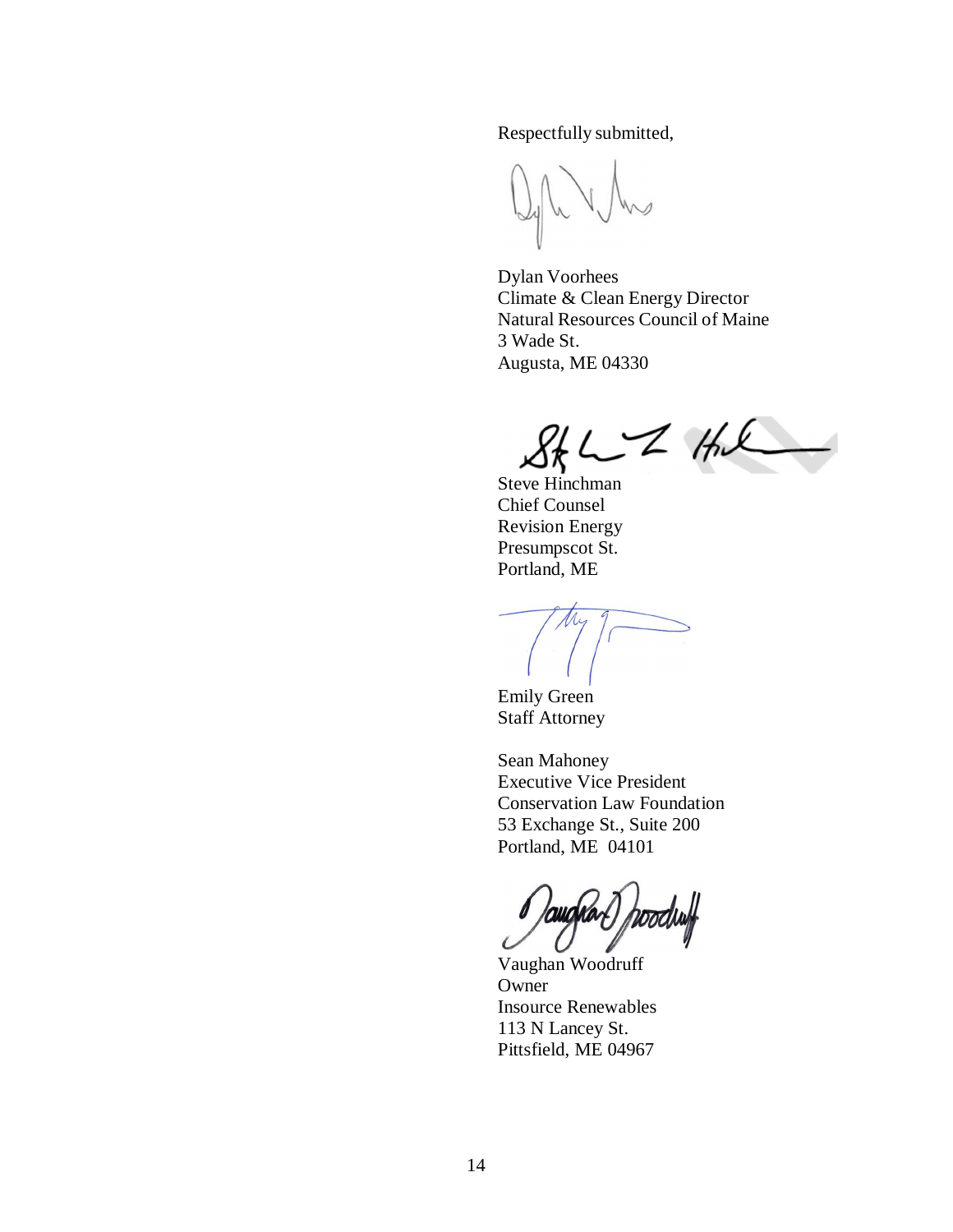Respectfully submitted,

Dylan Voorhees Climate & Clean Energy Director Natural Resources Council of Maine 3 Wade St. Augusta, ME 04330

 $2kL - 24k$ 

Steve Hinchman Chief Counsel Revision Energy Presumpscot St. Portland, ME

Emily Green Staff Attorney

Sean Mahoney Executive Vice President Conservation Law Foundation 53 Exchange St., Suite 200 Portland, ME 04101

Doodluff

Vaughan Woodruff Owner Insource Renewables 113 N Lancey St. Pittsfield, ME 04967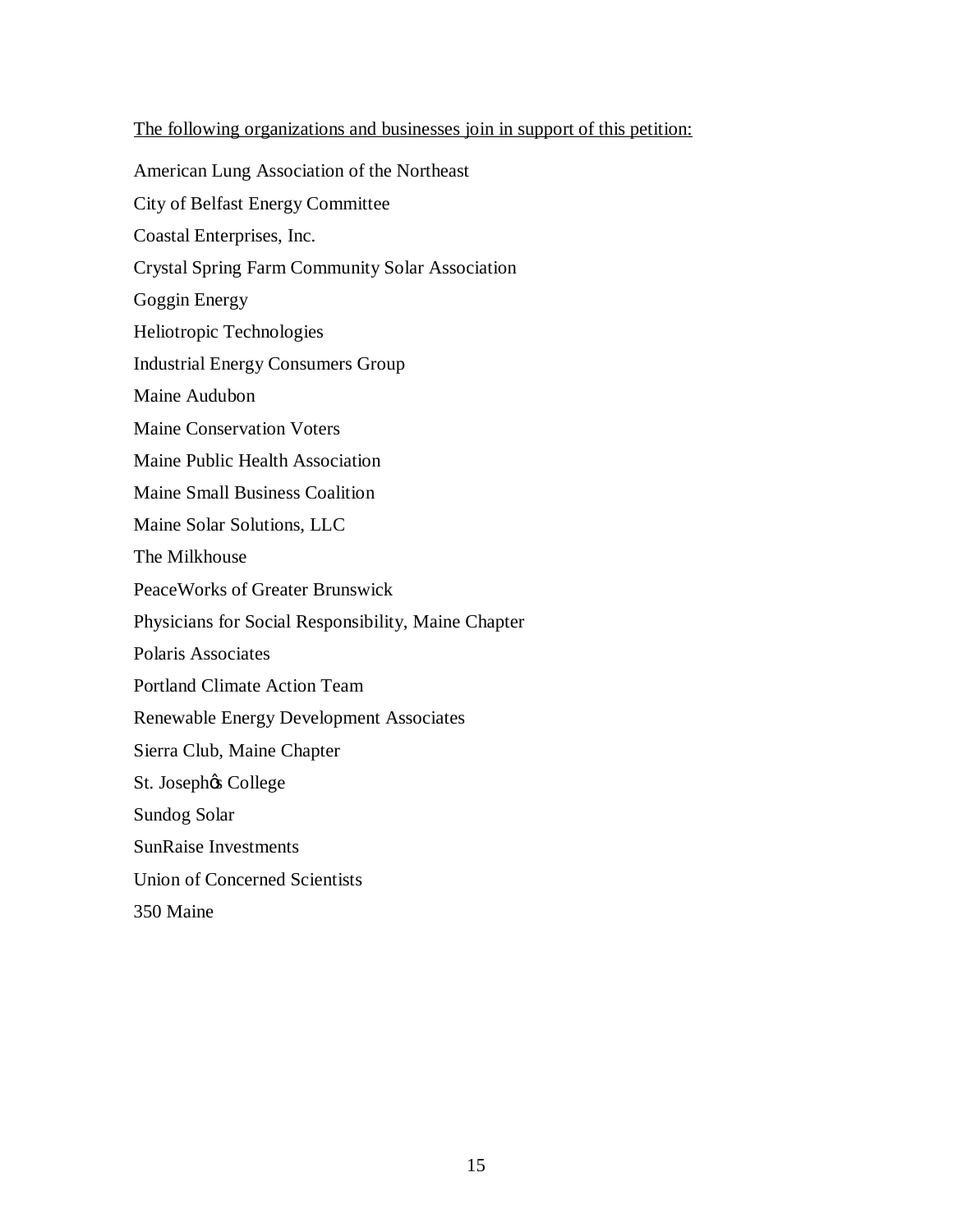# The following organizations and businesses join in support of this petition:

American Lung Association of the Northeast City of Belfast Energy Committee Coastal Enterprises, Inc. Crystal Spring Farm Community Solar Association Goggin Energy Heliotropic Technologies Industrial Energy Consumers Group Maine Audubon Maine Conservation Voters Maine Public Health Association Maine Small Business Coalition Maine Solar Solutions, LLC The Milkhouse PeaceWorks of Greater Brunswick Physicians for Social Responsibility, Maine Chapter Polaris Associates Portland Climate Action Team Renewable Energy Development Associates Sierra Club, Maine Chapter St. Josephøs College Sundog Solar SunRaise Investments Union of Concerned Scientists 350 Maine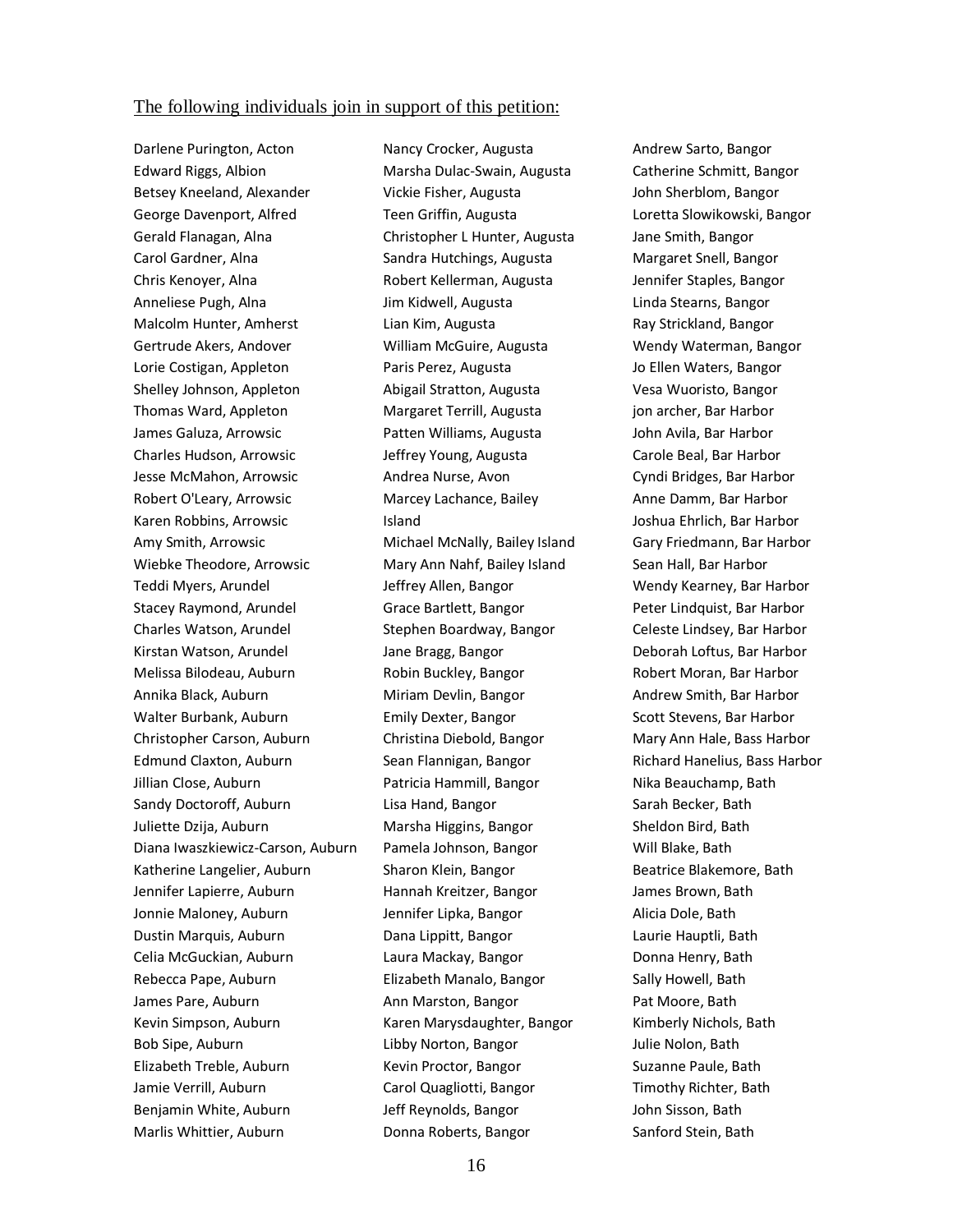#### The following individuals join in support of this petition:

Darlene Purington, Acton Edward Riggs, Albion Betsey Kneeland, Alexander George Davenport, Alfred Gerald Flanagan, Alna Carol Gardner, Alna Chris Kenoyer, Alna Anneliese Pugh, Alna Malcolm Hunter, Amherst Gertrude Akers, Andover Lorie Costigan, Appleton Shelley Johnson, Appleton Thomas Ward, Appleton James Galuza, Arrowsic Charles Hudson, Arrowsic Jesse McMahon, Arrowsic Robert O'Leary, Arrowsic Karen Robbins, Arrowsic Amy Smith, Arrowsic Wiebke Theodore, Arrowsic Teddi Myers, Arundel Stacey Raymond, Arundel Charles Watson, Arundel Kirstan Watson, Arundel Melissa Bilodeau, Auburn Annika Black, Auburn Walter Burbank, Auburn Christopher Carson, Auburn Edmund Claxton, Auburn Jillian Close, Auburn Sandy Doctoroff, Auburn Juliette Dzija, Auburn Diana Iwaszkiewicz-Carson, Auburn Katherine Langelier, Auburn Jennifer Lapierre, Auburn Jonnie Maloney, Auburn Dustin Marquis, Auburn Celia McGuckian, Auburn Rebecca Pape, Auburn James Pare, Auburn Kevin Simpson, Auburn Bob Sipe, Auburn Elizabeth Treble, Auburn Jamie Verrill, Auburn Benjamin White, Auburn Marlis Whittier, Auburn

Nancy Crocker, Augusta Marsha Dulac-Swain, Augusta Vickie Fisher, Augusta Teen Griffin, Augusta Christopher L Hunter, Augusta Sandra Hutchings, Augusta Robert Kellerman, Augusta Jim Kidwell, Augusta Lian Kim, Augusta William McGuire, Augusta Paris Perez, Augusta Abigail Stratton, Augusta Margaret Terrill, Augusta Patten Williams, Augusta Jeffrey Young, Augusta Andrea Nurse, Avon Marcey Lachance, Bailey Island Michael McNally, Bailey Island Mary Ann Nahf, Bailey Island Jeffrey Allen, Bangor Grace Bartlett, Bangor Stephen Boardway, Bangor Jane Bragg, Bangor Robin Buckley, Bangor Miriam Devlin, Bangor Emily Dexter, Bangor Christina Diebold, Bangor Sean Flannigan, Bangor Patricia Hammill, Bangor Lisa Hand, Bangor Marsha Higgins, Bangor Pamela Johnson, Bangor Sharon Klein, Bangor Hannah Kreitzer, Bangor Jennifer Lipka, Bangor Dana Lippitt, Bangor Laura Mackay, Bangor Elizabeth Manalo, Bangor Ann Marston, Bangor Karen Marysdaughter, Bangor Libby Norton, Bangor Kevin Proctor, Bangor Carol Quagliotti, Bangor Jeff Reynolds, Bangor Donna Roberts, Bangor

Andrew Sarto, Bangor Catherine Schmitt, Bangor John Sherblom, Bangor Loretta Slowikowski, Bangor Jane Smith, Bangor Margaret Snell, Bangor Jennifer Staples, Bangor Linda Stearns, Bangor Ray Strickland, Bangor Wendy Waterman, Bangor Jo Ellen Waters, Bangor Vesa Wuoristo, Bangor jon archer, Bar Harbor John Avila, Bar Harbor Carole Beal, Bar Harbor Cyndi Bridges, Bar Harbor Anne Damm, Bar Harbor Joshua Ehrlich, Bar Harbor Gary Friedmann, Bar Harbor Sean Hall, Bar Harbor Wendy Kearney, Bar Harbor Peter Lindquist, Bar Harbor Celeste Lindsey, Bar Harbor Deborah Loftus, Bar Harbor Robert Moran, Bar Harbor Andrew Smith, Bar Harbor Scott Stevens, Bar Harbor Mary Ann Hale, Bass Harbor Richard Hanelius, Bass Harbor Nika Beauchamp, Bath Sarah Becker, Bath Sheldon Bird, Bath Will Blake, Bath Beatrice Blakemore, Bath James Brown, Bath Alicia Dole, Bath Laurie Hauptli, Bath Donna Henry, Bath Sally Howell, Bath Pat Moore, Bath Kimberly Nichols, Bath Julie Nolon, Bath Suzanne Paule, Bath Timothy Richter, Bath John Sisson, Bath Sanford Stein, Bath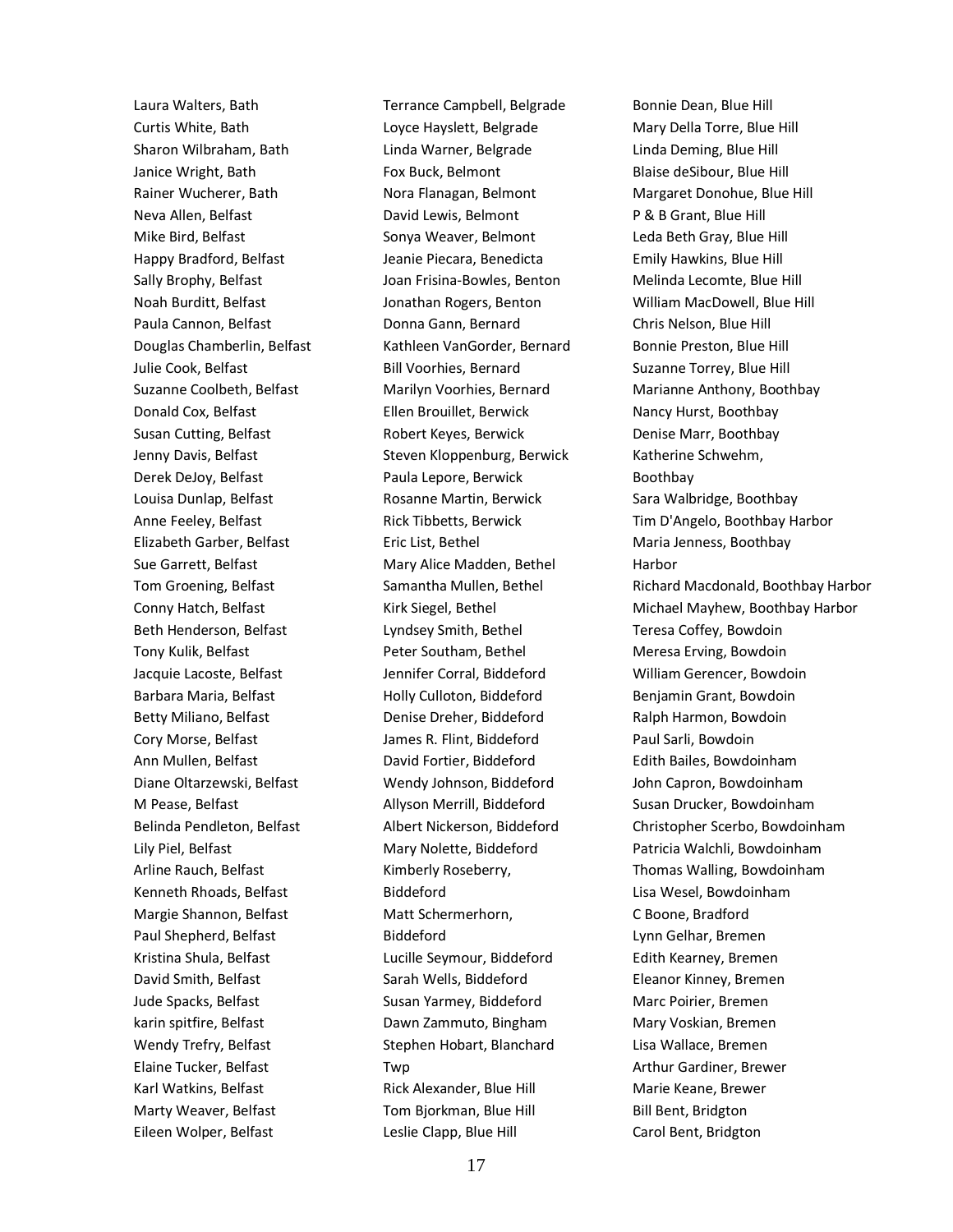Laura Walters, Bath Curtis White, Bath Sharon Wilbraham, Bath Janice Wright, Bath Rainer Wucherer, Bath Neva Allen, Belfast Mike Bird, Belfast Happy Bradford, Belfast Sally Brophy, Belfast Noah Burditt, Belfast Paula Cannon, Belfast Douglas Chamberlin, Belfast Julie Cook, Belfast Suzanne Coolbeth, Belfast Donald Cox, Belfast Susan Cutting, Belfast Jenny Davis, Belfast Derek DeJoy, Belfast Louisa Dunlap, Belfast Anne Feeley, Belfast Elizabeth Garber, Belfast Sue Garrett, Belfast Tom Groening, Belfast Conny Hatch, Belfast Beth Henderson, Belfast Tony Kulik, Belfast Jacquie Lacoste, Belfast Barbara Maria, Belfast Betty Miliano, Belfast Cory Morse, Belfast Ann Mullen, Belfast Diane Oltarzewski, Belfast M Pease, Belfast Belinda Pendleton, Belfast Lily Piel, Belfast Arline Rauch, Belfast Kenneth Rhoads, Belfast Margie Shannon, Belfast Paul Shepherd, Belfast Kristina Shula, Belfast David Smith, Belfast Jude Spacks, Belfast karin spitfire, Belfast Wendy Trefry, Belfast Elaine Tucker, Belfast Karl Watkins, Belfast Marty Weaver, Belfast Eileen Wolper, Belfast

Terrance Campbell, Belgrade Loyce Hayslett, Belgrade Linda Warner, Belgrade Fox Buck, Belmont Nora Flanagan, Belmont David Lewis, Belmont Sonya Weaver, Belmont Jeanie Piecara, Benedicta Joan Frisina-Bowles, Benton Jonathan Rogers, Benton Donna Gann, Bernard Kathleen VanGorder, Bernard Bill Voorhies, Bernard Marilyn Voorhies, Bernard Ellen Brouillet, Berwick Robert Keyes, Berwick Steven Kloppenburg, Berwick Paula Lepore, Berwick Rosanne Martin, Berwick Rick Tibbetts, Berwick Eric List, Bethel Mary Alice Madden, Bethel Samantha Mullen, Bethel Kirk Siegel, Bethel Lyndsey Smith, Bethel Peter Southam, Bethel Jennifer Corral, Biddeford Holly Culloton, Biddeford Denise Dreher, Biddeford James R. Flint, Biddeford David Fortier, Biddeford Wendy Johnson, Biddeford Allyson Merrill, Biddeford Albert Nickerson, Biddeford Mary Nolette, Biddeford Kimberly Roseberry, Biddeford Matt Schermerhorn, Biddeford Lucille Seymour, Biddeford Sarah Wells, Biddeford Susan Yarmey, Biddeford Dawn Zammuto, Bingham Stephen Hobart, Blanchard Twp Rick Alexander, Blue Hill Tom Bjorkman, Blue Hill Leslie Clapp, Blue Hill

Bonnie Dean, Blue Hill Mary Della Torre, Blue Hill Linda Deming, Blue Hill Blaise deSibour, Blue Hill Margaret Donohue, Blue Hill P & B Grant, Blue Hill Leda Beth Gray, Blue Hill Emily Hawkins, Blue Hill Melinda Lecomte, Blue Hill William MacDowell, Blue Hill Chris Nelson, Blue Hill Bonnie Preston, Blue Hill Suzanne Torrey, Blue Hill Marianne Anthony, Boothbay Nancy Hurst, Boothbay Denise Marr, Boothbay Katherine Schwehm, Boothbay Sara Walbridge, Boothbay Tim D'Angelo, Boothbay Harbor Maria Jenness, Boothbay Harbor Richard Macdonald, Boothbay Harbor Michael Mayhew, Boothbay Harbor Teresa Coffey, Bowdoin Meresa Erving, Bowdoin William Gerencer, Bowdoin Benjamin Grant, Bowdoin Ralph Harmon, Bowdoin Paul Sarli, Bowdoin Edith Bailes, Bowdoinham John Capron, Bowdoinham Susan Drucker, Bowdoinham Christopher Scerbo, Bowdoinham Patricia Walchli, Bowdoinham Thomas Walling, Bowdoinham Lisa Wesel, Bowdoinham C Boone, Bradford Lynn Gelhar, Bremen Edith Kearney, Bremen Eleanor Kinney, Bremen Marc Poirier, Bremen Mary Voskian, Bremen Lisa Wallace, Bremen Arthur Gardiner, Brewer Marie Keane, Brewer Bill Bent, Bridgton Carol Bent, Bridgton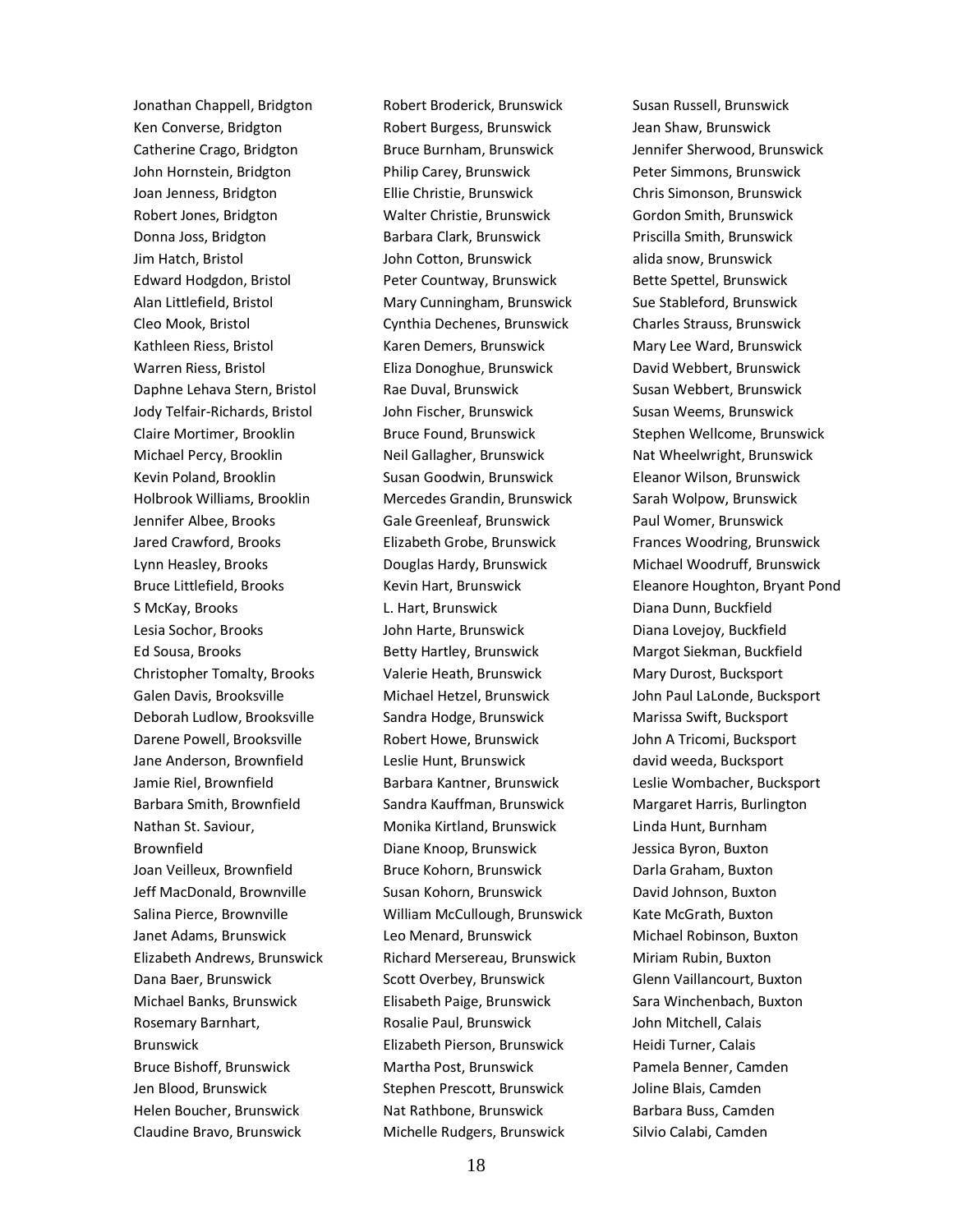Jonathan Chappell, Bridgton Ken Converse, Bridgton Catherine Crago, Bridgton John Hornstein, Bridgton Joan Jenness, Bridgton Robert Jones, Bridgton Donna Joss, Bridgton Jim Hatch, Bristol Edward Hodgdon, Bristol Alan Littlefield, Bristol Cleo Mook, Bristol Kathleen Riess, Bristol Warren Riess, Bristol Daphne Lehava Stern, Bristol Jody Telfair-Richards, Bristol Claire Mortimer, Brooklin Michael Percy, Brooklin Kevin Poland, Brooklin Holbrook Williams, Brooklin Jennifer Albee, Brooks Jared Crawford, Brooks Lynn Heasley, Brooks Bruce Littlefield, Brooks S McKay, Brooks Lesia Sochor, Brooks Ed Sousa, Brooks Christopher Tomalty, Brooks Galen Davis, Brooksville Deborah Ludlow, Brooksville Darene Powell, Brooksville Jane Anderson, Brownfield Jamie Riel, Brownfield Barbara Smith, Brownfield Nathan St. Saviour, Brownfield Joan Veilleux, Brownfield Jeff MacDonald, Brownville Salina Pierce, Brownville Janet Adams, Brunswick Elizabeth Andrews, Brunswick Dana Baer, Brunswick Michael Banks, Brunswick Rosemary Barnhart, Brunswick Bruce Bishoff, Brunswick Jen Blood, Brunswick Helen Boucher, Brunswick Claudine Bravo, Brunswick

Robert Broderick, Brunswick Robert Burgess, Brunswick Bruce Burnham, Brunswick Philip Carey, Brunswick Ellie Christie, Brunswick Walter Christie, Brunswick Barbara Clark, Brunswick John Cotton, Brunswick Peter Countway, Brunswick Mary Cunningham, Brunswick Cynthia Dechenes, Brunswick Karen Demers, Brunswick Eliza Donoghue, Brunswick Rae Duval, Brunswick John Fischer, Brunswick Bruce Found, Brunswick Neil Gallagher, Brunswick Susan Goodwin, Brunswick Mercedes Grandin, Brunswick Gale Greenleaf, Brunswick Elizabeth Grobe, Brunswick Douglas Hardy, Brunswick Kevin Hart, Brunswick L. Hart, Brunswick John Harte, Brunswick Betty Hartley, Brunswick Valerie Heath, Brunswick Michael Hetzel, Brunswick Sandra Hodge, Brunswick Robert Howe, Brunswick Leslie Hunt, Brunswick Barbara Kantner, Brunswick Sandra Kauffman, Brunswick Monika Kirtland, Brunswick Diane Knoop, Brunswick Bruce Kohorn, Brunswick Susan Kohorn, Brunswick William McCullough, Brunswick Leo Menard, Brunswick Richard Mersereau, Brunswick Scott Overbey, Brunswick Elisabeth Paige, Brunswick Rosalie Paul, Brunswick Elizabeth Pierson, Brunswick Martha Post, Brunswick Stephen Prescott, Brunswick Nat Rathbone, Brunswick Michelle Rudgers, Brunswick

Susan Russell, Brunswick Jean Shaw, Brunswick Jennifer Sherwood, Brunswick Peter Simmons, Brunswick Chris Simonson, Brunswick Gordon Smith, Brunswick Priscilla Smith, Brunswick alida snow, Brunswick Bette Spettel, Brunswick Sue Stableford, Brunswick Charles Strauss, Brunswick Mary Lee Ward, Brunswick David Webbert, Brunswick Susan Webbert, Brunswick Susan Weems, Brunswick Stephen Wellcome, Brunswick Nat Wheelwright, Brunswick Eleanor Wilson, Brunswick Sarah Wolpow, Brunswick Paul Womer, Brunswick Frances Woodring, Brunswick Michael Woodruff, Brunswick Eleanore Houghton, Bryant Pond Diana Dunn, Buckfield Diana Lovejoy, Buckfield Margot Siekman, Buckfield Mary Durost, Bucksport John Paul LaLonde, Bucksport Marissa Swift, Bucksport John A Tricomi, Bucksport david weeda, Bucksport Leslie Wombacher, Bucksport Margaret Harris, Burlington Linda Hunt, Burnham Jessica Byron, Buxton Darla Graham, Buxton David Johnson, Buxton Kate McGrath, Buxton Michael Robinson, Buxton Miriam Rubin, Buxton Glenn Vaillancourt, Buxton Sara Winchenbach, Buxton John Mitchell, Calais Heidi Turner, Calais Pamela Benner, Camden Joline Blais, Camden Barbara Buss, Camden Silvio Calabi, Camden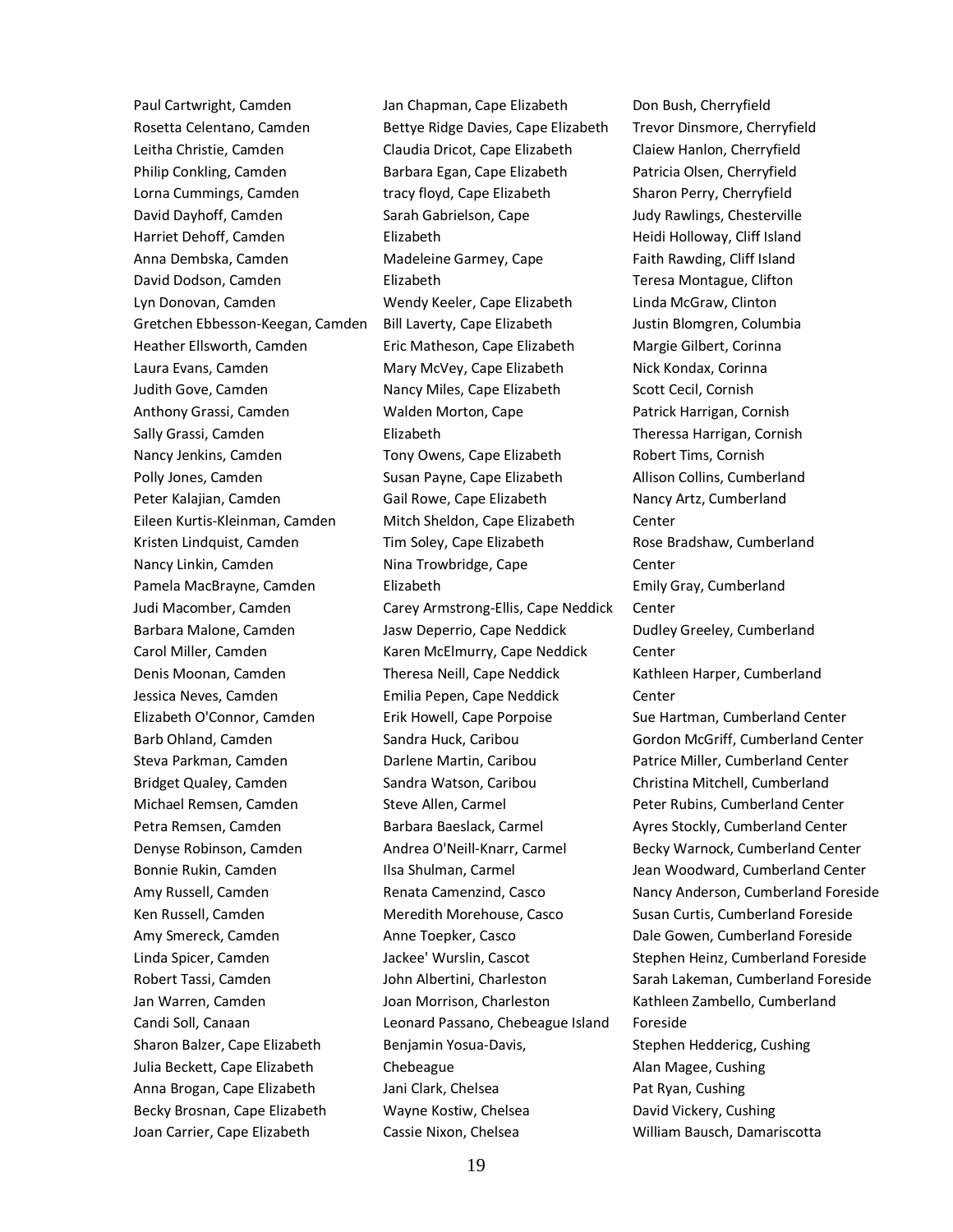Paul Cartwright, Camden Rosetta Celentano, Camden Leitha Christie, Camden Philip Conkling, Camden Lorna Cummings, Camden David Dayhoff, Camden Harriet Dehoff, Camden Anna Dembska, Camden David Dodson, Camden Lyn Donovan, Camden Gretchen Ebbesson-Keegan, Camden Heather Ellsworth, Camden Laura Evans, Camden Judith Gove, Camden Anthony Grassi, Camden Sally Grassi, Camden Nancy Jenkins, Camden Polly Jones, Camden Peter Kalajian, Camden Eileen Kurtis-Kleinman, Camden Kristen Lindquist, Camden Nancy Linkin, Camden Pamela MacBrayne, Camden Judi Macomber, Camden Barbara Malone, Camden Carol Miller, Camden Denis Moonan, Camden Jessica Neves, Camden Elizabeth O'Connor, Camden Barb Ohland, Camden Steva Parkman, Camden Bridget Qualey, Camden Michael Remsen, Camden Petra Remsen, Camden Denyse Robinson, Camden Bonnie Rukin, Camden Amy Russell, Camden Ken Russell, Camden Amy Smereck, Camden Linda Spicer, Camden Robert Tassi, Camden Jan Warren, Camden Candi Soll, Canaan Sharon Balzer, Cape Elizabeth Julia Beckett, Cape Elizabeth Anna Brogan, Cape Elizabeth Becky Brosnan, Cape Elizabeth Joan Carrier, Cape Elizabeth

Jan Chapman, Cape Elizabeth Bettye Ridge Davies, Cape Elizabeth Claudia Dricot, Cape Elizabeth Barbara Egan, Cape Elizabeth tracy floyd, Cape Elizabeth Sarah Gabrielson, Cape Elizabeth Madeleine Garmey, Cape Elizabeth Wendy Keeler, Cape Elizabeth Bill Laverty, Cape Elizabeth Eric Matheson, Cape Elizabeth Mary McVey, Cape Elizabeth Nancy Miles, Cape Elizabeth Walden Morton, Cape Elizabeth Tony Owens, Cape Elizabeth Susan Payne, Cape Elizabeth Gail Rowe, Cape Elizabeth Mitch Sheldon, Cape Elizabeth Tim Soley, Cape Elizabeth Nina Trowbridge, Cape Elizabeth Carey Armstrong-Ellis, Cape Neddick Jasw Deperrio, Cape Neddick Karen McElmurry, Cape Neddick Theresa Neill, Cape Neddick Emilia Pepen, Cape Neddick Erik Howell, Cape Porpoise Sandra Huck, Caribou Darlene Martin, Caribou Sandra Watson, Caribou Steve Allen, Carmel Barbara Baeslack, Carmel Andrea O'Neill-Knarr, Carmel Ilsa Shulman, Carmel Renata Camenzind, Casco Meredith Morehouse, Casco Anne Toepker, Casco Jackee' Wurslin, Cascot John Albertini, Charleston Joan Morrison, Charleston Leonard Passano, Chebeague Island Benjamin Yosua-Davis, Chebeague Jani Clark, Chelsea Wayne Kostiw, Chelsea Cassie Nixon, Chelsea

Don Bush, Cherryfield Trevor Dinsmore, Cherryfield Claiew Hanlon, Cherryfield Patricia Olsen, Cherryfield Sharon Perry, Cherryfield Judy Rawlings, Chesterville Heidi Holloway, Cliff Island Faith Rawding, Cliff Island Teresa Montague, Clifton Linda McGraw, Clinton Justin Blomgren, Columbia Margie Gilbert, Corinna Nick Kondax, Corinna Scott Cecil, Cornish Patrick Harrigan, Cornish Theressa Harrigan, Cornish Robert Tims, Cornish Allison Collins, Cumberland Nancy Artz, Cumberland Center Rose Bradshaw, Cumberland Center Emily Gray, Cumberland Center Dudley Greeley, Cumberland Center Kathleen Harper, Cumberland Center Sue Hartman, Cumberland Center Gordon McGriff, Cumberland Center Patrice Miller, Cumberland Center Christina Mitchell, Cumberland Peter Rubins, Cumberland Center Ayres Stockly, Cumberland Center Becky Warnock, Cumberland Center Jean Woodward, Cumberland Center Nancy Anderson, Cumberland Foreside Susan Curtis, Cumberland Foreside Dale Gowen, Cumberland Foreside Stephen Heinz, Cumberland Foreside Sarah Lakeman, Cumberland Foreside Kathleen Zambello, Cumberland Foreside Stephen Heddericg, Cushing Alan Magee, Cushing Pat Ryan, Cushing David Vickery, Cushing William Bausch, Damariscotta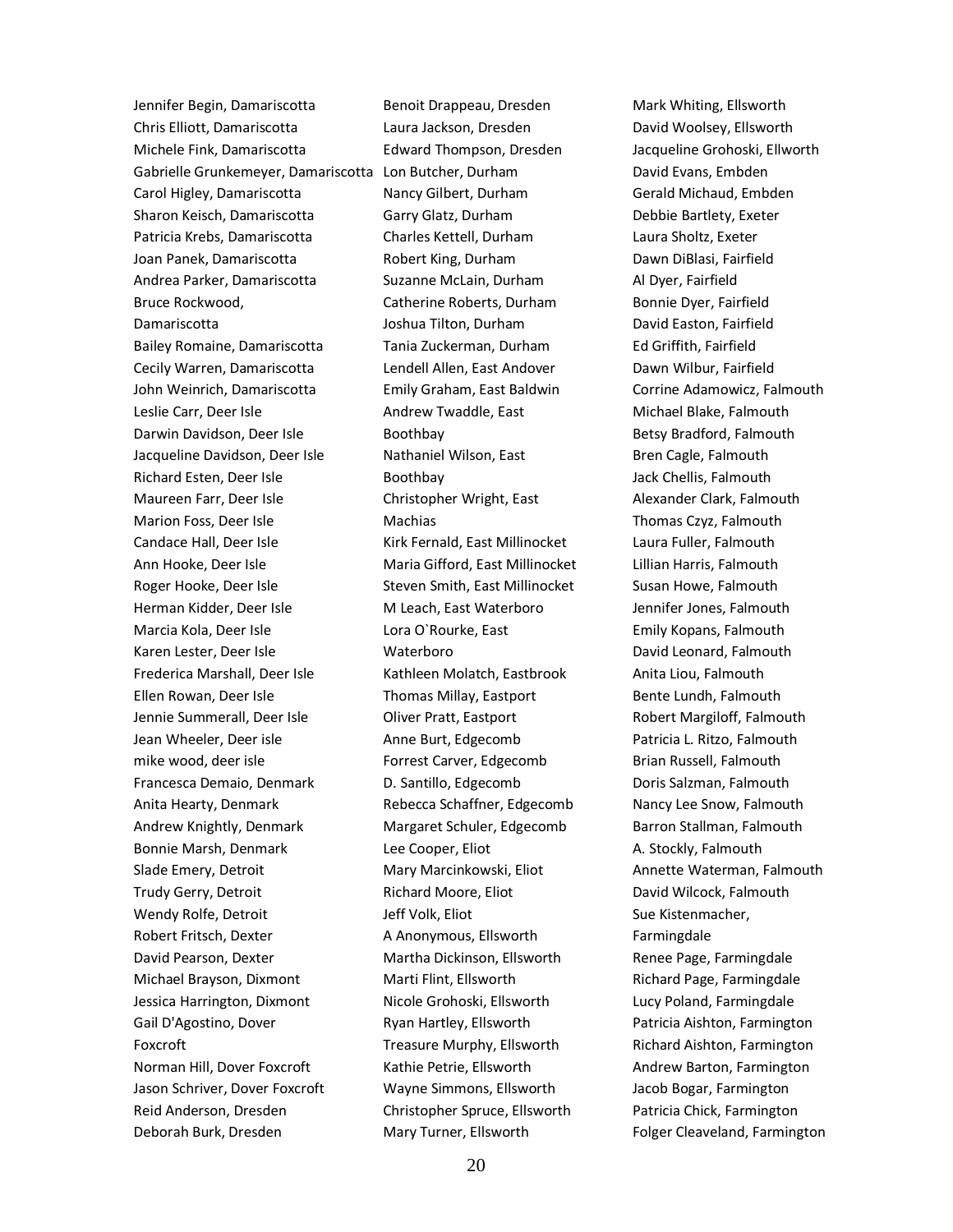Jennifer Begin, Damariscotta Chris Elliott, Damariscotta Michele Fink, Damariscotta Gabrielle Grunkemeyer, Damariscotta Lon Butcher, Durham Carol Higley, Damariscotta Sharon Keisch, Damariscotta Patricia Krebs, Damariscotta Joan Panek, Damariscotta Andrea Parker, Damariscotta Bruce Rockwood, Damariscotta Bailey Romaine, Damariscotta Cecily Warren, Damariscotta John Weinrich, Damariscotta Leslie Carr, Deer Isle Darwin Davidson, Deer Isle Jacqueline Davidson, Deer Isle Richard Esten, Deer Isle Maureen Farr, Deer Isle Marion Foss, Deer Isle Candace Hall, Deer Isle Ann Hooke, Deer Isle Roger Hooke, Deer Isle Herman Kidder, Deer Isle Marcia Kola, Deer Isle Karen Lester, Deer Isle Frederica Marshall, Deer Isle Ellen Rowan, Deer Isle Jennie Summerall, Deer Isle Jean Wheeler, Deer isle mike wood, deer isle Francesca Demaio, Denmark Anita Hearty, Denmark Andrew Knightly, Denmark Bonnie Marsh, Denmark Slade Emery, Detroit Trudy Gerry, Detroit Wendy Rolfe, Detroit Robert Fritsch, Dexter David Pearson, Dexter Michael Brayson, Dixmont Jessica Harrington, Dixmont Gail D'Agostino, Dover Foxcroft Norman Hill, Dover Foxcroft Jason Schriver, Dover Foxcroft Reid Anderson, Dresden Deborah Burk, Dresden

Benoit Drappeau, Dresden Laura Jackson, Dresden Edward Thompson, Dresden Nancy Gilbert, Durham Garry Glatz, Durham Charles Kettell, Durham Robert King, Durham Suzanne McLain, Durham Catherine Roberts, Durham Joshua Tilton, Durham Tania Zuckerman, Durham Lendell Allen, East Andover Emily Graham, East Baldwin Andrew Twaddle, East Boothbay Nathaniel Wilson, East Boothbay Christopher Wright, East **Machias** Kirk Fernald, East Millinocket Maria Gifford, East Millinocket Steven Smith, East Millinocket M Leach, East Waterboro Lora O`Rourke, East Waterboro Kathleen Molatch, Eastbrook Thomas Millay, Eastport Oliver Pratt, Eastport Anne Burt, Edgecomb Forrest Carver, Edgecomb D. Santillo, Edgecomb Rebecca Schaffner, Edgecomb Margaret Schuler, Edgecomb Lee Cooper, Eliot Mary Marcinkowski, Eliot Richard Moore, Eliot Jeff Volk, Eliot A Anonymous, Ellsworth Martha Dickinson, Ellsworth Marti Flint, Ellsworth Nicole Grohoski, Ellsworth Ryan Hartley, Ellsworth Treasure Murphy, Ellsworth Kathie Petrie, Ellsworth Wayne Simmons, Ellsworth Christopher Spruce, Ellsworth Mary Turner, Ellsworth

Mark Whiting, Ellsworth David Woolsey, Ellsworth Jacqueline Grohoski, Ellworth David Evans, Embden Gerald Michaud, Embden Debbie Bartlety, Exeter Laura Sholtz, Exeter Dawn DiBlasi, Fairfield Al Dyer, Fairfield Bonnie Dyer, Fairfield David Easton, Fairfield Ed Griffith, Fairfield Dawn Wilbur, Fairfield Corrine Adamowicz, Falmouth Michael Blake, Falmouth Betsy Bradford, Falmouth Bren Cagle, Falmouth Jack Chellis, Falmouth Alexander Clark, Falmouth Thomas Czyz, Falmouth Laura Fuller, Falmouth Lillian Harris, Falmouth Susan Howe, Falmouth Jennifer Jones, Falmouth Emily Kopans, Falmouth David Leonard, Falmouth Anita Liou, Falmouth Bente Lundh, Falmouth Robert Margiloff, Falmouth Patricia L. Ritzo, Falmouth Brian Russell, Falmouth Doris Salzman, Falmouth Nancy Lee Snow, Falmouth Barron Stallman, Falmouth A. Stockly, Falmouth Annette Waterman, Falmouth David Wilcock, Falmouth Sue Kistenmacher, Farmingdale Renee Page, Farmingdale Richard Page, Farmingdale Lucy Poland, Farmingdale Patricia Aishton, Farmington Richard Aishton, Farmington Andrew Barton, Farmington Jacob Bogar, Farmington Patricia Chick, Farmington Folger Cleaveland, Farmington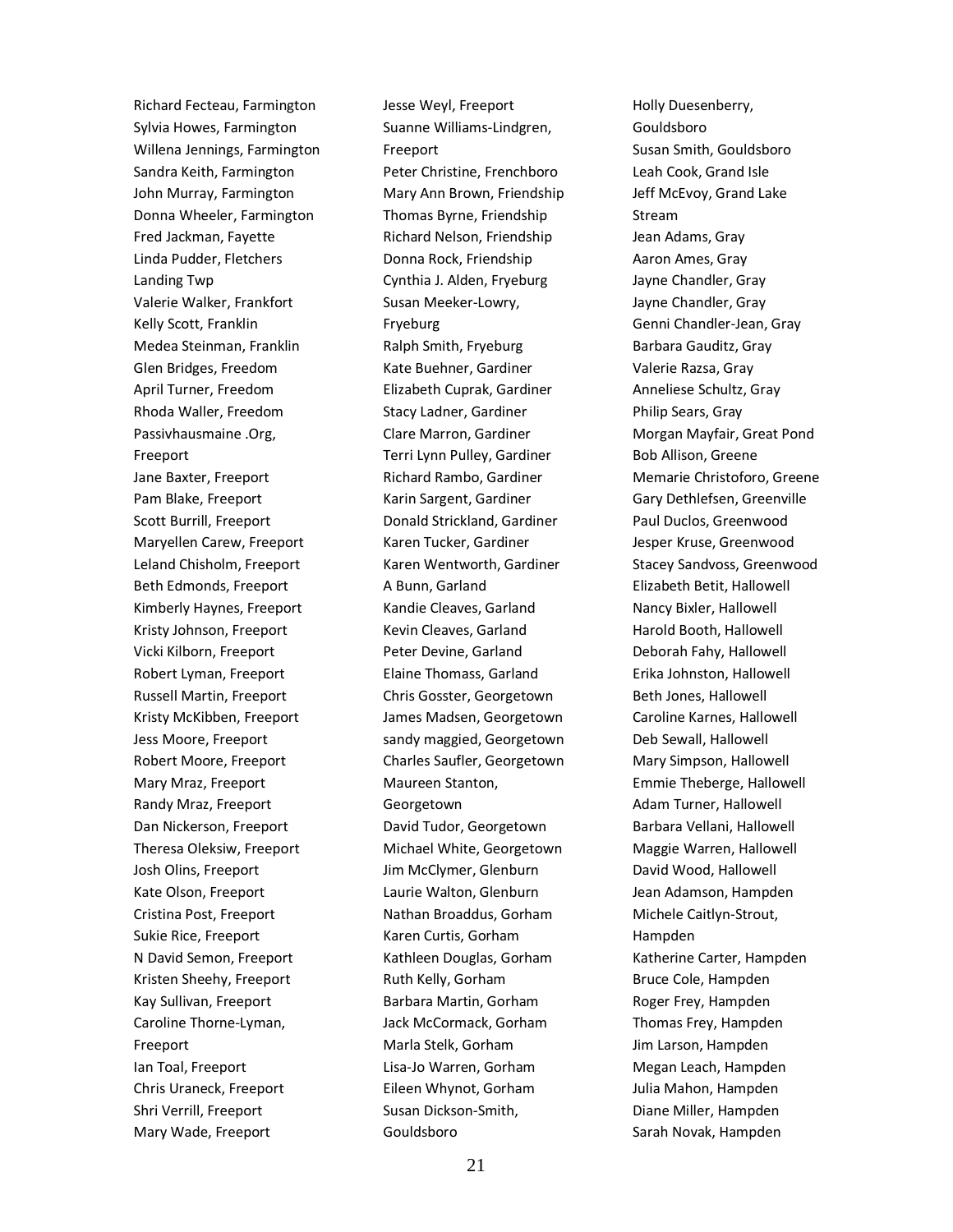Richard Fecteau, Farmington Sylvia Howes, Farmington Willena Jennings, Farmington Sandra Keith, Farmington John Murray, Farmington Donna Wheeler, Farmington Fred Jackman, Fayette Linda Pudder, Fletchers Landing Twp Valerie Walker, Frankfort Kelly Scott, Franklin Medea Steinman, Franklin Glen Bridges, Freedom April Turner, Freedom Rhoda Waller, Freedom Passivhausmaine .Org, Freeport Jane Baxter, Freeport Pam Blake, Freeport Scott Burrill, Freeport Maryellen Carew, Freeport Leland Chisholm, Freeport Beth Edmonds, Freeport Kimberly Haynes, Freeport Kristy Johnson, Freeport Vicki Kilborn, Freeport Robert Lyman, Freeport Russell Martin, Freeport Kristy McKibben, Freeport Jess Moore, Freeport Robert Moore, Freeport Mary Mraz, Freeport Randy Mraz, Freeport Dan Nickerson, Freeport Theresa Oleksiw, Freeport Josh Olins, Freeport Kate Olson, Freeport Cristina Post, Freeport Sukie Rice, Freeport N David Semon, Freeport Kristen Sheehy, Freeport Kay Sullivan, Freeport Caroline Thorne-Lyman, Freeport Ian Toal, Freeport Chris Uraneck, Freeport Shri Verrill, Freeport Mary Wade, Freeport

Jesse Weyl, Freeport Suanne Williams-Lindgren, Freeport Peter Christine, Frenchboro Mary Ann Brown, Friendship Thomas Byrne, Friendship Richard Nelson, Friendship Donna Rock, Friendship Cynthia J. Alden, Fryeburg Susan Meeker-Lowry, Fryeburg Ralph Smith, Fryeburg Kate Buehner, Gardiner Elizabeth Cuprak, Gardiner Stacy Ladner, Gardiner Clare Marron, Gardiner Terri Lynn Pulley, Gardiner Richard Rambo, Gardiner Karin Sargent, Gardiner Donald Strickland, Gardiner Karen Tucker, Gardiner Karen Wentworth, Gardiner A Bunn, Garland Kandie Cleaves, Garland Kevin Cleaves, Garland Peter Devine, Garland Elaine Thomass, Garland Chris Gosster, Georgetown James Madsen, Georgetown sandy maggied, Georgetown Charles Saufler, Georgetown Maureen Stanton, Georgetown David Tudor, Georgetown Michael White, Georgetown Jim McClymer, Glenburn Laurie Walton, Glenburn Nathan Broaddus, Gorham Karen Curtis, Gorham Kathleen Douglas, Gorham Ruth Kelly, Gorham Barbara Martin, Gorham Jack McCormack, Gorham Marla Stelk, Gorham Lisa-Jo Warren, Gorham Eileen Whynot, Gorham Susan Dickson-Smith, Gouldsboro

Holly Duesenberry, Gouldsboro Susan Smith, Gouldsboro Leah Cook, Grand Isle Jeff McEvoy, Grand Lake Stream Jean Adams, Gray Aaron Ames, Gray Jayne Chandler, Gray Jayne Chandler, Gray Genni Chandler-Jean, Gray Barbara Gauditz, Gray Valerie Razsa, Gray Anneliese Schultz, Gray Philip Sears, Gray Morgan Mayfair, Great Pond Bob Allison, Greene Memarie Christoforo, Greene Gary Dethlefsen, Greenville Paul Duclos, Greenwood Jesper Kruse, Greenwood Stacey Sandvoss, Greenwood Elizabeth Betit, Hallowell Nancy Bixler, Hallowell Harold Booth, Hallowell Deborah Fahy, Hallowell Erika Johnston, Hallowell Beth Jones, Hallowell Caroline Karnes, Hallowell Deb Sewall, Hallowell Mary Simpson, Hallowell Emmie Theberge, Hallowell Adam Turner, Hallowell Barbara Vellani, Hallowell Maggie Warren, Hallowell David Wood, Hallowell Jean Adamson, Hampden Michele Caitlyn-Strout, Hampden Katherine Carter, Hampden Bruce Cole, Hampden Roger Frey, Hampden Thomas Frey, Hampden Jim Larson, Hampden Megan Leach, Hampden Julia Mahon, Hampden Diane Miller, Hampden Sarah Novak, Hampden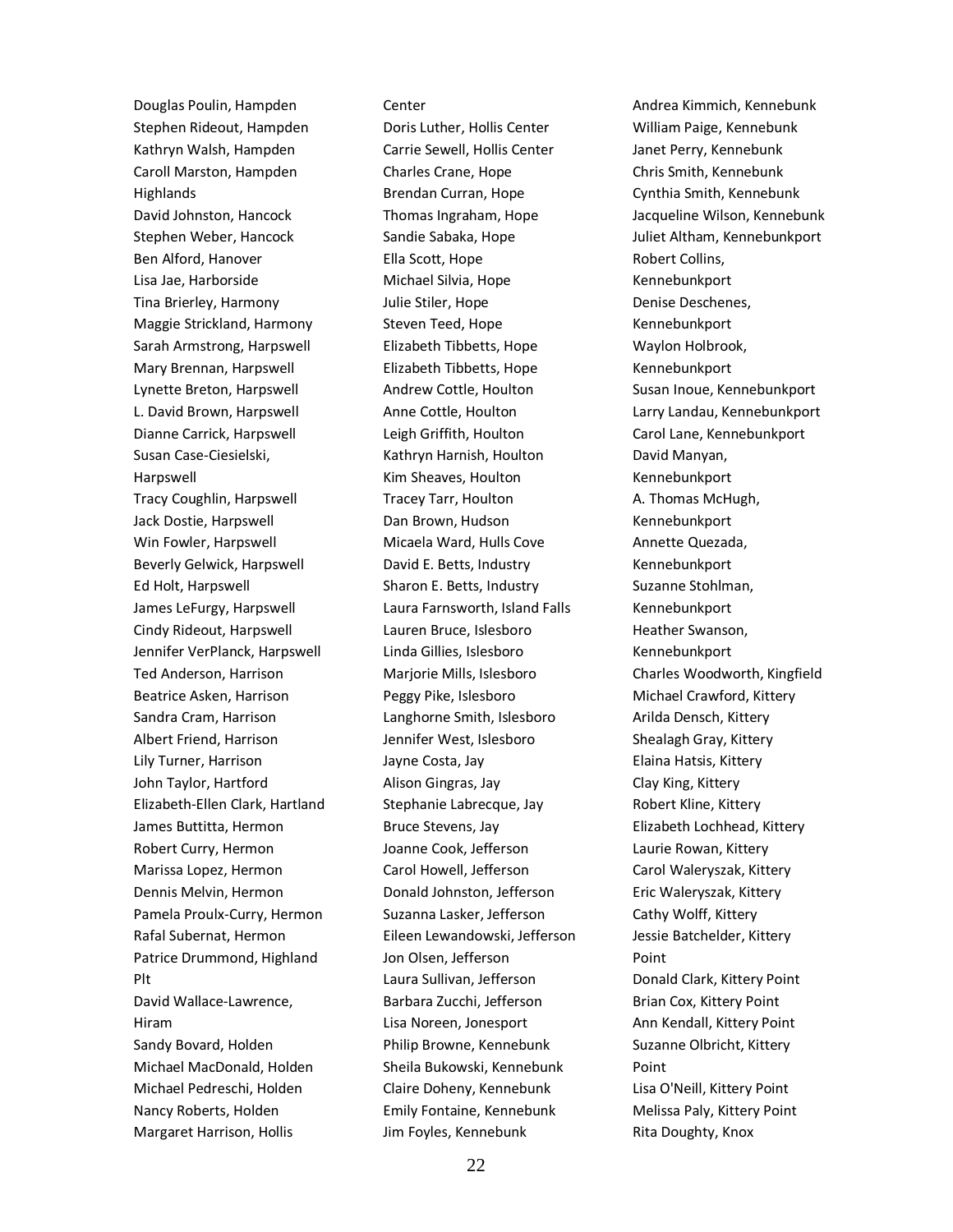Douglas Poulin, Hampden Stephen Rideout, Hampden Kathryn Walsh, Hampden Caroll Marston, Hampden **Highlands** David Johnston, Hancock Stephen Weber, Hancock Ben Alford, Hanover Lisa Jae, Harborside Tina Brierley, Harmony Maggie Strickland, Harmony Sarah Armstrong, Harpswell Mary Brennan, Harpswell Lynette Breton, Harpswell L. David Brown, Harpswell Dianne Carrick, Harpswell Susan Case-Ciesielski, Harpswell Tracy Coughlin, Harpswell Jack Dostie, Harpswell Win Fowler, Harpswell Beverly Gelwick, Harpswell Ed Holt, Harpswell James LeFurgy, Harpswell Cindy Rideout, Harpswell Jennifer VerPlanck, Harpswell Ted Anderson, Harrison Beatrice Asken, Harrison Sandra Cram, Harrison Albert Friend, Harrison Lily Turner, Harrison John Taylor, Hartford Elizabeth-Ellen Clark, Hartland James Buttitta, Hermon Robert Curry, Hermon Marissa Lopez, Hermon Dennis Melvin, Hermon Pamela Proulx-Curry, Hermon Rafal Subernat, Hermon Patrice Drummond, Highland Plt David Wallace-Lawrence, Hiram Sandy Bovard, Holden Michael MacDonald, Holden Michael Pedreschi, Holden Nancy Roberts, Holden Margaret Harrison, Hollis

#### Center

Doris Luther, Hollis Center Carrie Sewell, Hollis Center Charles Crane, Hope Brendan Curran, Hope Thomas Ingraham, Hope Sandie Sabaka, Hope Ella Scott, Hope Michael Silvia, Hope Julie Stiler, Hope Steven Teed, Hope Elizabeth Tibbetts, Hope Elizabeth Tibbetts, Hope Andrew Cottle, Houlton Anne Cottle, Houlton Leigh Griffith, Houlton Kathryn Harnish, Houlton Kim Sheaves, Houlton Tracey Tarr, Houlton Dan Brown, Hudson Micaela Ward, Hulls Cove David E. Betts, Industry Sharon E. Betts, Industry Laura Farnsworth, Island Falls Lauren Bruce, Islesboro Linda Gillies, Islesboro Marjorie Mills, Islesboro Peggy Pike, Islesboro Langhorne Smith, Islesboro Jennifer West, Islesboro Jayne Costa, Jay Alison Gingras, Jay Stephanie Labrecque, Jay Bruce Stevens, Jay Joanne Cook, Jefferson Carol Howell, Jefferson Donald Johnston, Jefferson Suzanna Lasker, Jefferson Eileen Lewandowski, Jefferson Jon Olsen, Jefferson Laura Sullivan, Jefferson Barbara Zucchi, Jefferson Lisa Noreen, Jonesport Philip Browne, Kennebunk Sheila Bukowski, Kennebunk Claire Doheny, Kennebunk Emily Fontaine, Kennebunk Jim Foyles, Kennebunk

Andrea Kimmich, Kennebunk William Paige, Kennebunk Janet Perry, Kennebunk Chris Smith, Kennebunk Cynthia Smith, Kennebunk Jacqueline Wilson, Kennebunk Juliet Altham, Kennebunkport Robert Collins, Kennebunkport Denise Deschenes, Kennebunkport Waylon Holbrook, Kennebunkport Susan Inoue, Kennebunkport Larry Landau, Kennebunkport Carol Lane, Kennebunkport David Manyan, Kennebunkport A. Thomas McHugh, Kennebunkport Annette Quezada, Kennebunkport Suzanne Stohlman, Kennebunkport Heather Swanson, Kennebunkport Charles Woodworth, Kingfield Michael Crawford, Kittery Arilda Densch, Kittery Shealagh Gray, Kittery Elaina Hatsis, Kittery Clay King, Kittery Robert Kline, Kittery Elizabeth Lochhead, Kittery Laurie Rowan, Kittery Carol Waleryszak, Kittery Eric Waleryszak, Kittery Cathy Wolff, Kittery Jessie Batchelder, Kittery Point Donald Clark, Kittery Point Brian Cox, Kittery Point Ann Kendall, Kittery Point Suzanne Olbricht, Kittery Point Lisa O'Neill, Kittery Point Melissa Paly, Kittery Point Rita Doughty, Knox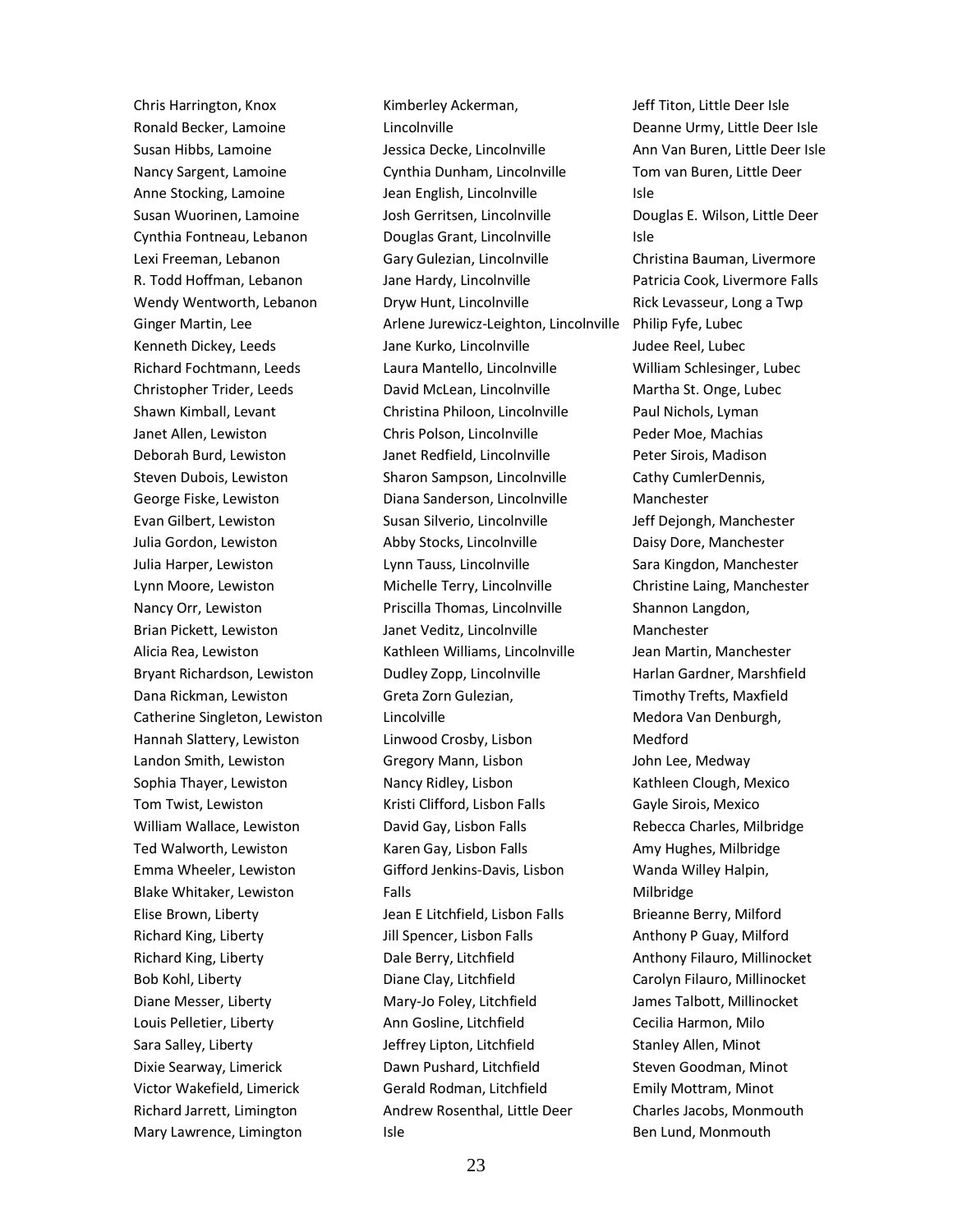Chris Harrington, Knox Ronald Becker, Lamoine Susan Hibbs, Lamoine Nancy Sargent, Lamoine Anne Stocking, Lamoine Susan Wuorinen, Lamoine Cynthia Fontneau, Lebanon Lexi Freeman, Lebanon R. Todd Hoffman, Lebanon Wendy Wentworth, Lebanon Ginger Martin, Lee Kenneth Dickey, Leeds Richard Fochtmann, Leeds Christopher Trider, Leeds Shawn Kimball, Levant Janet Allen, Lewiston Deborah Burd, Lewiston Steven Dubois, Lewiston George Fiske, Lewiston Evan Gilbert, Lewiston Julia Gordon, Lewiston Julia Harper, Lewiston Lynn Moore, Lewiston Nancy Orr, Lewiston Brian Pickett, Lewiston Alicia Rea, Lewiston Bryant Richardson, Lewiston Dana Rickman, Lewiston Catherine Singleton, Lewiston Hannah Slattery, Lewiston Landon Smith, Lewiston Sophia Thayer, Lewiston Tom Twist, Lewiston William Wallace, Lewiston Ted Walworth, Lewiston Emma Wheeler, Lewiston Blake Whitaker, Lewiston Elise Brown, Liberty Richard King, Liberty Richard King, Liberty Bob Kohl, Liberty Diane Messer, Liberty Louis Pelletier, Liberty Sara Salley, Liberty Dixie Searway, Limerick Victor Wakefield, Limerick Richard Jarrett, Limington Mary Lawrence, Limington

Kimberley Ackerman, Lincolnville Jessica Decke, Lincolnville Cynthia Dunham, Lincolnville Jean English, Lincolnville Josh Gerritsen, Lincolnville Douglas Grant, Lincolnville Gary Gulezian, Lincolnville Jane Hardy, Lincolnville Dryw Hunt, Lincolnville Arlene Jurewicz-Leighton, Lincolnville Jane Kurko, Lincolnville Laura Mantello, Lincolnville David McLean, Lincolnville Christina Philoon, Lincolnville Chris Polson, Lincolnville Janet Redfield, Lincolnville Sharon Sampson, Lincolnville Diana Sanderson, Lincolnville Susan Silverio, Lincolnville Abby Stocks, Lincolnville Lynn Tauss, Lincolnville Michelle Terry, Lincolnville Priscilla Thomas, Lincolnville Janet Veditz, Lincolnville Kathleen Williams, Lincolnville Dudley Zopp, Lincolnville Greta Zorn Gulezian, Lincolville Linwood Crosby, Lisbon Gregory Mann, Lisbon Nancy Ridley, Lisbon Kristi Clifford, Lisbon Falls David Gay, Lisbon Falls Karen Gay, Lisbon Falls Gifford Jenkins-Davis, Lisbon Falls Jean E Litchfield, Lisbon Falls Jill Spencer, Lisbon Falls Dale Berry, Litchfield Diane Clay, Litchfield Mary-Jo Foley, Litchfield Ann Gosline, Litchfield Jeffrey Lipton, Litchfield Dawn Pushard, Litchfield Gerald Rodman, Litchfield Andrew Rosenthal, Little Deer Isle

Jeff Titon, Little Deer Isle Deanne Urmy, Little Deer Isle Ann Van Buren, Little Deer Isle Tom van Buren, Little Deer Isle Douglas E. Wilson, Little Deer Isle Christina Bauman, Livermore Patricia Cook, Livermore Falls Rick Levasseur, Long a Twp Philip Fyfe, Lubec Judee Reel, Lubec William Schlesinger, Lubec Martha St. Onge, Lubec Paul Nichols, Lyman Peder Moe, Machias Peter Sirois, Madison Cathy CumlerDennis, Manchester Jeff Dejongh, Manchester Daisy Dore, Manchester Sara Kingdon, Manchester Christine Laing, Manchester Shannon Langdon, Manchester Jean Martin, Manchester Harlan Gardner, Marshfield Timothy Trefts, Maxfield Medora Van Denburgh, Medford John Lee, Medway Kathleen Clough, Mexico Gayle Sirois, Mexico Rebecca Charles, Milbridge Amy Hughes, Milbridge Wanda Willey Halpin, Milbridge Brieanne Berry, Milford Anthony P Guay, Milford Anthony Filauro, Millinocket Carolyn Filauro, Millinocket James Talbott, Millinocket Cecilia Harmon, Milo Stanley Allen, Minot Steven Goodman, Minot Emily Mottram, Minot Charles Jacobs, Monmouth Ben Lund, Monmouth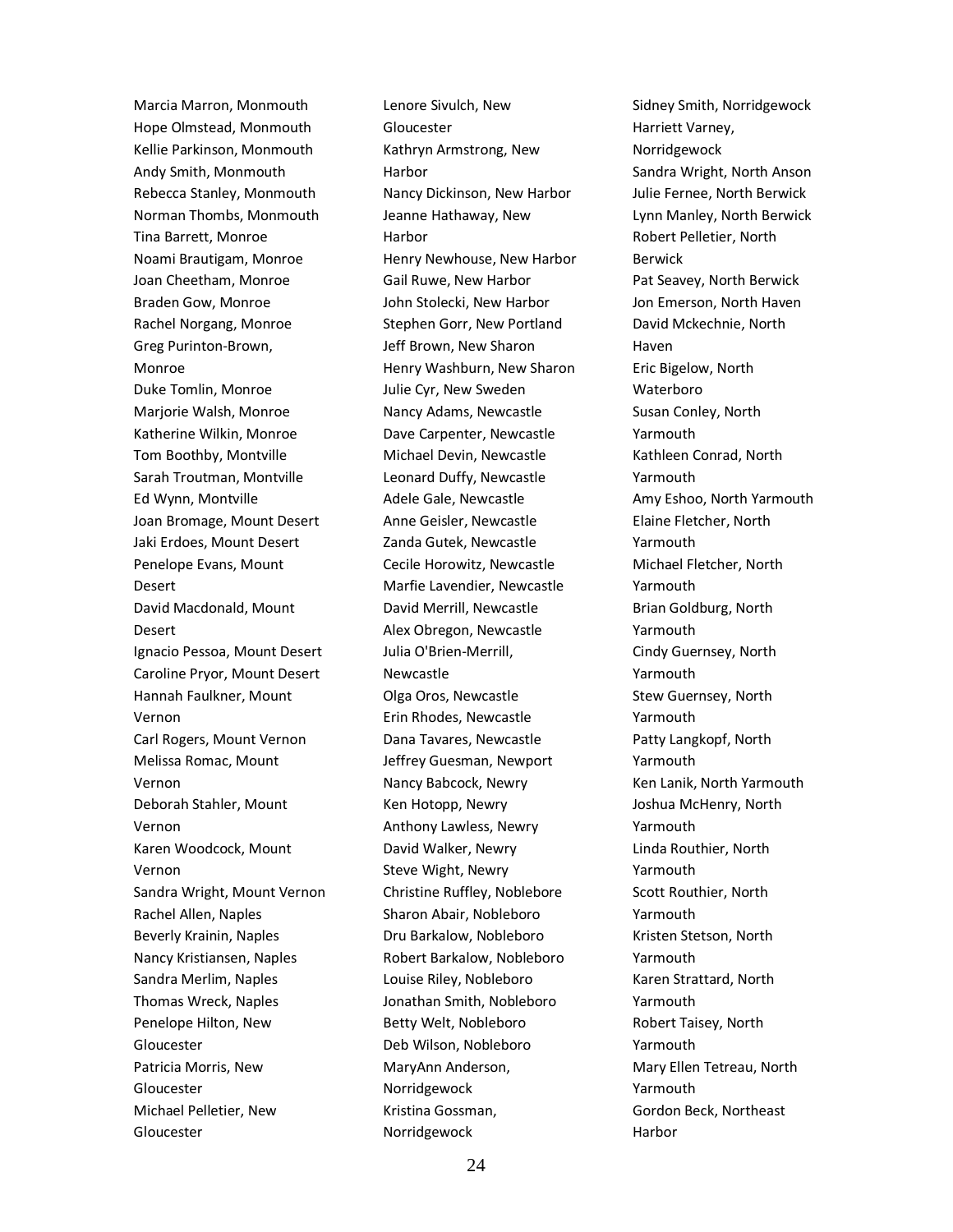Marcia Marron, Monmouth Hope Olmstead, Monmouth Kellie Parkinson, Monmouth Andy Smith, Monmouth Rebecca Stanley, Monmouth Norman Thombs, Monmouth Tina Barrett, Monroe Noami Brautigam, Monroe Joan Cheetham, Monroe Braden Gow, Monroe Rachel Norgang, Monroe Greg Purinton-Brown, Monroe Duke Tomlin, Monroe Marjorie Walsh, Monroe Katherine Wilkin, Monroe Tom Boothby, Montville Sarah Troutman, Montville Ed Wynn, Montville Joan Bromage, Mount Desert Jaki Erdoes, Mount Desert Penelope Evans, Mount Desert David Macdonald, Mount Desert Ignacio Pessoa, Mount Desert Caroline Pryor, Mount Desert Hannah Faulkner, Mount Vernon Carl Rogers, Mount Vernon Melissa Romac, Mount Vernon Deborah Stahler, Mount Vernon Karen Woodcock, Mount Vernon Sandra Wright, Mount Vernon Rachel Allen, Naples Beverly Krainin, Naples Nancy Kristiansen, Naples Sandra Merlim, Naples Thomas Wreck, Naples Penelope Hilton, New Gloucester Patricia Morris, New Gloucester Michael Pelletier, New Gloucester

Lenore Sivulch, New Gloucester Kathryn Armstrong, New Harbor Nancy Dickinson, New Harbor Jeanne Hathaway, New Harbor Henry Newhouse, New Harbor Gail Ruwe, New Harbor John Stolecki, New Harbor Stephen Gorr, New Portland Jeff Brown, New Sharon Henry Washburn, New Sharon Julie Cyr, New Sweden Nancy Adams, Newcastle Dave Carpenter, Newcastle Michael Devin, Newcastle Leonard Duffy, Newcastle Adele Gale, Newcastle Anne Geisler, Newcastle Zanda Gutek, Newcastle Cecile Horowitz, Newcastle Marfie Lavendier, Newcastle David Merrill, Newcastle Alex Obregon, Newcastle Julia O'Brien-Merrill, Newcastle Olga Oros, Newcastle Erin Rhodes, Newcastle Dana Tavares, Newcastle Jeffrey Guesman, Newport Nancy Babcock, Newry Ken Hotopp, Newry Anthony Lawless, Newry David Walker, Newry Steve Wight, Newry Christine Ruffley, Noblebore Sharon Abair, Nobleboro Dru Barkalow, Nobleboro Robert Barkalow, Nobleboro Louise Riley, Nobleboro Jonathan Smith, Nobleboro Betty Welt, Nobleboro Deb Wilson, Nobleboro MaryAnn Anderson, Norridgewock Kristina Gossman, Norridgewock

Sidney Smith, Norridgewock Harriett Varney, Norridgewock Sandra Wright, North Anson Julie Fernee, North Berwick Lynn Manley, North Berwick Robert Pelletier, North Berwick Pat Seavey, North Berwick Jon Emerson, North Haven David Mckechnie, North Haven Eric Bigelow, North Waterboro Susan Conley, North Yarmouth Kathleen Conrad, North Yarmouth Amy Eshoo, North Yarmouth Elaine Fletcher, North Yarmouth Michael Fletcher, North Yarmouth Brian Goldburg, North Yarmouth Cindy Guernsey, North Yarmouth Stew Guernsey, North Yarmouth Patty Langkopf, North Yarmouth Ken Lanik, North Yarmouth Joshua McHenry, North Yarmouth Linda Routhier, North Yarmouth Scott Routhier, North Yarmouth Kristen Stetson, North Yarmouth Karen Strattard, North Yarmouth Robert Taisey, North Yarmouth Mary Ellen Tetreau, North Yarmouth Gordon Beck, Northeast Harbor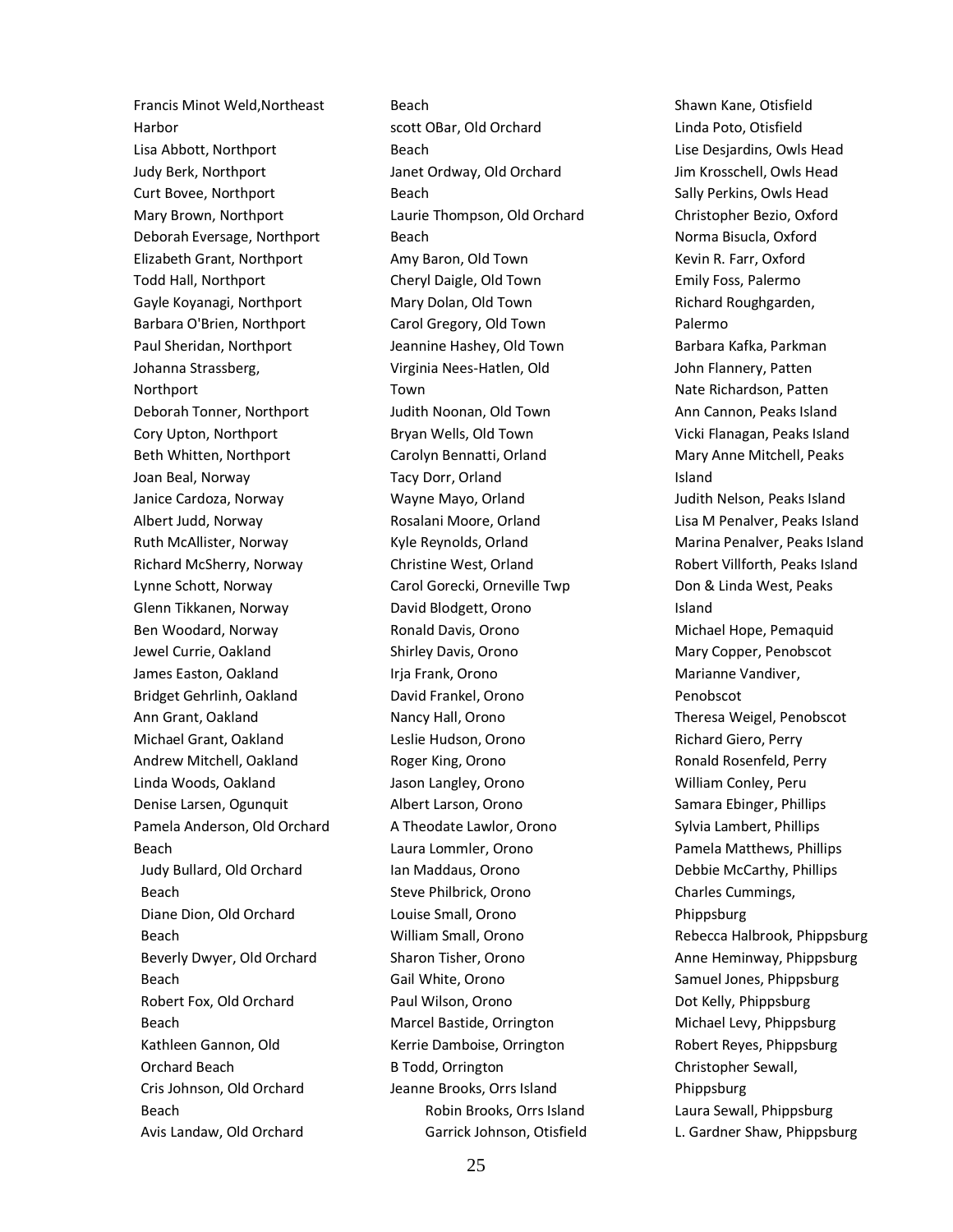Francis Minot Weld,Northeast Harbor Lisa Abbott, Northport Judy Berk, Northport Curt Bovee, Northport Mary Brown, Northport Deborah Eversage, Northport Elizabeth Grant, Northport Todd Hall, Northport Gayle Koyanagi, Northport Barbara O'Brien, Northport Paul Sheridan, Northport Johanna Strassberg, Northport Deborah Tonner, Northport Cory Upton, Northport Beth Whitten, Northport Joan Beal, Norway Janice Cardoza, Norway Albert Judd, Norway Ruth McAllister, Norway Richard McSherry, Norway Lynne Schott, Norway Glenn Tikkanen, Norway Ben Woodard, Norway Jewel Currie, Oakland James Easton, Oakland Bridget Gehrlinh, Oakland Ann Grant, Oakland Michael Grant, Oakland Andrew Mitchell, Oakland Linda Woods, Oakland Denise Larsen, Ogunquit Pamela Anderson, Old Orchard Beach Judy Bullard, Old Orchard Beach Diane Dion, Old Orchard Beach Beverly Dwyer, Old Orchard Beach Robert Fox, Old Orchard Beach Kathleen Gannon, Old Orchard Beach Cris Johnson, Old Orchard Beach Avis Landaw, Old Orchard

Beach scott OBar, Old Orchard Beach Janet Ordway, Old Orchard Beach Laurie Thompson, Old Orchard Beach Amy Baron, Old Town Cheryl Daigle, Old Town Mary Dolan, Old Town Carol Gregory, Old Town Jeannine Hashey, Old Town Virginia Nees-Hatlen, Old Town Judith Noonan, Old Town Bryan Wells, Old Town Carolyn Bennatti, Orland Tacy Dorr, Orland Wayne Mayo, Orland Rosalani Moore, Orland Kyle Reynolds, Orland Christine West, Orland Carol Gorecki, Orneville Twp David Blodgett, Orono Ronald Davis, Orono Shirley Davis, Orono Irja Frank, Orono David Frankel, Orono Nancy Hall, Orono Leslie Hudson, Orono Roger King, Orono Jason Langley, Orono Albert Larson, Orono A Theodate Lawlor, Orono Laura Lommler, Orono Ian Maddaus, Orono Steve Philbrick, Orono Louise Small, Orono William Small, Orono Sharon Tisher, Orono Gail White, Orono Paul Wilson, Orono Marcel Bastide, Orrington Kerrie Damboise, Orrington B Todd, Orrington Jeanne Brooks, Orrs Island Robin Brooks, Orrs Island Garrick Johnson, Otisfield Shawn Kane, Otisfield Linda Poto, Otisfield Lise Desjardins, Owls Head Jim Krosschell, Owls Head Sally Perkins, Owls Head Christopher Bezio, Oxford Norma Bisucla, Oxford Kevin R. Farr, Oxford Emily Foss, Palermo Richard Roughgarden, Palermo Barbara Kafka, Parkman John Flannery, Patten Nate Richardson, Patten Ann Cannon, Peaks Island Vicki Flanagan, Peaks Island Mary Anne Mitchell, Peaks Island Judith Nelson, Peaks Island Lisa M Penalver, Peaks Island Marina Penalver, Peaks Island Robert Villforth, Peaks Island Don & Linda West, Peaks Island Michael Hope, Pemaquid Mary Copper, Penobscot Marianne Vandiver, Penobscot Theresa Weigel, Penobscot Richard Giero, Perry Ronald Rosenfeld, Perry William Conley, Peru Samara Ebinger, Phillips Sylvia Lambert, Phillips Pamela Matthews, Phillips Debbie McCarthy, Phillips Charles Cummings, Phippsburg Rebecca Halbrook, Phippsburg Anne Heminway, Phippsburg Samuel Jones, Phippsburg Dot Kelly, Phippsburg Michael Levy, Phippsburg Robert Reyes, Phippsburg Christopher Sewall, Phippsburg Laura Sewall, Phippsburg L. Gardner Shaw, Phippsburg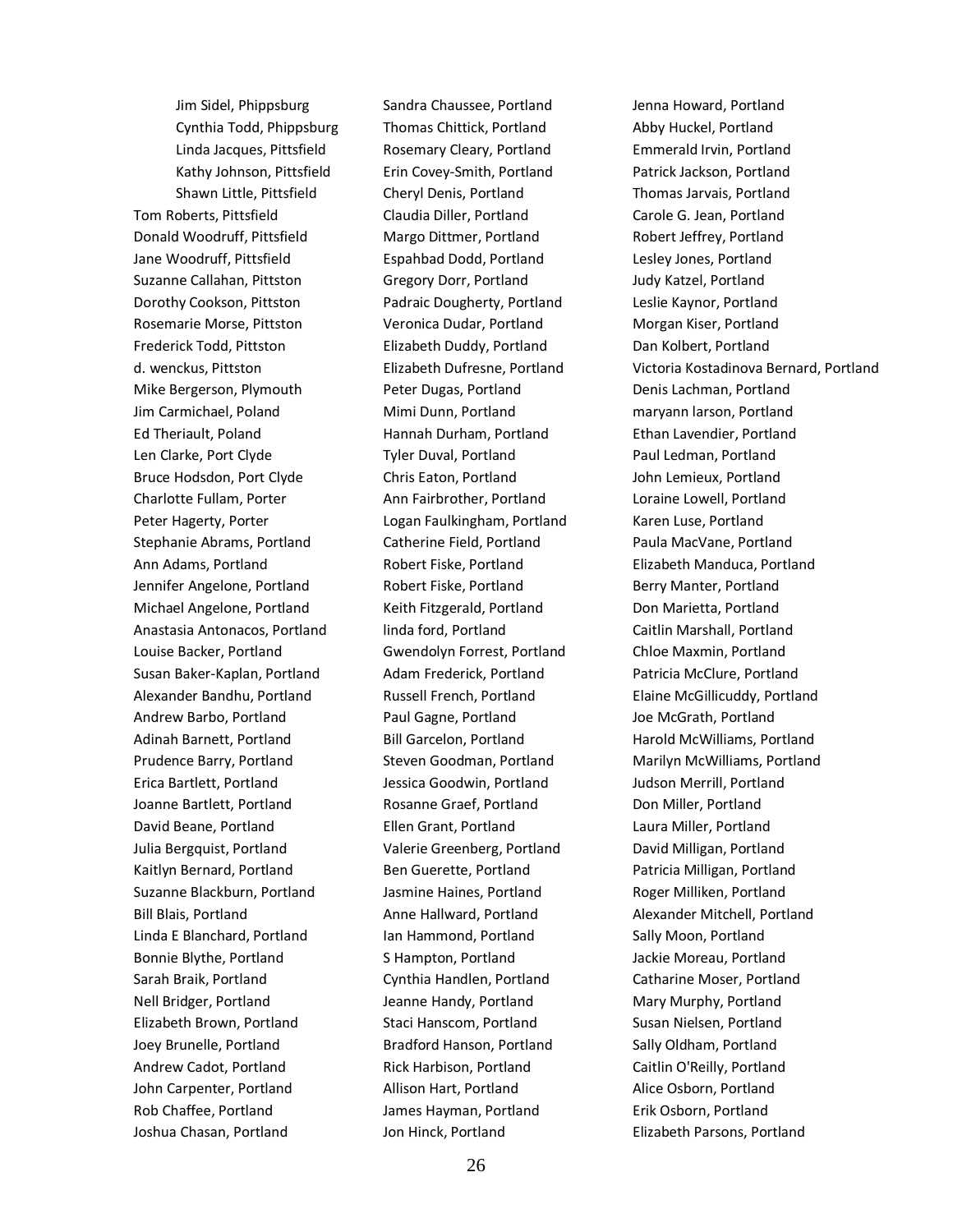Jim Sidel, Phippsburg Cynthia Todd, Phippsburg Linda Jacques, Pittsfield Kathy Johnson, Pittsfield Shawn Little, Pittsfield Tom Roberts, Pittsfield Donald Woodruff, Pittsfield Jane Woodruff, Pittsfield Suzanne Callahan, Pittston Dorothy Cookson, Pittston Rosemarie Morse, Pittston Frederick Todd, Pittston d. wenckus, Pittston Mike Bergerson, Plymouth Jim Carmichael, Poland Ed Theriault, Poland Len Clarke, Port Clyde Bruce Hodsdon, Port Clyde Charlotte Fullam, Porter Peter Hagerty, Porter Stephanie Abrams, Portland Ann Adams, Portland Jennifer Angelone, Portland Michael Angelone, Portland Anastasia Antonacos, Portland Louise Backer, Portland Susan Baker-Kaplan, Portland Alexander Bandhu, Portland Andrew Barbo, Portland Adinah Barnett, Portland Prudence Barry, Portland Erica Bartlett, Portland Joanne Bartlett, Portland David Beane, Portland Julia Bergquist, Portland Kaitlyn Bernard, Portland Suzanne Blackburn, Portland Bill Blais, Portland Linda E Blanchard, Portland Bonnie Blythe, Portland Sarah Braik, Portland Nell Bridger, Portland Elizabeth Brown, Portland Joey Brunelle, Portland Andrew Cadot, Portland John Carpenter, Portland Rob Chaffee, Portland Joshua Chasan, Portland

Sandra Chaussee, Portland Thomas Chittick, Portland Rosemary Cleary, Portland Erin Covey-Smith, Portland Cheryl Denis, Portland Claudia Diller, Portland Margo Dittmer, Portland Espahbad Dodd, Portland Gregory Dorr, Portland Padraic Dougherty, Portland Veronica Dudar, Portland Elizabeth Duddy, Portland Elizabeth Dufresne, Portland Peter Dugas, Portland Mimi Dunn, Portland Hannah Durham, Portland Tyler Duval, Portland Chris Eaton, Portland Ann Fairbrother, Portland Logan Faulkingham, Portland Catherine Field, Portland Robert Fiske, Portland Robert Fiske, Portland Keith Fitzgerald, Portland linda ford, Portland Gwendolyn Forrest, Portland Adam Frederick, Portland Russell French, Portland Paul Gagne, Portland Bill Garcelon, Portland Steven Goodman, Portland Jessica Goodwin, Portland Rosanne Graef, Portland Ellen Grant, Portland Valerie Greenberg, Portland Ben Guerette, Portland Jasmine Haines, Portland Anne Hallward, Portland Ian Hammond, Portland S Hampton, Portland Cynthia Handlen, Portland Jeanne Handy, Portland Staci Hanscom, Portland Bradford Hanson, Portland Rick Harbison, Portland Allison Hart, Portland James Hayman, Portland Jon Hinck, Portland

Jenna Howard, Portland Abby Huckel, Portland Emmerald Irvin, Portland Patrick Jackson, Portland Thomas Jarvais, Portland Carole G. Jean, Portland Robert Jeffrey, Portland Lesley Jones, Portland Judy Katzel, Portland Leslie Kaynor, Portland Morgan Kiser, Portland Dan Kolbert, Portland Victoria Kostadinova Bernard, Portland Denis Lachman, Portland maryann larson, Portland Ethan Lavendier, Portland Paul Ledman, Portland John Lemieux, Portland Loraine Lowell, Portland Karen Luse, Portland Paula MacVane, Portland Elizabeth Manduca, Portland Berry Manter, Portland Don Marietta, Portland Caitlin Marshall, Portland Chloe Maxmin, Portland Patricia McClure, Portland Elaine McGillicuddy, Portland Joe McGrath, Portland Harold McWilliams, Portland Marilyn McWilliams, Portland Judson Merrill, Portland Don Miller, Portland Laura Miller, Portland David Milligan, Portland Patricia Milligan, Portland Roger Milliken, Portland Alexander Mitchell, Portland Sally Moon, Portland Jackie Moreau, Portland Catharine Moser, Portland Mary Murphy, Portland Susan Nielsen, Portland Sally Oldham, Portland Caitlin O'Reilly, Portland Alice Osborn, Portland Erik Osborn, Portland Elizabeth Parsons, Portland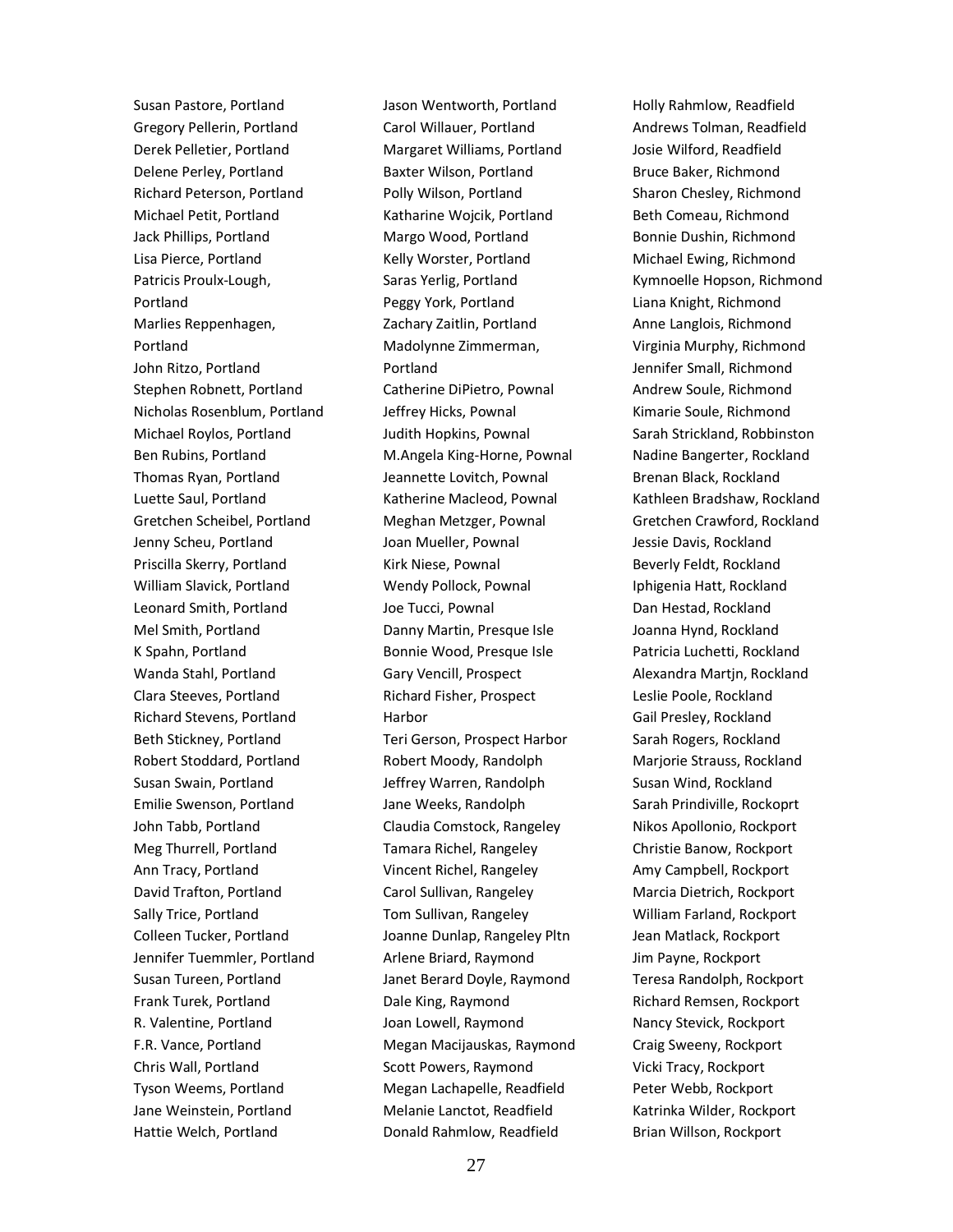Susan Pastore, Portland Gregory Pellerin, Portland Derek Pelletier, Portland Delene Perley, Portland Richard Peterson, Portland Michael Petit, Portland Jack Phillips, Portland Lisa Pierce, Portland Patricis Proulx-Lough, Portland Marlies Reppenhagen, Portland John Ritzo, Portland Stephen Robnett, Portland Nicholas Rosenblum, Portland Michael Roylos, Portland Ben Rubins, Portland Thomas Ryan, Portland Luette Saul, Portland Gretchen Scheibel, Portland Jenny Scheu, Portland Priscilla Skerry, Portland William Slavick, Portland Leonard Smith, Portland Mel Smith, Portland K Spahn, Portland Wanda Stahl, Portland Clara Steeves, Portland Richard Stevens, Portland Beth Stickney, Portland Robert Stoddard, Portland Susan Swain, Portland Emilie Swenson, Portland John Tabb, Portland Meg Thurrell, Portland Ann Tracy, Portland David Trafton, Portland Sally Trice, Portland Colleen Tucker, Portland Jennifer Tuemmler, Portland Susan Tureen, Portland Frank Turek, Portland R. Valentine, Portland F.R. Vance, Portland Chris Wall, Portland Tyson Weems, Portland Jane Weinstein, Portland Hattie Welch, Portland

Jason Wentworth, Portland Carol Willauer, Portland Margaret Williams, Portland Baxter Wilson, Portland Polly Wilson, Portland Katharine Wojcik, Portland Margo Wood, Portland Kelly Worster, Portland Saras Yerlig, Portland Peggy York, Portland Zachary Zaitlin, Portland Madolynne Zimmerman, Portland Catherine DiPietro, Pownal Jeffrey Hicks, Pownal Judith Hopkins, Pownal M.Angela King-Horne, Pownal Jeannette Lovitch, Pownal Katherine Macleod, Pownal Meghan Metzger, Pownal Joan Mueller, Pownal Kirk Niese, Pownal Wendy Pollock, Pownal Joe Tucci, Pownal Danny Martin, Presque Isle Bonnie Wood, Presque Isle Gary Vencill, Prospect Richard Fisher, Prospect Harbor Teri Gerson, Prospect Harbor Robert Moody, Randolph Jeffrey Warren, Randolph Jane Weeks, Randolph Claudia Comstock, Rangeley Tamara Richel, Rangeley Vincent Richel, Rangeley Carol Sullivan, Rangeley Tom Sullivan, Rangeley Joanne Dunlap, Rangeley Pltn Arlene Briard, Raymond Janet Berard Doyle, Raymond Dale King, Raymond Joan Lowell, Raymond Megan Macijauskas, Raymond Scott Powers, Raymond Megan Lachapelle, Readfield Melanie Lanctot, Readfield Donald Rahmlow, Readfield

Holly Rahmlow, Readfield Andrews Tolman, Readfield Josie Wilford, Readfield Bruce Baker, Richmond Sharon Chesley, Richmond Beth Comeau, Richmond Bonnie Dushin, Richmond Michael Ewing, Richmond Kymnoelle Hopson, Richmond Liana Knight, Richmond Anne Langlois, Richmond Virginia Murphy, Richmond Jennifer Small, Richmond Andrew Soule, Richmond Kimarie Soule, Richmond Sarah Strickland, Robbinston Nadine Bangerter, Rockland Brenan Black, Rockland Kathleen Bradshaw, Rockland Gretchen Crawford, Rockland Jessie Davis, Rockland Beverly Feldt, Rockland Iphigenia Hatt, Rockland Dan Hestad, Rockland Joanna Hynd, Rockland Patricia Luchetti, Rockland Alexandra Martjn, Rockland Leslie Poole, Rockland Gail Presley, Rockland Sarah Rogers, Rockland Marjorie Strauss, Rockland Susan Wind, Rockland Sarah Prindiville, Rockoprt Nikos Apollonio, Rockport Christie Banow, Rockport Amy Campbell, Rockport Marcia Dietrich, Rockport William Farland, Rockport Jean Matlack, Rockport Jim Payne, Rockport Teresa Randolph, Rockport Richard Remsen, Rockport Nancy Stevick, Rockport Craig Sweeny, Rockport Vicki Tracy, Rockport Peter Webb, Rockport Katrinka Wilder, Rockport Brian Willson, Rockport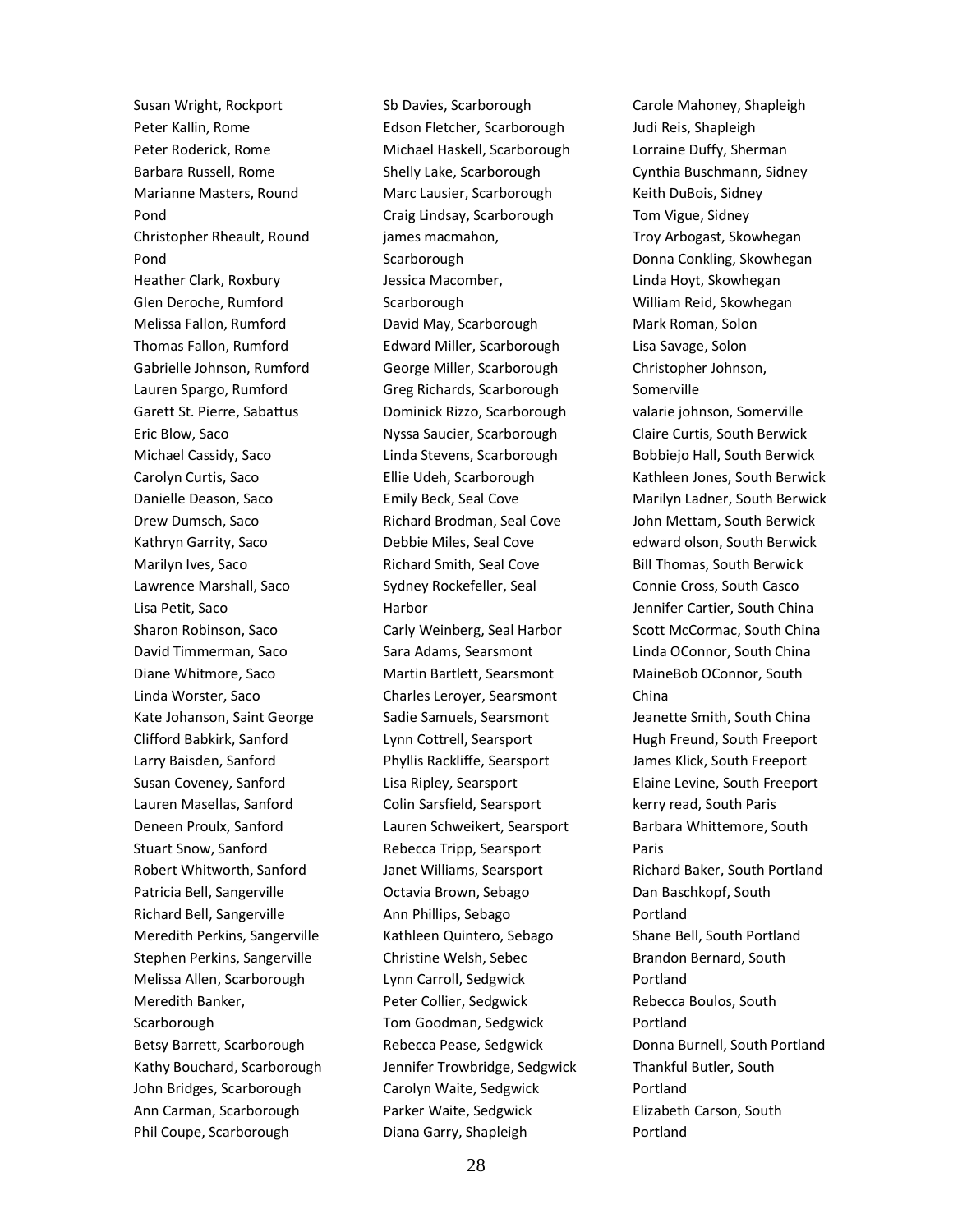Susan Wright, Rockport Peter Kallin, Rome Peter Roderick, Rome Barbara Russell, Rome Marianne Masters, Round Pond Christopher Rheault, Round Pond Heather Clark, Roxbury Glen Deroche, Rumford Melissa Fallon, Rumford Thomas Fallon, Rumford Gabrielle Johnson, Rumford Lauren Spargo, Rumford Garett St. Pierre, Sabattus Eric Blow, Saco Michael Cassidy, Saco Carolyn Curtis, Saco Danielle Deason, Saco Drew Dumsch, Saco Kathryn Garrity, Saco Marilyn Ives, Saco Lawrence Marshall, Saco Lisa Petit, Saco Sharon Robinson, Saco David Timmerman, Saco Diane Whitmore, Saco Linda Worster, Saco Kate Johanson, Saint George Clifford Babkirk, Sanford Larry Baisden, Sanford Susan Coveney, Sanford Lauren Masellas, Sanford Deneen Proulx, Sanford Stuart Snow, Sanford Robert Whitworth, Sanford Patricia Bell, Sangerville Richard Bell, Sangerville Meredith Perkins, Sangerville Stephen Perkins, Sangerville Melissa Allen, Scarborough Meredith Banker, **Scarborough** Betsy Barrett, Scarborough Kathy Bouchard, Scarborough John Bridges, Scarborough Ann Carman, Scarborough Phil Coupe, Scarborough

Sb Davies, Scarborough Edson Fletcher, Scarborough Michael Haskell, Scarborough Shelly Lake, Scarborough Marc Lausier, Scarborough Craig Lindsay, Scarborough james macmahon, **Scarborough** Jessica Macomber, Scarborough David May, Scarborough Edward Miller, Scarborough George Miller, Scarborough Greg Richards, Scarborough Dominick Rizzo, Scarborough Nyssa Saucier, Scarborough Linda Stevens, Scarborough Ellie Udeh, Scarborough Emily Beck, Seal Cove Richard Brodman, Seal Cove Debbie Miles, Seal Cove Richard Smith, Seal Cove Sydney Rockefeller, Seal Harbor Carly Weinberg, Seal Harbor Sara Adams, Searsmont Martin Bartlett, Searsmont Charles Leroyer, Searsmont Sadie Samuels, Searsmont Lynn Cottrell, Searsport Phyllis Rackliffe, Searsport Lisa Ripley, Searsport Colin Sarsfield, Searsport Lauren Schweikert, Searsport Rebecca Tripp, Searsport Janet Williams, Searsport Octavia Brown, Sebago Ann Phillips, Sebago Kathleen Quintero, Sebago Christine Welsh, Sebec Lynn Carroll, Sedgwick Peter Collier, Sedgwick Tom Goodman, Sedgwick Rebecca Pease, Sedgwick Jennifer Trowbridge, Sedgwick Carolyn Waite, Sedgwick Parker Waite, Sedgwick Diana Garry, Shapleigh

Carole Mahoney, Shapleigh Judi Reis, Shapleigh Lorraine Duffy, Sherman Cynthia Buschmann, Sidney Keith DuBois, Sidney Tom Vigue, Sidney Troy Arbogast, Skowhegan Donna Conkling, Skowhegan Linda Hoyt, Skowhegan William Reid, Skowhegan Mark Roman, Solon Lisa Savage, Solon Christopher Johnson, Somerville valarie johnson, Somerville Claire Curtis, South Berwick Bobbiejo Hall, South Berwick Kathleen Jones, South Berwick Marilyn Ladner, South Berwick John Mettam, South Berwick edward olson, South Berwick Bill Thomas, South Berwick Connie Cross, South Casco Jennifer Cartier, South China Scott McCormac, South China Linda OConnor, South China MaineBob OConnor, South China Jeanette Smith, South China Hugh Freund, South Freeport James Klick, South Freeport Elaine Levine, South Freeport kerry read, South Paris Barbara Whittemore, South Paris Richard Baker, South Portland Dan Baschkopf, South Portland Shane Bell, South Portland Brandon Bernard, South Portland Rebecca Boulos, South Portland Donna Burnell, South Portland Thankful Butler, South Portland Elizabeth Carson, South Portland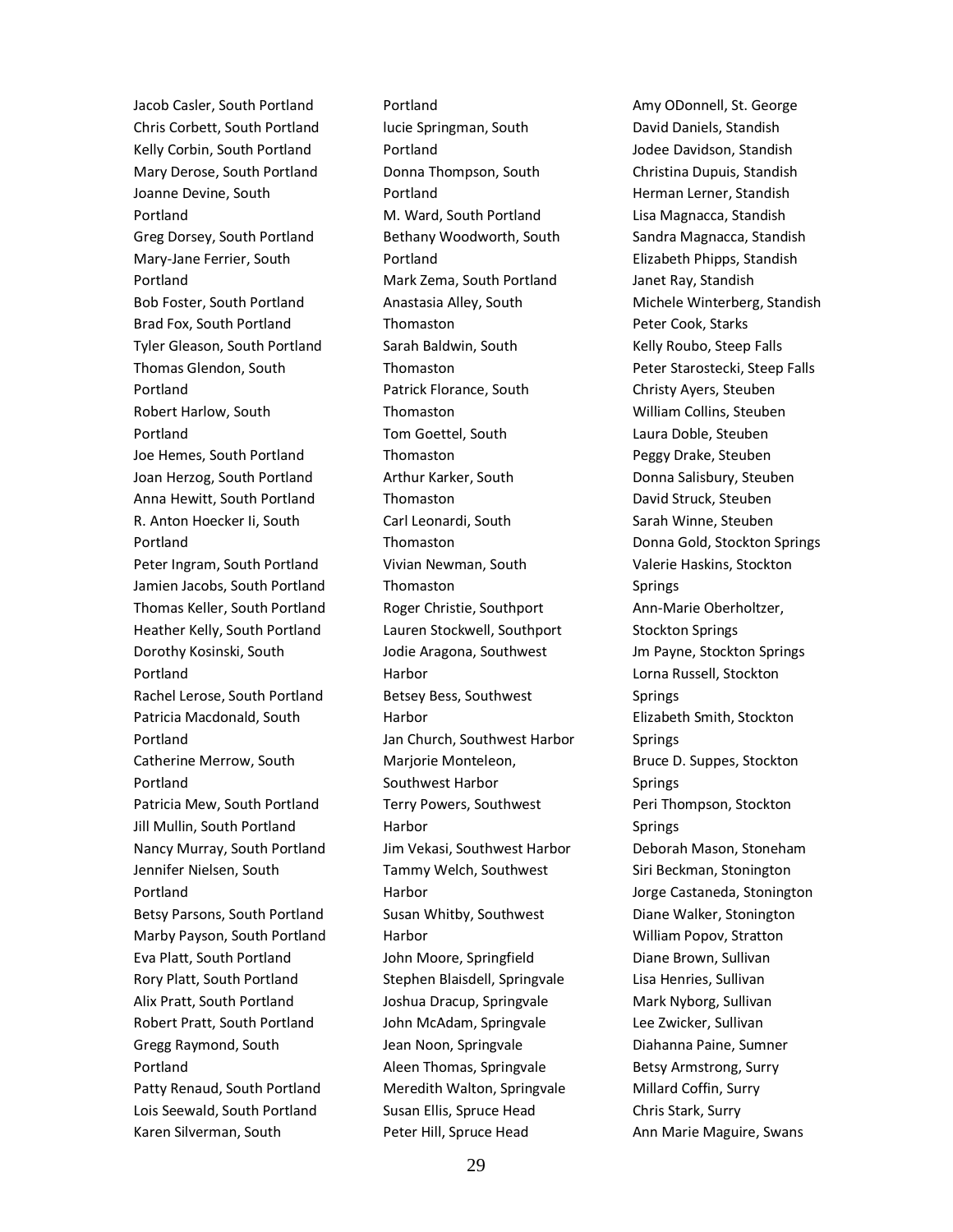Jacob Casler, South Portland Chris Corbett, South Portland Kelly Corbin, South Portland Mary Derose, South Portland Joanne Devine, South Portland Greg Dorsey, South Portland Mary-Jane Ferrier, South Portland Bob Foster, South Portland Brad Fox, South Portland Tyler Gleason, South Portland Thomas Glendon, South Portland Robert Harlow, South Portland Joe Hemes, South Portland Joan Herzog, South Portland Anna Hewitt, South Portland R. Anton Hoecker Ii, South Portland Peter Ingram, South Portland Jamien Jacobs, South Portland Thomas Keller, South Portland Heather Kelly, South Portland Dorothy Kosinski, South Portland Rachel Lerose, South Portland Patricia Macdonald, South Portland Catherine Merrow, South Portland Patricia Mew, South Portland Jill Mullin, South Portland Nancy Murray, South Portland Jennifer Nielsen, South Portland Betsy Parsons, South Portland Marby Payson, South Portland Eva Platt, South Portland Rory Platt, South Portland Alix Pratt, South Portland Robert Pratt, South Portland Gregg Raymond, South Portland Patty Renaud, South Portland Lois Seewald, South Portland Karen Silverman, South

Portland lucie Springman, South Portland Donna Thompson, South Portland M. Ward, South Portland Bethany Woodworth, South Portland Mark Zema, South Portland Anastasia Alley, South **Thomaston** Sarah Baldwin, South Thomaston Patrick Florance, South **Thomaston** Tom Goettel, South Thomaston Arthur Karker, South **Thomaston** Carl Leonardi, South **Thomaston** Vivian Newman, South Thomaston Roger Christie, Southport Lauren Stockwell, Southport Jodie Aragona, Southwest Harbor Betsey Bess, Southwest Harbor Jan Church, Southwest Harbor Marjorie Monteleon, Southwest Harbor Terry Powers, Southwest Harbor Jim Vekasi, Southwest Harbor Tammy Welch, Southwest Harbor Susan Whitby, Southwest Harbor John Moore, Springfield Stephen Blaisdell, Springvale Joshua Dracup, Springvale John McAdam, Springvale Jean Noon, Springvale Aleen Thomas, Springvale Meredith Walton, Springvale Susan Ellis, Spruce Head Peter Hill, Spruce Head

Amy ODonnell, St. George David Daniels, Standish Jodee Davidson, Standish Christina Dupuis, Standish Herman Lerner, Standish Lisa Magnacca, Standish Sandra Magnacca, Standish Elizabeth Phipps, Standish Janet Ray, Standish Michele Winterberg, Standish Peter Cook, Starks Kelly Roubo, Steep Falls Peter Starostecki, Steep Falls Christy Ayers, Steuben William Collins, Steuben Laura Doble, Steuben Peggy Drake, Steuben Donna Salisbury, Steuben David Struck, Steuben Sarah Winne, Steuben Donna Gold, Stockton Springs Valerie Haskins, Stockton Springs Ann-Marie Oberholtzer, Stockton Springs Jm Payne, Stockton Springs Lorna Russell, Stockton Springs Elizabeth Smith, Stockton Springs Bruce D. Suppes, Stockton Springs Peri Thompson, Stockton Springs Deborah Mason, Stoneham Siri Beckman, Stonington Jorge Castaneda, Stonington Diane Walker, Stonington William Popov, Stratton Diane Brown, Sullivan Lisa Henries, Sullivan Mark Nyborg, Sullivan Lee Zwicker, Sullivan Diahanna Paine, Sumner Betsy Armstrong, Surry Millard Coffin, Surry Chris Stark, Surry Ann Marie Maguire, Swans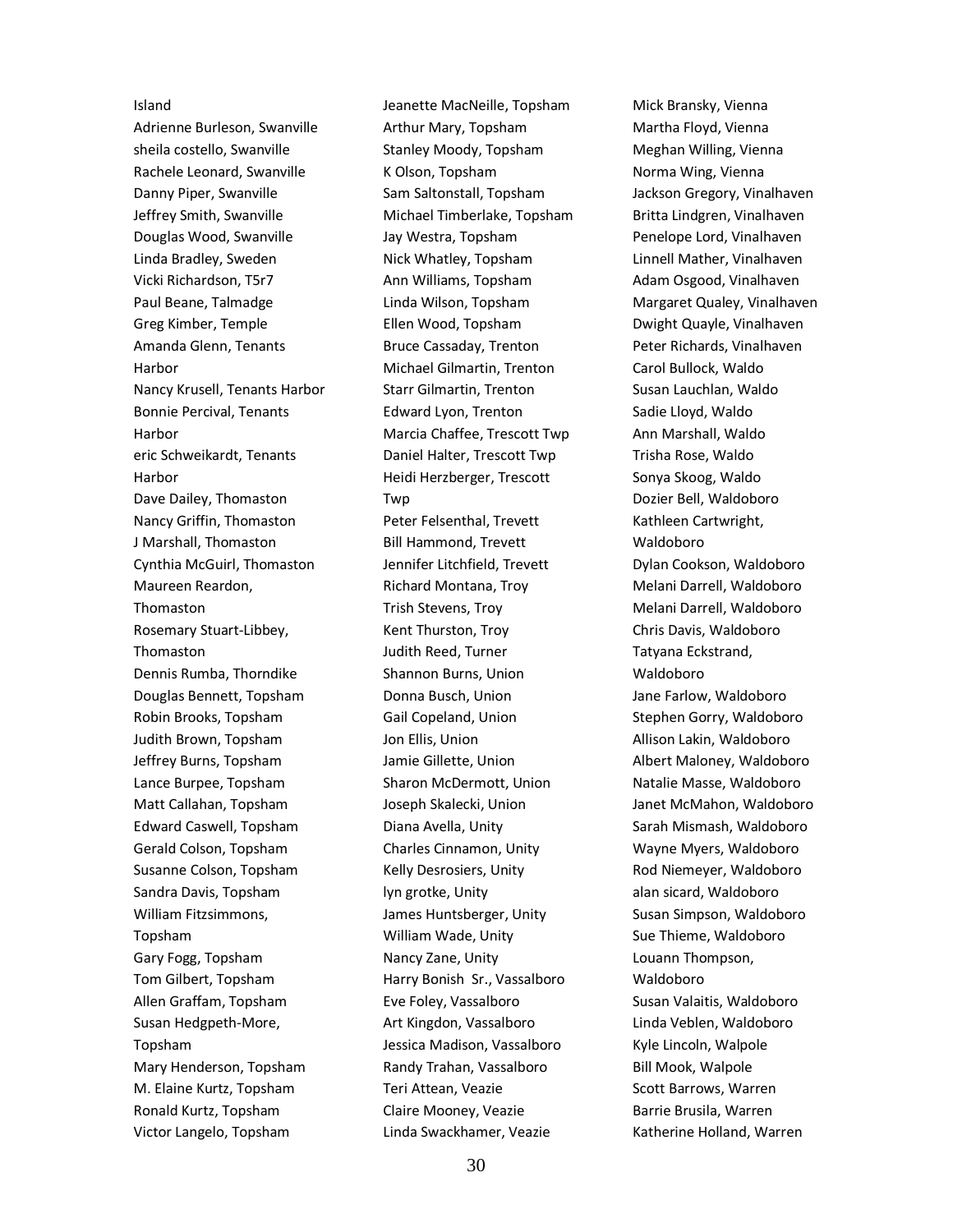#### Island

Adrienne Burleson, Swanville sheila costello, Swanville Rachele Leonard, Swanville Danny Piper, Swanville Jeffrey Smith, Swanville Douglas Wood, Swanville Linda Bradley, Sweden Vicki Richardson, T5r7 Paul Beane, Talmadge Greg Kimber, Temple Amanda Glenn, Tenants Harbor Nancy Krusell, Tenants Harbor Bonnie Percival, Tenants Harbor eric Schweikardt, Tenants Harbor Dave Dailey, Thomaston Nancy Griffin, Thomaston J Marshall, Thomaston Cynthia McGuirl, Thomaston Maureen Reardon, Thomaston Rosemary Stuart-Libbey, Thomaston Dennis Rumba, Thorndike Douglas Bennett, Topsham Robin Brooks, Topsham Judith Brown, Topsham Jeffrey Burns, Topsham Lance Burpee, Topsham Matt Callahan, Topsham Edward Caswell, Topsham Gerald Colson, Topsham Susanne Colson, Topsham Sandra Davis, Topsham William Fitzsimmons, Topsham Gary Fogg, Topsham Tom Gilbert, Topsham Allen Graffam, Topsham Susan Hedgpeth-More, Topsham Mary Henderson, Topsham M. Elaine Kurtz, Topsham Ronald Kurtz, Topsham Victor Langelo, Topsham

Jeanette MacNeille, Topsham Arthur Mary, Topsham Stanley Moody, Topsham K Olson, Topsham Sam Saltonstall, Topsham Michael Timberlake, Topsham Jay Westra, Topsham Nick Whatley, Topsham Ann Williams, Topsham Linda Wilson, Topsham Ellen Wood, Topsham Bruce Cassaday, Trenton Michael Gilmartin, Trenton Starr Gilmartin, Trenton Edward Lyon, Trenton Marcia Chaffee, Trescott Twp Daniel Halter, Trescott Twp Heidi Herzberger, Trescott Twp Peter Felsenthal, Trevett Bill Hammond, Trevett Jennifer Litchfield, Trevett Richard Montana, Troy Trish Stevens, Troy Kent Thurston, Troy Judith Reed, Turner Shannon Burns, Union Donna Busch, Union Gail Copeland, Union Jon Ellis, Union Jamie Gillette, Union Sharon McDermott, Union Joseph Skalecki, Union Diana Avella, Unity Charles Cinnamon, Unity Kelly Desrosiers, Unity lyn grotke, Unity James Huntsberger, Unity William Wade, Unity Nancy Zane, Unity Harry Bonish Sr., Vassalboro Eve Foley, Vassalboro Art Kingdon, Vassalboro Jessica Madison, Vassalboro Randy Trahan, Vassalboro Teri Attean, Veazie Claire Mooney, Veazie Linda Swackhamer, Veazie

Mick Bransky, Vienna Martha Floyd, Vienna Meghan Willing, Vienna Norma Wing, Vienna Jackson Gregory, Vinalhaven Britta Lindgren, Vinalhaven Penelope Lord, Vinalhaven Linnell Mather, Vinalhaven Adam Osgood, Vinalhaven Margaret Qualey, Vinalhaven Dwight Quayle, Vinalhaven Peter Richards, Vinalhaven Carol Bullock, Waldo Susan Lauchlan, Waldo Sadie Lloyd, Waldo Ann Marshall, Waldo Trisha Rose, Waldo Sonya Skoog, Waldo Dozier Bell, Waldoboro Kathleen Cartwright, Waldoboro Dylan Cookson, Waldoboro Melani Darrell, Waldoboro Melani Darrell, Waldoboro Chris Davis, Waldoboro Tatyana Eckstrand, Waldoboro Jane Farlow, Waldoboro Stephen Gorry, Waldoboro Allison Lakin, Waldoboro Albert Maloney, Waldoboro Natalie Masse, Waldoboro Janet McMahon, Waldoboro Sarah Mismash, Waldoboro Wayne Myers, Waldoboro Rod Niemeyer, Waldoboro alan sicard, Waldoboro Susan Simpson, Waldoboro Sue Thieme, Waldoboro Louann Thompson, Waldoboro Susan Valaitis, Waldoboro Linda Veblen, Waldoboro Kyle Lincoln, Walpole Bill Mook, Walpole Scott Barrows, Warren Barrie Brusila, Warren Katherine Holland, Warren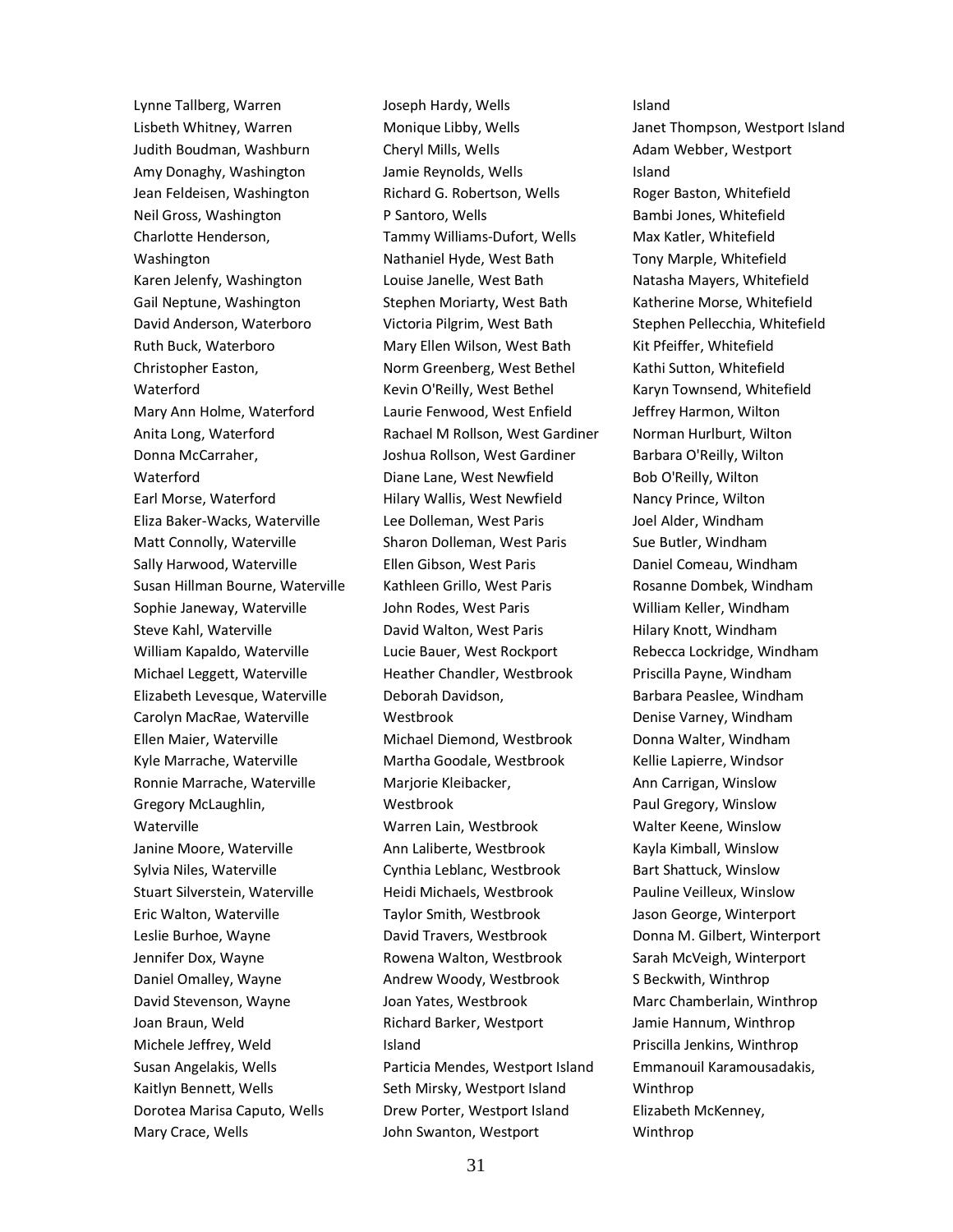Lynne Tallberg, Warren Lisbeth Whitney, Warren Judith Boudman, Washburn Amy Donaghy, Washington Jean Feldeisen, Washington Neil Gross, Washington Charlotte Henderson, Washington Karen Jelenfy, Washington Gail Neptune, Washington David Anderson, Waterboro Ruth Buck, Waterboro Christopher Easton, Waterford Mary Ann Holme, Waterford Anita Long, Waterford Donna McCarraher, Waterford Earl Morse, Waterford Eliza Baker-Wacks, Waterville Matt Connolly, Waterville Sally Harwood, Waterville Susan Hillman Bourne, Waterville Sophie Janeway, Waterville Steve Kahl, Waterville William Kapaldo, Waterville Michael Leggett, Waterville Elizabeth Levesque, Waterville Carolyn MacRae, Waterville Ellen Maier, Waterville Kyle Marrache, Waterville Ronnie Marrache, Waterville Gregory McLaughlin, Waterville Janine Moore, Waterville Sylvia Niles, Waterville Stuart Silverstein, Waterville Eric Walton, Waterville Leslie Burhoe, Wayne Jennifer Dox, Wayne Daniel Omalley, Wayne David Stevenson, Wayne Joan Braun, Weld Michele Jeffrey, Weld Susan Angelakis, Wells Kaitlyn Bennett, Wells Dorotea Marisa Caputo, Wells Mary Crace, Wells

Joseph Hardy, Wells Monique Libby, Wells Cheryl Mills, Wells Jamie Reynolds, Wells Richard G. Robertson, Wells P Santoro, Wells Tammy Williams-Dufort, Wells Nathaniel Hyde, West Bath Louise Janelle, West Bath Stephen Moriarty, West Bath Victoria Pilgrim, West Bath Mary Ellen Wilson, West Bath Norm Greenberg, West Bethel Kevin O'Reilly, West Bethel Laurie Fenwood, West Enfield Rachael M Rollson, West Gardiner Joshua Rollson, West Gardiner Diane Lane, West Newfield Hilary Wallis, West Newfield Lee Dolleman, West Paris Sharon Dolleman, West Paris Ellen Gibson, West Paris Kathleen Grillo, West Paris John Rodes, West Paris David Walton, West Paris Lucie Bauer, West Rockport Heather Chandler, Westbrook Deborah Davidson, Westbrook Michael Diemond, Westbrook Martha Goodale, Westbrook Marjorie Kleibacker, Westbrook Warren Lain, Westbrook Ann Laliberte, Westbrook Cynthia Leblanc, Westbrook Heidi Michaels, Westbrook Taylor Smith, Westbrook David Travers, Westbrook Rowena Walton, Westbrook Andrew Woody, Westbrook Joan Yates, Westbrook Richard Barker, Westport Island Particia Mendes, Westport Island Seth Mirsky, Westport Island Drew Porter, Westport Island

Island Janet Thompson, Westport Island Adam Webber, Westport Island Roger Baston, Whitefield Bambi Jones, Whitefield Max Katler, Whitefield Tony Marple, Whitefield Natasha Mayers, Whitefield Katherine Morse, Whitefield Stephen Pellecchia, Whitefield Kit Pfeiffer, Whitefield Kathi Sutton, Whitefield Karyn Townsend, Whitefield Jeffrey Harmon, Wilton Norman Hurlburt, Wilton Barbara O'Reilly, Wilton Bob O'Reilly, Wilton Nancy Prince, Wilton Joel Alder, Windham Sue Butler, Windham Daniel Comeau, Windham Rosanne Dombek, Windham William Keller, Windham Hilary Knott, Windham Rebecca Lockridge, Windham Priscilla Payne, Windham Barbara Peaslee, Windham Denise Varney, Windham Donna Walter, Windham Kellie Lapierre, Windsor Ann Carrigan, Winslow Paul Gregory, Winslow Walter Keene, Winslow Kayla Kimball, Winslow Bart Shattuck, Winslow Pauline Veilleux, Winslow Jason George, Winterport Donna M. Gilbert, Winterport Sarah McVeigh, Winterport S Beckwith, Winthrop Marc Chamberlain, Winthrop Jamie Hannum, Winthrop Priscilla Jenkins, Winthrop Emmanouil Karamousadakis, Winthrop Elizabeth McKenney, Winthrop

John Swanton, Westport